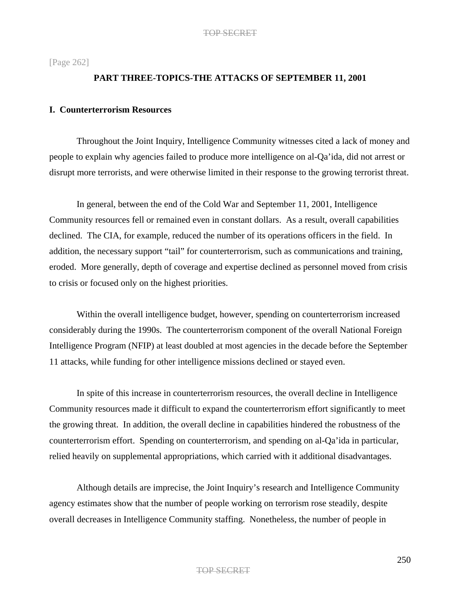[Page 262]

## **PART THREE-TOPICS-THE ATTACKS OF SEPTEMBER 11, 2001**

# **I. Counterterrorism Resources**

Throughout the Joint Inquiry, Intelligence Community witnesses cited a lack of money and people to explain why agencies failed to produce more intelligence on al-Qa'ida, did not arrest or disrupt more terrorists, and were otherwise limited in their response to the growing terrorist threat.

In general, between the end of the Cold War and September 11, 2001, Intelligence Community resources fell or remained even in constant dollars. As a result, overall capabilities declined. The CIA, for example, reduced the number of its operations officers in the field. In addition, the necessary support "tail" for counterterrorism, such as communications and training, eroded. More generally, depth of coverage and expertise declined as personnel moved from crisis to crisis or focused only on the highest priorities.

Within the overall intelligence budget, however, spending on counterterrorism increased considerably during the 1990s. The counterterrorism component of the overall National Foreign Intelligence Program (NFIP) at least doubled at most agencies in the decade before the September 11 attacks, while funding for other intelligence missions declined or stayed even.

In spite of this increase in counterterrorism resources, the overall decline in Intelligence Community resources made it difficult to expand the counterterrorism effort significantly to meet the growing threat. In addition, the overall decline in capabilities hindered the robustness of the counterterrorism effort. Spending on counterterrorism, and spending on al-Qa'ida in particular, relied heavily on supplemental appropriations, which carried with it additional disadvantages.

Although details are imprecise, the Joint Inquiry's research and Intelligence Community agency estimates show that the number of people working on terrorism rose steadily, despite overall decreases in Intelligence Community staffing. Nonetheless, the number of people in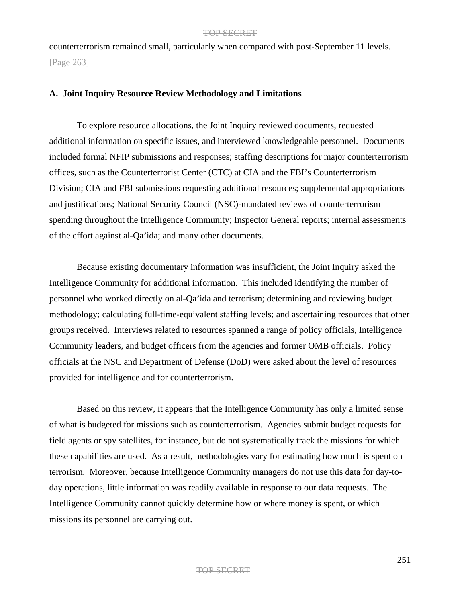counterterrorism remained small, particularly when compared with post-September 11 levels. [Page 263]

## **A. Joint Inquiry Resource Review Methodology and Limitations**

To explore resource allocations, the Joint Inquiry reviewed documents, requested additional information on specific issues, and interviewed knowledgeable personnel. Documents included formal NFIP submissions and responses; staffing descriptions for major counterterrorism offices, such as the Counterterrorist Center (CTC) at CIA and the FBI's Counterterrorism Division; CIA and FBI submissions requesting additional resources; supplemental appropriations and justifications; National Security Council (NSC)-mandated reviews of counterterrorism spending throughout the Intelligence Community; Inspector General reports; internal assessments of the effort against al-Qa'ida; and many other documents.

Because existing documentary information was insufficient, the Joint Inquiry asked the Intelligence Community for additional information. This included identifying the number of personnel who worked directly on al-Qa'ida and terrorism; determining and reviewing budget methodology; calculating full-time-equivalent staffing levels; and ascertaining resources that other groups received. Interviews related to resources spanned a range of policy officials, Intelligence Community leaders, and budget officers from the agencies and former OMB officials. Policy officials at the NSC and Department of Defense (DoD) were asked about the level of resources provided for intelligence and for counterterrorism.

Based on this review, it appears that the Intelligence Community has only a limited sense of what is budgeted for missions such as counterterrorism. Agencies submit budget requests for field agents or spy satellites, for instance, but do not systematically track the missions for which these capabilities are used. As a result, methodologies vary for estimating how much is spent on terrorism. Moreover, because Intelligence Community managers do not use this data for day-today operations, little information was readily available in response to our data requests. The Intelligence Community cannot quickly determine how or where money is spent, or which missions its personnel are carrying out.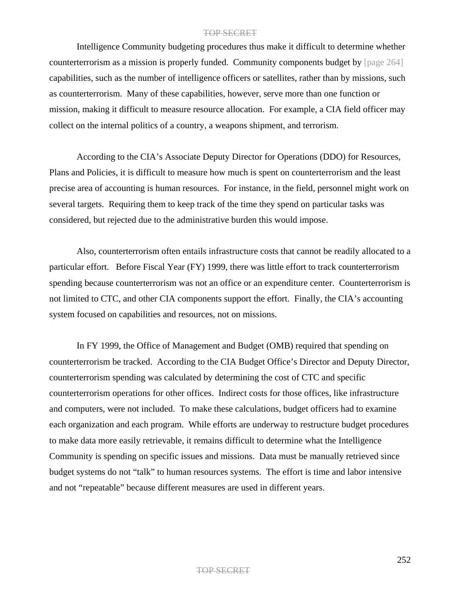Intelligence Community budgeting procedures thus make it difficult to determine whether counterterrorism as a mission is properly funded. Community components budget by [page 264] capabilities, such as the number of intelligence officers or satellites, rather than by missions, such as counterterrorism. Many of these capabilities, however, serve more than one function or mission, making it difficult to measure resource allocation. For example, a CIA field officer may collect on the internal politics of a country, a weapons shipment, and terrorism.

According to the CIA's Associate Deputy Director for Operations (DDO) for Resources, Plans and Policies, it is difficult to measure how much is spent on counterterrorism and the least precise area of accounting is human resources. For instance, in the field, personnel might work on several targets. Requiring them to keep track of the time they spend on particular tasks was considered, but rejected due to the administrative burden this would impose.

Also, counterterrorism often entails infrastructure costs that cannot be readily allocated to a particular effort. Before Fiscal Year (FY) 1999, there was little effort to track counterterrorism spending because counterterrorism was not an office or an expenditure center. Counterterrorism is not limited to CTC, and other CIA components support the effort. Finally, the CIA's accounting system focused on capabilities and resources, not on missions.

In FY 1999, the Office of Management and Budget (OMB) required that spending on counterterrorism be tracked. According to the CIA Budget Office's Director and Deputy Director, counterterrorism spending was calculated by determining the cost of CTC and specific counterterrorism operations for other offices. Indirect costs for those offices, like infrastructure and computers, were not included. To make these calculations, budget officers had to examine each organization and each program. While efforts are underway to restructure budget procedures to make data more easily retrievable, it remains difficult to determine what the Intelligence Community is spending on specific issues and missions. Data must be manually retrieved since budget systems do not "talk" to human resources systems. The effort is time and labor intensive and not "repeatable" because different measures are used in different years.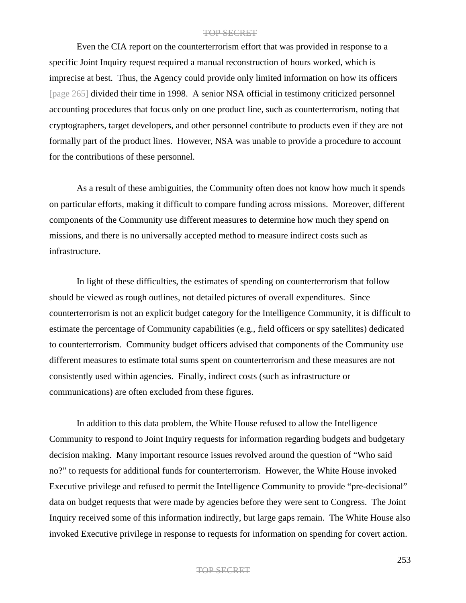Even the CIA report on the counterterrorism effort that was provided in response to a specific Joint Inquiry request required a manual reconstruction of hours worked, which is imprecise at best. Thus, the Agency could provide only limited information on how its officers [page 265] divided their time in 1998. A senior NSA official in testimony criticized personnel accounting procedures that focus only on one product line, such as counterterrorism, noting that cryptographers, target developers, and other personnel contribute to products even if they are not formally part of the product lines. However, NSA was unable to provide a procedure to account for the contributions of these personnel.

As a result of these ambiguities, the Community often does not know how much it spends on particular efforts, making it difficult to compare funding across missions. Moreover, different components of the Community use different measures to determine how much they spend on missions, and there is no universally accepted method to measure indirect costs such as infrastructure.

In light of these difficulties, the estimates of spending on counterterrorism that follow should be viewed as rough outlines, not detailed pictures of overall expenditures. Since counterterrorism is not an explicit budget category for the Intelligence Community, it is difficult to estimate the percentage of Community capabilities (e.g., field officers or spy satellites) dedicated to counterterrorism. Community budget officers advised that components of the Community use different measures to estimate total sums spent on counterterrorism and these measures are not consistently used within agencies. Finally, indirect costs (such as infrastructure or communications) are often excluded from these figures.

In addition to this data problem, the White House refused to allow the Intelligence Community to respond to Joint Inquiry requests for information regarding budgets and budgetary decision making. Many important resource issues revolved around the question of "Who said no?" to requests for additional funds for counterterrorism. However, the White House invoked Executive privilege and refused to permit the Intelligence Community to provide "pre-decisional" data on budget requests that were made by agencies before they were sent to Congress. The Joint Inquiry received some of this information indirectly, but large gaps remain. The White House also invoked Executive privilege in response to requests for information on spending for covert action.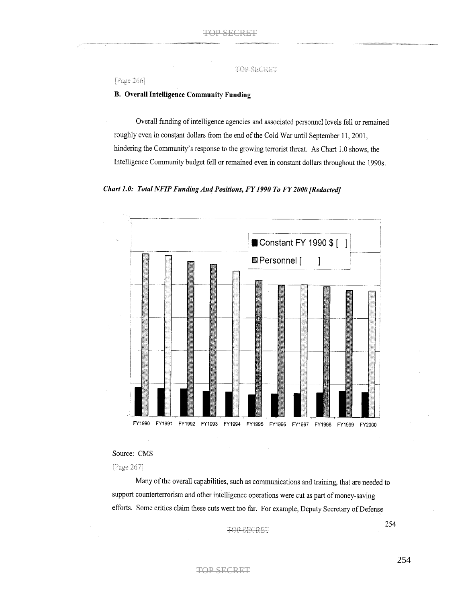TOP-SECRET

[Page 266]

#### **B.** Overall Intelligence Community Funding

Overall funding of intelligence agencies and associated personnel levels fell or remained roughly even in constant dollars from the end of the Cold War until September 11, 2001, hindering the Community's response to the growing terrorist threat. As Chart 1.0 shows, the Intelligence Community budget fell or remained even in constant dollars throughout the 1990s.





#### Source: CMS

[Page 267]

Many of the overall capabilities, such as communications and training, that are needed to support counterterrorism and other intelligence operations were cut as part of money-saving efforts. Some critics claim these cuts went too far. For example, Deputy Secretary of Defense

**TOP-SECRET** 

254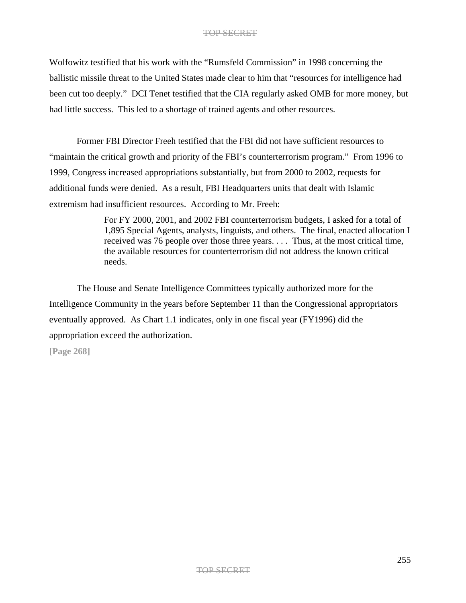Wolfowitz testified that his work with the "Rumsfeld Commission" in 1998 concerning the ballistic missile threat to the United States made clear to him that "resources for intelligence had been cut too deeply." DCI Tenet testified that the CIA regularly asked OMB for more money, but had little success. This led to a shortage of trained agents and other resources.

Former FBI Director Freeh testified that the FBI did not have sufficient resources to "maintain the critical growth and priority of the FBI's counterterrorism program." From 1996 to 1999, Congress increased appropriations substantially, but from 2000 to 2002, requests for additional funds were denied. As a result, FBI Headquarters units that dealt with Islamic extremism had insufficient resources. According to Mr. Freeh:

> For FY 2000, 2001, and 2002 FBI counterterrorism budgets, I asked for a total of 1,895 Special Agents, analysts, linguists, and others. The final, enacted allocation I received was 76 people over those three years. . . . Thus, at the most critical time, the available resources for counterterrorism did not address the known critical needs.

The House and Senate Intelligence Committees typically authorized more for the Intelligence Community in the years before September 11 than the Congressional appropriators eventually approved. As Chart 1.1 indicates, only in one fiscal year (FY1996) did the appropriation exceed the authorization.

**[Page 268]**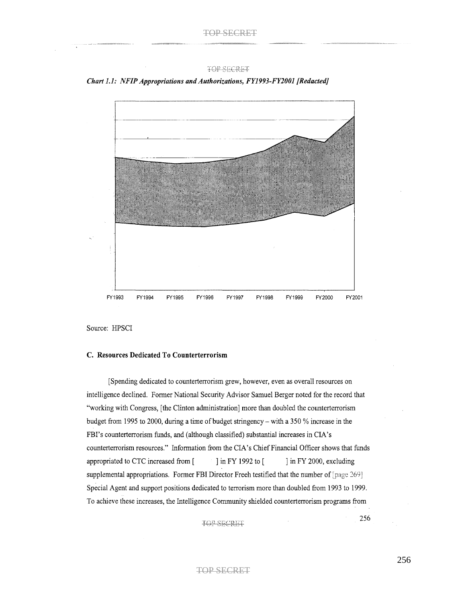

Chart 1.1: NFIP Appropriations and Authorizations, FY1993-FY2001 [Redacted]

#### C. Resources Dedicated To Counterterrorism

[Spending dedicated to counterterrorism grew, however, even as overall resources on intelligence declined. Former National Security Advisor Samuel Berger noted for the record that "working with Congress, [the Clinton administration] more than doubled the counterterrorism budget from 1995 to 2000, during a time of budget stringency – with a 350 % increase in the FBI's counterterrorism funds, and (although classified) substantial increases in CIA's counterterrorism resources." Information from the CIA's Chief Financial Officer shows that funds appropriated to CTC increased from [ ] in FY 1992 to [ ] in FY 2000, excluding supplemental appropriations. Former FBI Director Freeh testified that the number of [page 269] Special Agent and support positions dedicated to terrorism more than doubled from 1993 to 1999. To achieve these increases, the Intelligence Community shielded counterterrorism programs from

TOP-SECRET

256

Source: HPSCI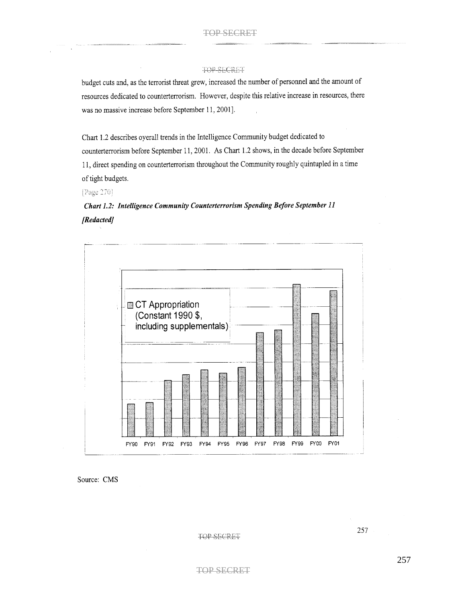budget cuts and, as the terrorist threat grew, increased the number of personnel and the amount of resources dedicated to counterterrorism. However, despite this relative increase in resources, there was no massive increase before September 11, 2001].

Chart 1.2 describes overall trends in the Intelligence Community budget dedicated to counterterrorism before September 11, 2001. As Chart 1.2 shows, in the decade before September 11, direct spending on counterterrorism throughout the Community roughly quintupled in a time of tight budgets.

[Page 270]

Chart 1.2: Intelligence Community Counterterrorism Spending Before September 11 [Redacted]



Source: CMS

**TOP-SECRET** 

257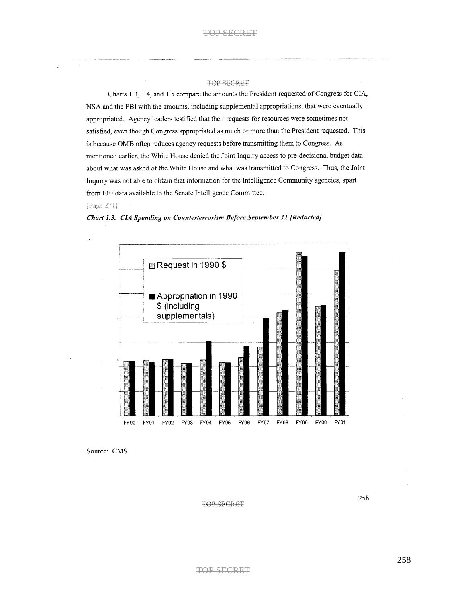Charts 1.3, 1.4, and 1.5 compare the amounts the President requested of Congress for CIA, NSA and the FBI with the amounts, including supplemental appropriations, that were eventually appropriated. Agency leaders testified that their requests for resources were sometimes not satisfied, even though Congress appropriated as much or more than the President requested. This is because OMB often reduces agency requests before transmitting them to Congress. As mentioned earlier, the White House denied the Joint Inquiry access to pre-decisional budget data about what was asked of the White House and what was transmitted to Congress. Thus, the Joint Inquiry was not able to obtain that information for the Intelligence Community agencies, apart from FBI data available to the Senate Intelligence Committee.

#### [Page 271]

 $\ddot{\phantom{0}}$ 





Source: CMS

TOP SECRET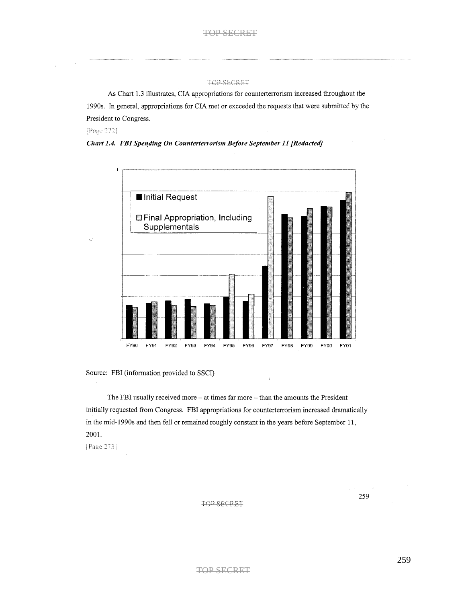#### TOP-SECRET

As Chart 1.3 illustrates, CIA appropriations for counterterrorism increased throughout the 1990s. In general, appropriations for CIA met or exceeded the requests that were submitted by the President to Congress.

[Page 272]

Chart 1.4. FBI Spending On Counterterrorism Before September 11 [Redacted]



Source: FBI (information provided to SSCI)

The FBI usually received more - at times far more - than the amounts the President initially requested from Congress. FBI appropriations for counterterrorism increased dramatically in the mid-1990s and then fell or remained roughly constant in the years before September 11, 2001.

ĵ

[Page 273]

#### TOP SECRET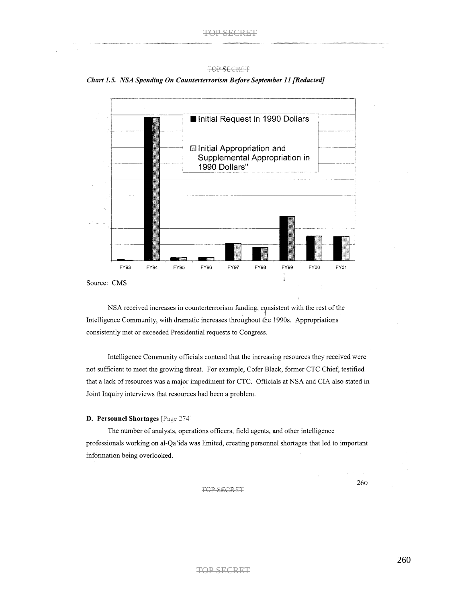Chart 1.5. NSA Spending On Counterterrorism Before September 11 [Redacted]



NSA received increases in counterterrorism funding, consistent with the rest of the Intelligence Community, with dramatic increases throughout the 1990s. Appropriations consistently met or exceeded Presidential requests to Congress.

Intelligence Community officials contend that the increasing resources they received were not sufficient to meet the growing threat. For example, Cofer Black, former CTC Chief, testified that a lack of resources was a major impediment for CTC. Officials at NSA and CIA also stated in Joint Inquiry interviews that resources had been a problem.

#### D. Personnel Shortages [Page 274]

The number of analysts, operations officers, field agents, and other intelligence professionals working on al-Qa'ida was limited, creating personnel shortages that led to important information being overlooked.

TOP SECRET

260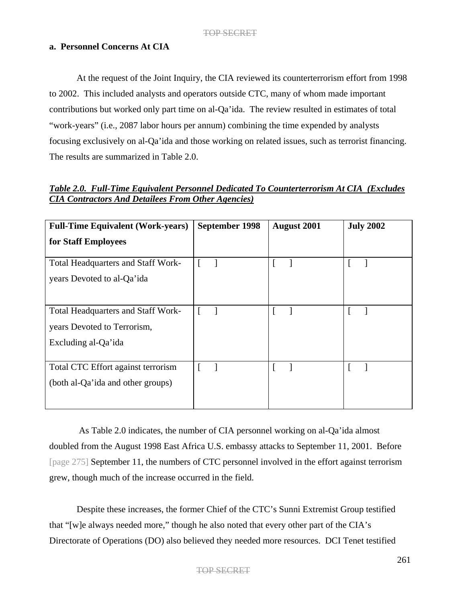# **a. Personnel Concerns At CIA**

At the request of the Joint Inquiry, the CIA reviewed its counterterrorism effort from 1998 to 2002. This included analysts and operators outside CTC, many of whom made important contributions but worked only part time on al-Qa'ida. The review resulted in estimates of total "work-years" (i.e., 2087 labor hours per annum) combining the time expended by analysts focusing exclusively on al-Qa'ida and those working on related issues, such as terrorist financing. The results are summarized in Table 2.0.

|  | Table 2.0. Full-Time Equivalent Personnel Dedicated To Counterterrorism At CIA (Excludes |  |  |  |  |
|--|------------------------------------------------------------------------------------------|--|--|--|--|
|  | <b>CIA Contractors And Detailees From Other Agencies</b> )                               |  |  |  |  |

| September 1998 | <b>August 2001</b> | <b>July 2002</b> |
|----------------|--------------------|------------------|
|                |                    |                  |
|                |                    |                  |
|                |                    |                  |
|                |                    |                  |
|                |                    |                  |
|                |                    |                  |
|                |                    |                  |
|                |                    |                  |
|                |                    |                  |
|                |                    |                  |
|                |                    |                  |
|                |                    |                  |
|                |                    |                  |
|                |                    |                  |

As Table 2.0 indicates, the number of CIA personnel working on al-Qa'ida almost doubled from the August 1998 East Africa U.S. embassy attacks to September 11, 2001. Before [page 275] September 11, the numbers of CTC personnel involved in the effort against terrorism grew, though much of the increase occurred in the field.

Despite these increases, the former Chief of the CTC's Sunni Extremist Group testified that "[w]e always needed more," though he also noted that every other part of the CIA's Directorate of Operations (DO) also believed they needed more resources. DCI Tenet testified

## TOP SECRET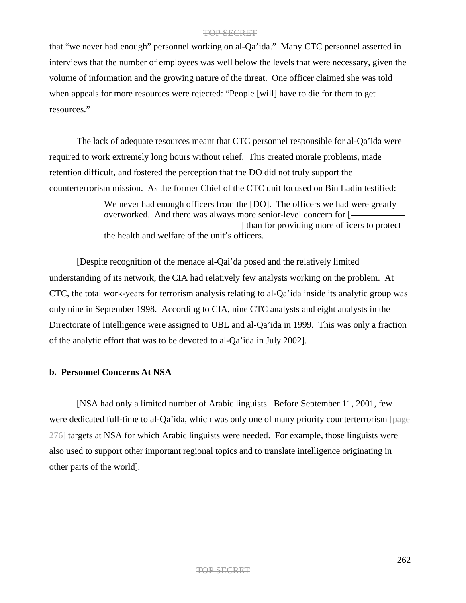that "we never had enough" personnel working on al-Qa'ida." Many CTC personnel asserted in interviews that the number of employees was well below the levels that were necessary, given the volume of information and the growing nature of the threat. One officer claimed she was told when appeals for more resources were rejected: "People [will] have to die for them to get resources."

The lack of adequate resources meant that CTC personnel responsible for al-Qa'ida were required to work extremely long hours without relief. This created morale problems, made retention difficult, and fostered the perception that the DO did not truly support the counterterrorism mission. As the former Chief of the CTC unit focused on Bin Ladin testified:

> We never had enough officers from the [DO]. The officers we had were greatly overworked. And there was always more senior-level concern for [ -1 than for providing more officers to protect the health and welfare of the unit's officers.

[Despite recognition of the menace al-Qai'da posed and the relatively limited understanding of its network, the CIA had relatively few analysts working on the problem. At CTC, the total work-years for terrorism analysis relating to al-Qa'ida inside its analytic group was only nine in September 1998. According to CIA, nine CTC analysts and eight analysts in the Directorate of Intelligence were assigned to UBL and al-Qa'ida in 1999. This was only a fraction of the analytic effort that was to be devoted to al-Qa'ida in July 2002].

# **b. Personnel Concerns At NSA**

[NSA had only a limited number of Arabic linguists. Before September 11, 2001, few were dedicated full-time to al-Qa'ida, which was only one of many priority counterterrorism [page 276] targets at NSA for which Arabic linguists were needed. For example, those linguists were also used to support other important regional topics and to translate intelligence originating in other parts of the world]*.*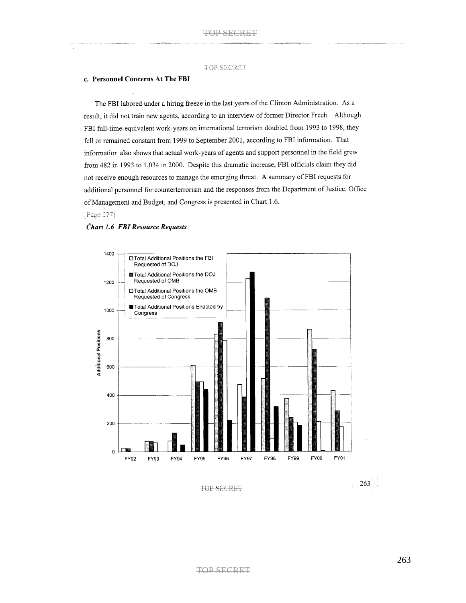#### c. Personnel Concerns At The FBI

The FBI labored under a hiring freeze in the last years of the Clinton Administration. As a result, it did not train new agents, according to an interview of former Director Freeh. Although FBI full-time-equivalent work-years on international terrorism doubled from 1993 to 1998, they fell or remained constant from 1999 to September 2001, according to FBI information. That information also shows that actual work-years of agents and support personnel in the field grew from 482 in 1993 to 1,034 in 2000. Despite this dramatic increase, FBI officials claim they did not receive enough resources to manage the emerging threat. A summary of FBI requests for additional personnel for counterterrorism and the responses from the Department of Justice, Office of Management and Budget, and Congress is presented in Chart 1.6.

### [Page 277]

### Chart 1.6 FBI Resource Requests



TOP SECRET

263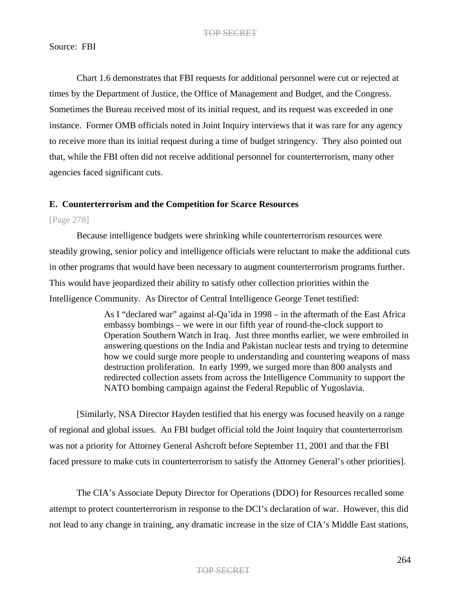# Source: FBI

Chart 1.6 demonstrates that FBI requests for additional personnel were cut or rejected at times by the Department of Justice, the Office of Management and Budget, and the Congress. Sometimes the Bureau received most of its initial request, and its request was exceeded in one instance. Former OMB officials noted in Joint Inquiry interviews that it was rare for any agency to receive more than its initial request during a time of budget stringency. They also pointed out that, while the FBI often did not receive additional personnel for counterterrorism, many other agencies faced significant cuts.

# **E. Counterterrorism and the Competition for Scarce Resources**

# [Page 278]

Because intelligence budgets were shrinking while counterterrorism resources were steadily growing, senior policy and intelligence officials were reluctant to make the additional cuts in other programs that would have been necessary to augment counterterrorism programs further. This would have jeopardized their ability to satisfy other collection priorities within the Intelligence Community. As Director of Central Intelligence George Tenet testified:

> As I "declared war" against al-Qa'ida in 1998 – in the aftermath of the East Africa embassy bombings – we were in our fifth year of round-the-clock support to Operation Southern Watch in Iraq. Just three months earlier, we were embroiled in answering questions on the India and Pakistan nuclear tests and trying to determine how we could surge more people to understanding and countering weapons of mass destruction proliferation. In early 1999, we surged more than 800 analysts and redirected collection assets from across the Intelligence Community to support the NATO bombing campaign against the Federal Republic of Yugoslavia.

[Similarly, NSA Director Hayden testified that his energy was focused heavily on a range of regional and global issues. An FBI budget official told the Joint Inquiry that counterterrorism was not a priority for Attorney General Ashcroft before September 11, 2001 and that the FBI faced pressure to make cuts in counterterrorism to satisfy the Attorney General's other priorities].

The CIA's Associate Deputy Director for Operations (DDO) for Resources recalled some attempt to protect counterterrorism in response to the DCI's declaration of war. However, this did not lead to any change in training, any dramatic increase in the size of CIA's Middle East stations,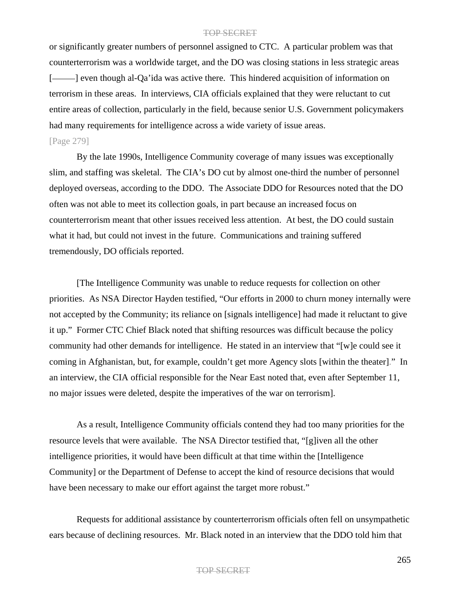or significantly greater numbers of personnel assigned to CTC. A particular problem was that counterterrorism was a worldwide target, and the DO was closing stations in less strategic areas [- | even though al-Qa'ida was active there. This hindered acquisition of information on terrorism in these areas. In interviews, CIA officials explained that they were reluctant to cut entire areas of collection, particularly in the field, because senior U.S. Government policymakers had many requirements for intelligence across a wide variety of issue areas. [Page 279]

By the late 1990s, Intelligence Community coverage of many issues was exceptionally slim, and staffing was skeletal. The CIA's DO cut by almost one-third the number of personnel deployed overseas, according to the DDO. The Associate DDO for Resources noted that the DO often was not able to meet its collection goals, in part because an increased focus on counterterrorism meant that other issues received less attention. At best, the DO could sustain what it had, but could not invest in the future. Communications and training suffered tremendously, DO officials reported.

[The Intelligence Community was unable to reduce requests for collection on other priorities. As NSA Director Hayden testified, "Our efforts in 2000 to churn money internally were not accepted by the Community; its reliance on [signals intelligence] had made it reluctant to give it up." Former CTC Chief Black noted that shifting resources was difficult because the policy community had other demands for intelligence. He stated in an interview that "[w]e could see it coming in Afghanistan, but, for example, couldn't get more Agency slots [within the theater]." In an interview, the CIA official responsible for the Near East noted that, even after September 11, no major issues were deleted, despite the imperatives of the war on terrorism].

As a result, Intelligence Community officials contend they had too many priorities for the resource levels that were available. The NSA Director testified that, "[g]iven all the other intelligence priorities, it would have been difficult at that time within the [Intelligence Community] or the Department of Defense to accept the kind of resource decisions that would have been necessary to make our effort against the target more robust."

Requests for additional assistance by counterterrorism officials often fell on unsympathetic ears because of declining resources. Mr. Black noted in an interview that the DDO told him that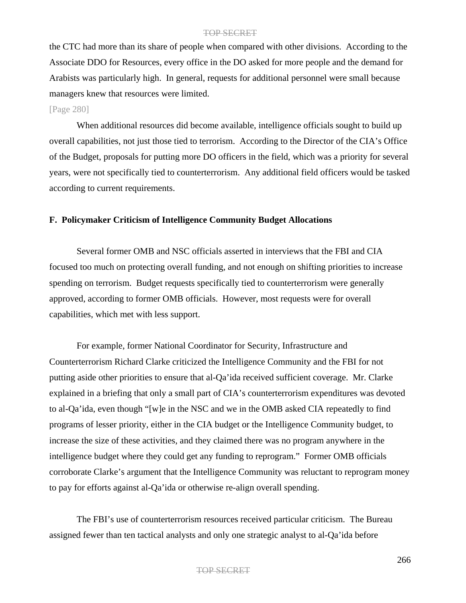the CTC had more than its share of people when compared with other divisions. According to the Associate DDO for Resources, every office in the DO asked for more people and the demand for Arabists was particularly high. In general, requests for additional personnel were small because managers knew that resources were limited.

# [Page 280]

When additional resources did become available, intelligence officials sought to build up overall capabilities, not just those tied to terrorism. According to the Director of the CIA's Office of the Budget, proposals for putting more DO officers in the field, which was a priority for several years, were not specifically tied to counterterrorism. Any additional field officers would be tasked according to current requirements.

## **F. Policymaker Criticism of Intelligence Community Budget Allocations**

Several former OMB and NSC officials asserted in interviews that the FBI and CIA focused too much on protecting overall funding, and not enough on shifting priorities to increase spending on terrorism. Budget requests specifically tied to counterterrorism were generally approved, according to former OMB officials. However, most requests were for overall capabilities, which met with less support.

For example, former National Coordinator for Security, Infrastructure and Counterterrorism Richard Clarke criticized the Intelligence Community and the FBI for not putting aside other priorities to ensure that al-Qa'ida received sufficient coverage. Mr. Clarke explained in a briefing that only a small part of CIA's counterterrorism expenditures was devoted to al-Qa'ida, even though "[w]e in the NSC and we in the OMB asked CIA repeatedly to find programs of lesser priority, either in the CIA budget or the Intelligence Community budget, to increase the size of these activities, and they claimed there was no program anywhere in the intelligence budget where they could get any funding to reprogram." Former OMB officials corroborate Clarke's argument that the Intelligence Community was reluctant to reprogram money to pay for efforts against al-Qa'ida or otherwise re-align overall spending.

The FBI's use of counterterrorism resources received particular criticism. The Bureau assigned fewer than ten tactical analysts and only one strategic analyst to al-Qa'ida before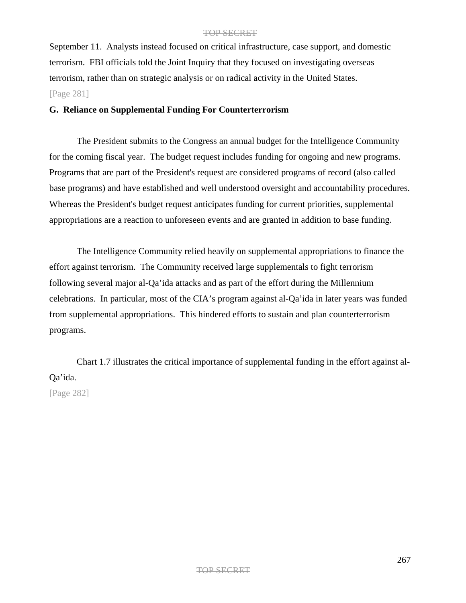September 11. Analysts instead focused on critical infrastructure, case support, and domestic terrorism. FBI officials told the Joint Inquiry that they focused on investigating overseas terrorism, rather than on strategic analysis or on radical activity in the United States. [Page 281]

## **G. Reliance on Supplemental Funding For Counterterrorism**

The President submits to the Congress an annual budget for the Intelligence Community for the coming fiscal year. The budget request includes funding for ongoing and new programs. Programs that are part of the President's request are considered programs of record (also called base programs) and have established and well understood oversight and accountability procedures. Whereas the President's budget request anticipates funding for current priorities, supplemental appropriations are a reaction to unforeseen events and are granted in addition to base funding.

The Intelligence Community relied heavily on supplemental appropriations to finance the effort against terrorism. The Community received large supplementals to fight terrorism following several major al-Qa'ida attacks and as part of the effort during the Millennium celebrations. In particular, most of the CIA's program against al-Qa'ida in later years was funded from supplemental appropriations. This hindered efforts to sustain and plan counterterrorism programs.

Chart 1.7 illustrates the critical importance of supplemental funding in the effort against al-Qa'ida.

[Page 282]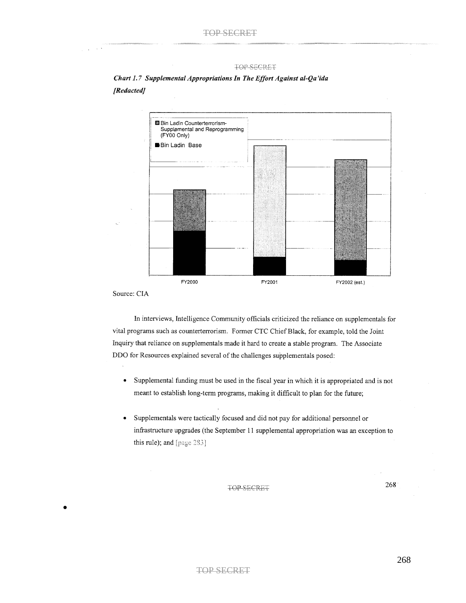

Chart 1.7 Supplemental Appropriations In The Effort Against al-Qa'ida [Redacted]

Source: CIA

•

In interviews, Intelligence Community officials criticized the reliance on supplementals for vital programs such as counterterrorism. Former CTC Chief Black, for example, told the Joint Inquiry that reliance on supplementals made it hard to create a stable program. The Associate DDO for Resources explained several of the challenges supplementals posed:

- $\bullet$ Supplemental funding must be used in the fiscal year in which it is appropriated and is not meant to establish long-term programs, making it difficult to plan for the future;
- $\bullet$ Supplementals were tactically focused and did not pay for additional personnel or infrastructure upgrades (the September 11 supplemental appropriation was an exception to this rule); and  $[page 283]$

**TOP SECRET** 

268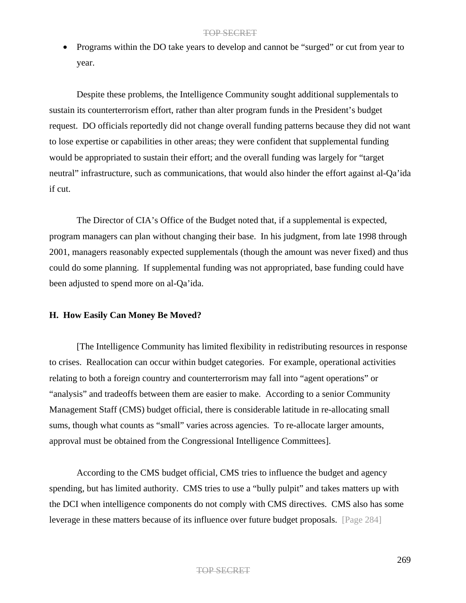• Programs within the DO take years to develop and cannot be "surged" or cut from year to year.

Despite these problems, the Intelligence Community sought additional supplementals to sustain its counterterrorism effort, rather than alter program funds in the President's budget request. DO officials reportedly did not change overall funding patterns because they did not want to lose expertise or capabilities in other areas; they were confident that supplemental funding would be appropriated to sustain their effort; and the overall funding was largely for "target neutral" infrastructure, such as communications, that would also hinder the effort against al-Qa'ida if cut.

The Director of CIA's Office of the Budget noted that, if a supplemental is expected, program managers can plan without changing their base. In his judgment, from late 1998 through 2001, managers reasonably expected supplementals (though the amount was never fixed) and thus could do some planning. If supplemental funding was not appropriated, base funding could have been adjusted to spend more on al-Qa'ida.

## **H. How Easily Can Money Be Moved?**

[The Intelligence Community has limited flexibility in redistributing resources in response to crises. Reallocation can occur within budget categories. For example, operational activities relating to both a foreign country and counterterrorism may fall into "agent operations" or "analysis" and tradeoffs between them are easier to make. According to a senior Community Management Staff (CMS) budget official, there is considerable latitude in re-allocating small sums, though what counts as "small" varies across agencies. To re-allocate larger amounts, approval must be obtained from the Congressional Intelligence Committees].

According to the CMS budget official, CMS tries to influence the budget and agency spending, but has limited authority. CMS tries to use a "bully pulpit" and takes matters up with the DCI when intelligence components do not comply with CMS directives. CMS also has some leverage in these matters because of its influence over future budget proposals. [Page 284]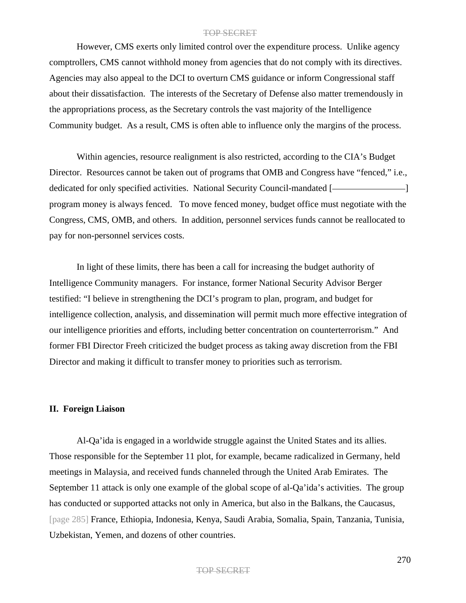However, CMS exerts only limited control over the expenditure process. Unlike agency comptrollers, CMS cannot withhold money from agencies that do not comply with its directives. Agencies may also appeal to the DCI to overturn CMS guidance or inform Congressional staff about their dissatisfaction. The interests of the Secretary of Defense also matter tremendously in the appropriations process, as the Secretary controls the vast majority of the Intelligence Community budget. As a result, CMS is often able to influence only the margins of the process.

Within agencies, resource realignment is also restricted, according to the CIA's Budget Director. Resources cannot be taken out of programs that OMB and Congress have "fenced," i.e., dedicated for only specified activities. National Security Council-mandated [program money is always fenced. To move fenced money, budget office must negotiate with the Congress, CMS, OMB, and others. In addition, personnel services funds cannot be reallocated to pay for non-personnel services costs.

In light of these limits, there has been a call for increasing the budget authority of Intelligence Community managers. For instance, former National Security Advisor Berger testified: "I believe in strengthening the DCI's program to plan, program, and budget for intelligence collection, analysis, and dissemination will permit much more effective integration of our intelligence priorities and efforts, including better concentration on counterterrorism." And former FBI Director Freeh criticized the budget process as taking away discretion from the FBI Director and making it difficult to transfer money to priorities such as terrorism.

## **II. Foreign Liaison**

Al-Qa'ida is engaged in a worldwide struggle against the United States and its allies. Those responsible for the September 11 plot, for example, became radicalized in Germany, held meetings in Malaysia, and received funds channeled through the United Arab Emirates. The September 11 attack is only one example of the global scope of al-Qa'ida's activities. The group has conducted or supported attacks not only in America, but also in the Balkans, the Caucasus, [page 285] France, Ethiopia, Indonesia, Kenya, Saudi Arabia, Somalia, Spain, Tanzania, Tunisia, Uzbekistan, Yemen, and dozens of other countries.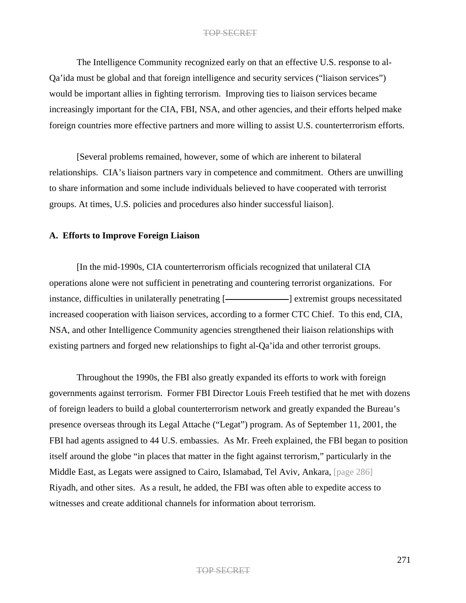The Intelligence Community recognized early on that an effective U.S. response to al-Qa'ida must be global and that foreign intelligence and security services ("liaison services") would be important allies in fighting terrorism. Improving ties to liaison services became increasingly important for the CIA, FBI, NSA, and other agencies, and their efforts helped make foreign countries more effective partners and more willing to assist U.S. counterterrorism efforts.

[Several problems remained, however, some of which are inherent to bilateral relationships. CIA's liaison partners vary in competence and commitment. Others are unwilling to share information and some include individuals believed to have cooperated with terrorist groups. At times, U.S. policies and procedures also hinder successful liaison].

## **A. Efforts to Improve Foreign Liaison**

[In the mid-1990s, CIA counterterrorism officials recognized that unilateral CIA operations alone were not sufficient in penetrating and countering terrorist organizations. For instance, difficulties in unilaterally penetrating [- extremist groups necessitated increased cooperation with liaison services, according to a former CTC Chief. To this end, CIA, NSA, and other Intelligence Community agencies strengthened their liaison relationships with existing partners and forged new relationships to fight al-Qa'ida and other terrorist groups.

Throughout the 1990s, the FBI also greatly expanded its efforts to work with foreign governments against terrorism. Former FBI Director Louis Freeh testified that he met with dozens of foreign leaders to build a global counterterrorism network and greatly expanded the Bureau's presence overseas through its Legal Attache ("Legat") program. As of September 11, 2001, the FBI had agents assigned to 44 U.S. embassies. As Mr. Freeh explained, the FBI began to position itself around the globe "in places that matter in the fight against terrorism," particularly in the Middle East, as Legats were assigned to Cairo, Islamabad, Tel Aviv, Ankara, [page 286] Riyadh, and other sites. As a result, he added, the FBI was often able to expedite access to witnesses and create additional channels for information about terrorism.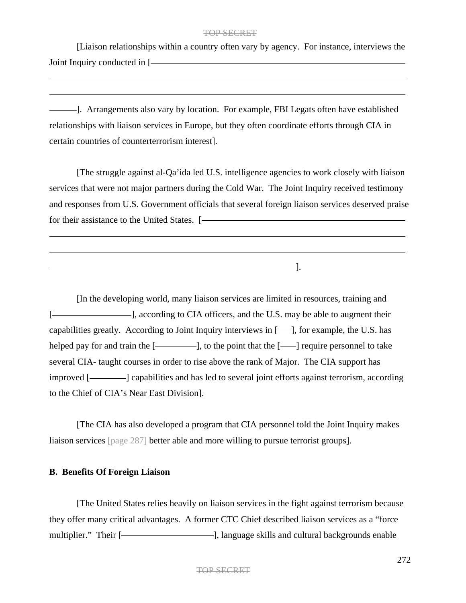[Liaison relationships within a country often vary by agency. For instance, interviews the Joint Inquiry conducted in [

]. Arrangements also vary by location. For example, FBI Legats often have established relationships with liaison services in Europe, but they often coordinate efforts through CIA in certain countries of counterterrorism interest].

[The struggle against al-Qa'ida led U.S. intelligence agencies to work closely with liaison services that were not major partners during the Cold War. The Joint Inquiry received testimony and responses from U.S. Government officials that several foreign liaison services deserved praise for their assistance to the United States. [- The Context of the United States.  $\sim$  1000  $\mu$ 

].

[In the developing world, many liaison services are limited in resources, training and [-**]**, according to CIA officers, and the U.S. may be able to augment their capabilities greatly. According to Joint Inquiry interviews in  $[-]$ , for example, the U.S. has helped pay for and train the [ ], to the point that the [ ] require personnel to take several CIA- taught courses in order to rise above the rank of Major. The CIA support has improved [- | | capabilities and has led to several joint efforts against terrorism, according to the Chief of CIA's Near East Division].

[The CIA has also developed a program that CIA personnel told the Joint Inquiry makes liaison services [page 287] better able and more willing to pursue terrorist groups].

# **B. Benefits Of Foreign Liaison**

[The United States relies heavily on liaison services in the fight against terrorism because they offer many critical advantages. A former CTC Chief described liaison services as a "force multiplier." Their [- [ ], language skills and cultural backgrounds enable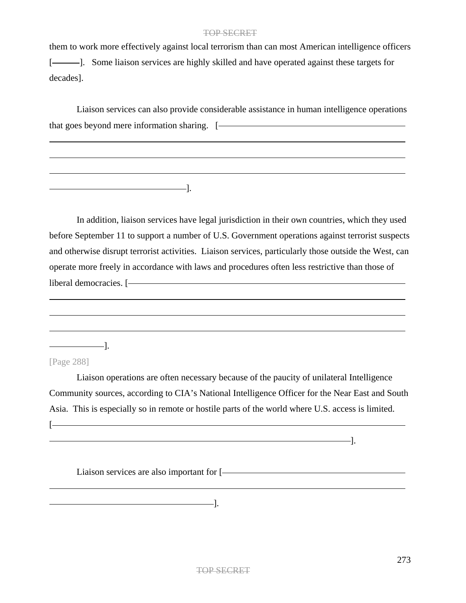them to work more effectively against local terrorism than can most American intelligence officers [ ]. Some liaison services are highly skilled and have operated against these targets for decades].

Liaison services can also provide considerable assistance in human intelligence operations that goes beyond mere information sharing. [

In addition, liaison services have legal jurisdiction in their own countries, which they used before September 11 to support a number of U.S. Government operations against terrorist suspects and otherwise disrupt terrorist activities. Liaison services, particularly those outside the West, can operate more freely in accordance with laws and procedures often less restrictive than those of liberal democracies. [- The matter of the state of the state of the state of the state of the state of the state of the state of the state of the state of the state of the state of the state of the state of the state of th

 $\overline{\phantom{a}}$  .

[Page 288]

**[** 

Liaison operations are often necessary because of the paucity of unilateral Intelligence Community sources, according to CIA's National Intelligence Officer for the Near East and South Asia. This is especially so in remote or hostile parts of the world where U.S. access is limited.

Liaison services are also important for [

].

 $\overline{\phantom{a}}$  .

TOP SECRET

].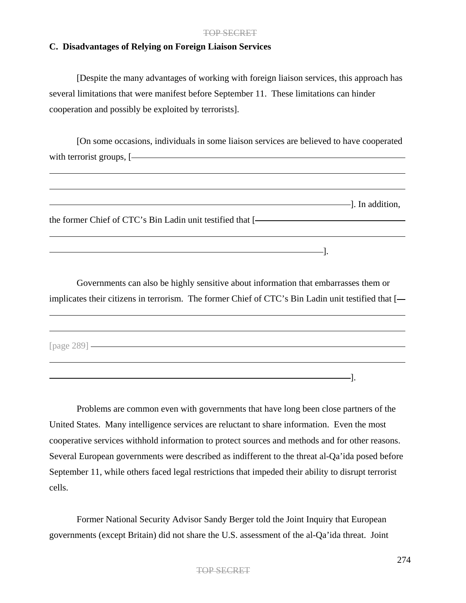# **C. Disadvantages of Relying on Foreign Liaison Services**

[Despite the many advantages of working with foreign liaison services, this approach has several limitations that were manifest before September 11. These limitations can hinder cooperation and possibly be exploited by terrorists].

[On some occasions, individuals in some liaison services are believed to have cooperated with terrorist groups, [ $\overline{\phantom{a}}$ 

]. In addition, the former Chief of CTC's Bin Ladin unit testified that [  $\frac{1}{2}$  . The contract of the contract of the contract of the contract of the contract of the contract of the contract of the contract of the contract of the contract of the contract of the contract of the contract of t

Governments can also be highly sensitive about information that embarrasses them or implicates their citizens in terrorism. The former Chief of CTC's Bin Ladin unit testified that [

[page 289]

Problems are common even with governments that have long been close partners of the United States. Many intelligence services are reluctant to share information. Even the most cooperative services withhold information to protect sources and methods and for other reasons. Several European governments were described as indifferent to the threat al-Qa'ida posed before September 11, while others faced legal restrictions that impeded their ability to disrupt terrorist cells.

].

Former National Security Advisor Sandy Berger told the Joint Inquiry that European governments (except Britain) did not share the U.S. assessment of the al-Qa'ida threat. Joint

## TOP SECRET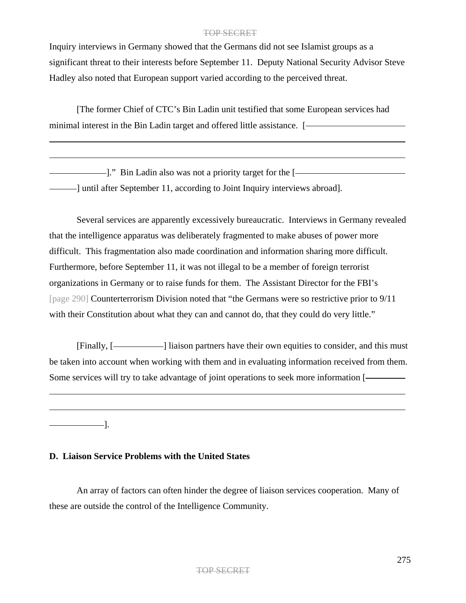Inquiry interviews in Germany showed that the Germans did not see Islamist groups as a significant threat to their interests before September 11. Deputy National Security Advisor Steve Hadley also noted that European support varied according to the perceived threat.

[The former Chief of CTC's Bin Ladin unit testified that some European services had minimal interest in the Bin Ladin target and offered little assistance. [

]." Bin Ladin also was not a priority target for the [ ] until after September 11, according to Joint Inquiry interviews abroad].

Several services are apparently excessively bureaucratic. Interviews in Germany revealed that the intelligence apparatus was deliberately fragmented to make abuses of power more difficult. This fragmentation also made coordination and information sharing more difficult. Furthermore, before September 11, it was not illegal to be a member of foreign terrorist organizations in Germany or to raise funds for them. The Assistant Director for the FBI's [page 290] Counterterrorism Division noted that "the Germans were so restrictive prior to 9/11 with their Constitution about what they can and cannot do, that they could do very little."

[Finally, [-**]** liaison partners have their own equities to consider, and this must be taken into account when working with them and in evaluating information received from them. Some services will try to take advantage of joint operations to seek more information [

 $\overline{\phantom{a}}$ .

# **D. Liaison Service Problems with the United States**

An array of factors can often hinder the degree of liaison services cooperation. Many of these are outside the control of the Intelligence Community.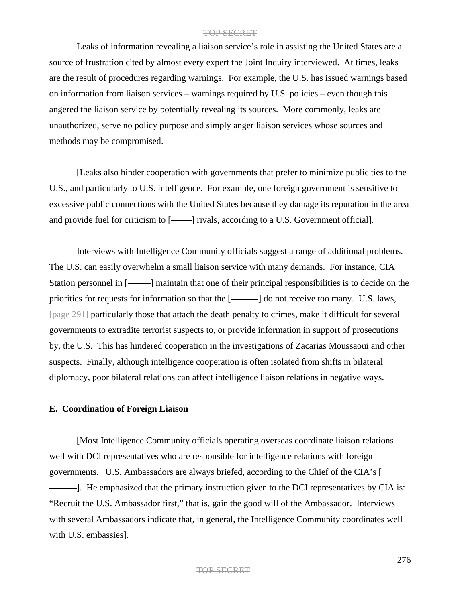Leaks of information revealing a liaison service's role in assisting the United States are a source of frustration cited by almost every expert the Joint Inquiry interviewed. At times, leaks are the result of procedures regarding warnings. For example, the U.S. has issued warnings based on information from liaison services – warnings required by U.S. policies – even though this angered the liaison service by potentially revealing its sources. More commonly, leaks are unauthorized, serve no policy purpose and simply anger liaison services whose sources and methods may be compromised.

[Leaks also hinder cooperation with governments that prefer to minimize public ties to the U.S., and particularly to U.S. intelligence. For example, one foreign government is sensitive to excessive public connections with the United States because they damage its reputation in the area and provide fuel for criticism to  $[-]$  rivals, according to a U.S. Government official.

Interviews with Intelligence Community officials suggest a range of additional problems. The U.S. can easily overwhelm a small liaison service with many demands. For instance, CIA Station personnel in [- - ] maintain that one of their principal responsibilities is to decide on the priorities for requests for information so that the  $[$ ——] do not receive too many. U.S. laws, [page 291] particularly those that attach the death penalty to crimes, make it difficult for several governments to extradite terrorist suspects to, or provide information in support of prosecutions by, the U.S. This has hindered cooperation in the investigations of Zacarias Moussaoui and other suspects. Finally, although intelligence cooperation is often isolated from shifts in bilateral diplomacy, poor bilateral relations can affect intelligence liaison relations in negative ways.

## **E. Coordination of Foreign Liaison**

[Most Intelligence Community officials operating overseas coordinate liaison relations well with DCI representatives who are responsible for intelligence relations with foreign governments. U.S. Ambassadors are always briefed, according to the Chief of the CIA's [ ]. He emphasized that the primary instruction given to the DCI representatives by CIA is: "Recruit the U.S. Ambassador first," that is, gain the good will of the Ambassador. Interviews with several Ambassadors indicate that, in general, the Intelligence Community coordinates well with U.S. embassies].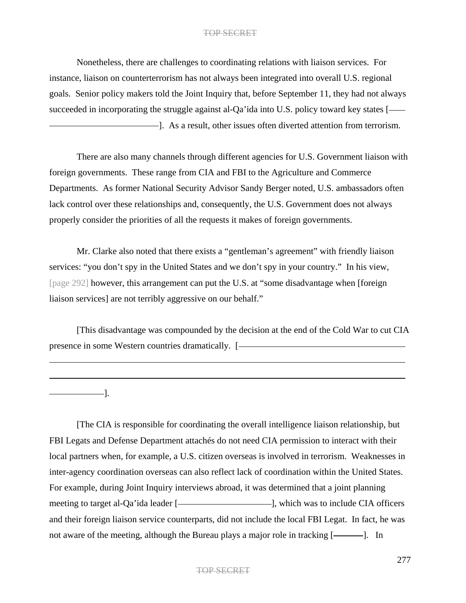Nonetheless, there are challenges to coordinating relations with liaison services. For instance, liaison on counterterrorism has not always been integrated into overall U.S. regional goals. Senior policy makers told the Joint Inquiry that, before September 11, they had not always succeeded in incorporating the struggle against al-Qa'ida into U.S. policy toward key states [- $-$ ]. As a result, other issues often diverted attention from terrorism.

There are also many channels through different agencies for U.S. Government liaison with foreign governments. These range from CIA and FBI to the Agriculture and Commerce Departments. As former National Security Advisor Sandy Berger noted, U.S. ambassadors often lack control over these relationships and, consequently, the U.S. Government does not always properly consider the priorities of all the requests it makes of foreign governments.

Mr. Clarke also noted that there exists a "gentleman's agreement" with friendly liaison services: "you don't spy in the United States and we don't spy in your country." In his view, [page 292] however, this arrangement can put the U.S. at "some disadvantage when [foreign liaison services] are not terribly aggressive on our behalf."

[This disadvantage was compounded by the decision at the end of the Cold War to cut CIA presence in some Western countries dramatically. [

 $\overline{\phantom{a}}$ .

[The CIA is responsible for coordinating the overall intelligence liaison relationship, but FBI Legats and Defense Department attachés do not need CIA permission to interact with their local partners when, for example, a U.S. citizen overseas is involved in terrorism. Weaknesses in inter-agency coordination overseas can also reflect lack of coordination within the United States. For example, during Joint Inquiry interviews abroad, it was determined that a joint planning meeting to target al-Qa'ida leader [- ], which was to include CIA officers and their foreign liaison service counterparts, did not include the local FBI Legat. In fact, he was not aware of the meeting, although the Bureau plays a major role in tracking [---------]. In

## TOP SECRET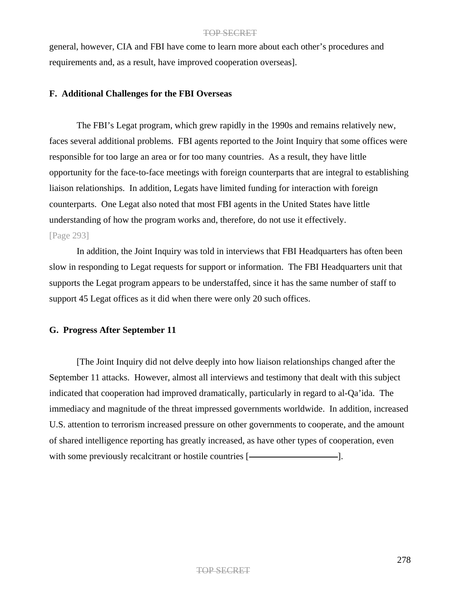general, however, CIA and FBI have come to learn more about each other's procedures and requirements and, as a result, have improved cooperation overseas].

# **F. Additional Challenges for the FBI Overseas**

The FBI's Legat program, which grew rapidly in the 1990s and remains relatively new, faces several additional problems. FBI agents reported to the Joint Inquiry that some offices were responsible for too large an area or for too many countries. As a result, they have little opportunity for the face-to-face meetings with foreign counterparts that are integral to establishing liaison relationships. In addition, Legats have limited funding for interaction with foreign counterparts. One Legat also noted that most FBI agents in the United States have little understanding of how the program works and, therefore, do not use it effectively.

# [Page 293]

In addition, the Joint Inquiry was told in interviews that FBI Headquarters has often been slow in responding to Legat requests for support or information. The FBI Headquarters unit that supports the Legat program appears to be understaffed, since it has the same number of staff to support 45 Legat offices as it did when there were only 20 such offices.

# **G. Progress After September 11**

[The Joint Inquiry did not delve deeply into how liaison relationships changed after the September 11 attacks. However, almost all interviews and testimony that dealt with this subject indicated that cooperation had improved dramatically, particularly in regard to al-Qa'ida. The immediacy and magnitude of the threat impressed governments worldwide. In addition, increased U.S. attention to terrorism increased pressure on other governments to cooperate, and the amount of shared intelligence reporting has greatly increased, as have other types of cooperation, even with some previously recalcitrant or hostile countries [ ].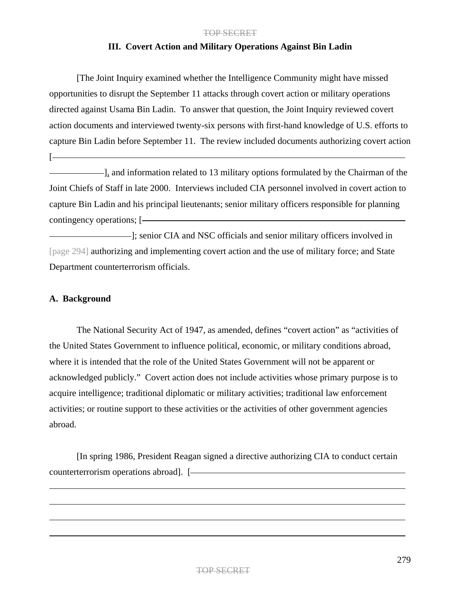## **III. Covert Action and Military Operations Against Bin Ladin**

[The Joint Inquiry examined whether the Intelligence Community might have missed opportunities to disrupt the September 11 attacks through covert action or military operations directed against Usama Bin Ladin. To answer that question, the Joint Inquiry reviewed covert action documents and interviewed twenty-six persons with first-hand knowledge of U.S. efforts to capture Bin Ladin before September 11. The review included documents authorizing covert action

 $\Box$ , and information related to 13 military options formulated by the Chairman of the Joint Chiefs of Staff in late 2000. Interviews included CIA personnel involved in covert action to capture Bin Ladin and his principal lieutenants; senior military officers responsible for planning contingency operations; [

 $\blacksquare$ ; senior CIA and NSC officials and senior military officers involved in [page 294] authorizing and implementing covert action and the use of military force; and State Department counterterrorism officials.

# **A. Background**

[

The National Security Act of 1947, as amended, defines "covert action" as "activities of the United States Government to influence political, economic, or military conditions abroad, where it is intended that the role of the United States Government will not be apparent or acknowledged publicly." Covert action does not include activities whose primary purpose is to acquire intelligence; traditional diplomatic or military activities; traditional law enforcement activities; or routine support to these activities or the activities of other government agencies abroad.

[In spring 1986, President Reagan signed a directive authorizing CIA to conduct certain counterterrorism operations abroad]. [-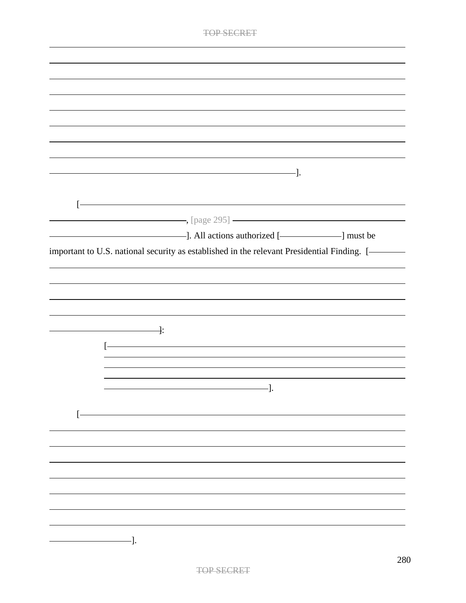| <u> 1989 - Johann Stoff, deutscher Stoffen und der Stoffen und der Stoffen und der Stoffen und der Stoffen und der</u> |  |
|------------------------------------------------------------------------------------------------------------------------|--|
| $[\text{page 295}]$                                                                                                    |  |
|                                                                                                                        |  |
| important to U.S. national security as established in the relevant Presidential Finding. [-                            |  |
|                                                                                                                        |  |
|                                                                                                                        |  |
|                                                                                                                        |  |
|                                                                                                                        |  |
| ————————————— <del>]</del> :                                                                                           |  |
|                                                                                                                        |  |
|                                                                                                                        |  |
|                                                                                                                        |  |
|                                                                                                                        |  |
| J.                                                                                                                     |  |
|                                                                                                                        |  |
|                                                                                                                        |  |
|                                                                                                                        |  |
|                                                                                                                        |  |
|                                                                                                                        |  |
|                                                                                                                        |  |
|                                                                                                                        |  |
|                                                                                                                        |  |
| -].                                                                                                                    |  |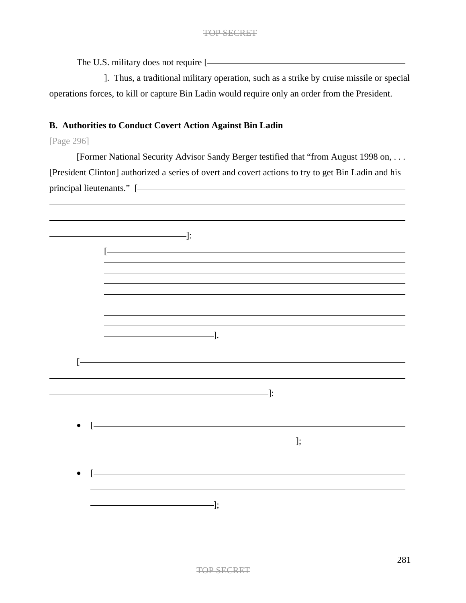The U.S. military does not require [

------]. Thus, a traditional military operation, such as a strike by cruise missile or special operations forces, to kill or capture Bin Ladin would require only an order from the President.

# **B. Authorities to Conduct Covert Action Against Bin Ladin**

[Page 296]

[Former National Security Advisor Sandy Berger testified that "from August 1998 on, . . . [President Clinton] authorized a series of overt and covert actions to try to get Bin Ladin and his principal lieutenants." [

|                                          | $\longrightarrow$ $\vdots$                                                                                                                                                                                                                                                                                                                        |
|------------------------------------------|---------------------------------------------------------------------------------------------------------------------------------------------------------------------------------------------------------------------------------------------------------------------------------------------------------------------------------------------------|
| $\overline{[}$                           |                                                                                                                                                                                                                                                                                                                                                   |
|                                          |                                                                                                                                                                                                                                                                                                                                                   |
|                                          |                                                                                                                                                                                                                                                                                                                                                   |
|                                          | $\overline{\phantom{iiiiiiiiiiiiiii}}$ .                                                                                                                                                                                                                                                                                                          |
| $\overline{[}$                           |                                                                                                                                                                                                                                                                                                                                                   |
|                                          | $\qquad \qquad \qquad$ $\qquad$ $\qquad$ $\qquad$ $\qquad$ $\qquad$ $\qquad$ $\qquad$ $\qquad$ $\qquad$ $\qquad$ $\qquad$ $\qquad$ $\qquad$ $\qquad$ $\qquad$ $\qquad$ $\qquad$ $\qquad$ $\qquad$ $\qquad$ $\qquad$ $\qquad$ $\qquad$ $\qquad$ $\qquad$ $\qquad$ $\qquad$ $\qquad$ $\qquad$ $\qquad$ $\qquad$ $\qquad$ $\qquad$ $\qquad$ $\qquad$ |
|                                          | $\bullet$ [ $\overbrace{\hspace{2.5cm}}$                                                                                                                                                                                                                                                                                                          |
|                                          | $\overline{\phantom{iiiiiiiiiiiiiiiii}}$                                                                                                                                                                                                                                                                                                          |
| $\bullet$ [ $\overbrace{\hspace{2.5cm}}$ |                                                                                                                                                                                                                                                                                                                                                   |
|                                          | $\overline{\phantom{iiiiiiiiiiiiiii}}$                                                                                                                                                                                                                                                                                                            |
|                                          |                                                                                                                                                                                                                                                                                                                                                   |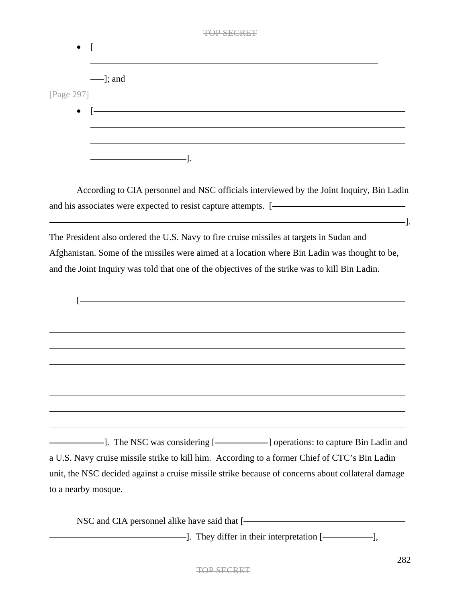| $\bullet$                         |    | <b>TOP SECRET</b> |  |
|-----------------------------------|----|-------------------|--|
|                                   |    |                   |  |
| $\frac{1}{2}$ ; and<br>[Page 297] |    |                   |  |
| $\bullet$                         |    |                   |  |
|                                   |    |                   |  |
|                                   | ٠. |                   |  |

According to CIA personnel and NSC officials interviewed by the Joint Inquiry, Bin Ladin and his associates were expected to resist capture attempts. [  $\qquad \qquad -$ 

The President also ordered the U.S. Navy to fire cruise missiles at targets in Sudan and Afghanistan. Some of the missiles were aimed at a location where Bin Ladin was thought to be, and the Joint Inquiry was told that one of the objectives of the strike was to kill Bin Ladin.

| - The NSC was considering [-   operations: to capture Bin Ladin and                               |  |
|---------------------------------------------------------------------------------------------------|--|
| a U.S. Navy cruise missile strike to kill him. According to a former Chief of CTC's Bin Ladin     |  |
| unit, the NSC decided against a cruise missile strike because of concerns about collateral damage |  |

to a nearby mosque.

NSC and CIA personnel alike have said that [ -]. They differ in their interpretation [-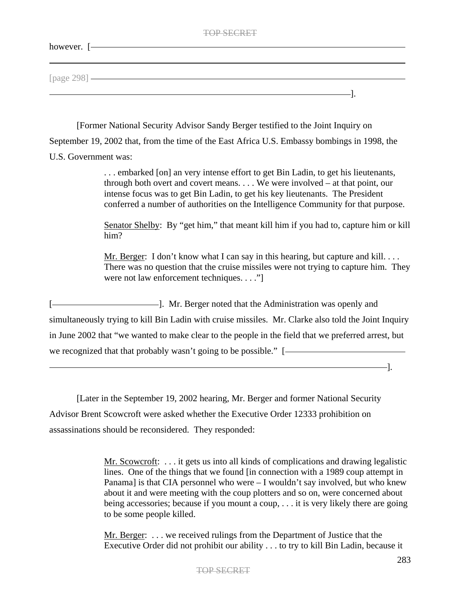| ٦1. |
|-----|
|     |

| however. [-  |  |  |
|--------------|--|--|
|              |  |  |
| [page 298] — |  |  |
|              |  |  |
|              |  |  |

[Former National Security Advisor Sandy Berger testified to the Joint Inquiry on September 19, 2002 that, from the time of the East Africa U.S. Embassy bombings in 1998, the U.S. Government was:

> . . . embarked [on] an very intense effort to get Bin Ladin, to get his lieutenants, through both overt and covert means. . . . We were involved – at that point, our intense focus was to get Bin Ladin, to get his key lieutenants. The President conferred a number of authorities on the Intelligence Community for that purpose.

Senator Shelby: By "get him," that meant kill him if you had to, capture him or kill him?

Mr. Berger: I don't know what I can say in this hearing, but capture and kill. . . . There was no question that the cruise missiles were not trying to capture him. They were not law enforcement techniques. . . ."

[101]. Mr. Berger noted that the Administration was openly and simultaneously trying to kill Bin Ladin with cruise missiles. Mr. Clarke also told the Joint Inquiry in June 2002 that "we wanted to make clear to the people in the field that we preferred arrest, but we recognized that that probably wasn't going to be possible." [

[Later in the September 19, 2002 hearing, Mr. Berger and former National Security Advisor Brent Scowcroft were asked whether the Executive Order 12333 prohibition on assassinations should be reconsidered. They responded:

> Mr. Scowcroft: . . . it gets us into all kinds of complications and drawing legalistic lines. One of the things that we found [in connection with a 1989 coup attempt in Panama] is that CIA personnel who were – I wouldn't say involved, but who knew about it and were meeting with the coup plotters and so on, were concerned about being accessories; because if you mount a coup, . . . it is very likely there are going to be some people killed.

Mr. Berger: . . . we received rulings from the Department of Justice that the Executive Order did not prohibit our ability . . . to try to kill Bin Ladin, because it

–1.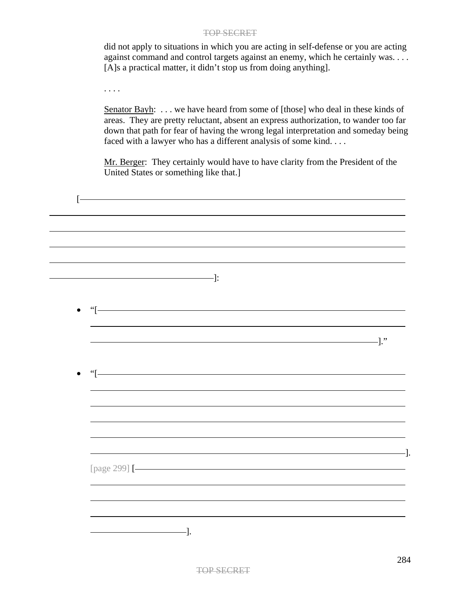did not apply to situations in which you are acting in self-defense or you are acting against command and control targets against an enemy, which he certainly was. . . . [A]s a practical matter, it didn't stop us from doing anything].

. . . .

Senator Bayh: ... we have heard from some of [those] who deal in these kinds of areas. They are pretty reluctant, absent an express authorization, to wander too far down that path for fear of having the wrong legal interpretation and someday being faced with a lawyer who has a different analysis of some kind. . . .

Mr. Berger: They certainly would have to have clarity from the President of the United States or something like that.]

| Ŀ                                                                                                                                                                                                                                                                                                                                      |                                                                                                                                                                                                                                                                                                                                                |                                                                                                                                                                                                                                                                                                                                                   |
|----------------------------------------------------------------------------------------------------------------------------------------------------------------------------------------------------------------------------------------------------------------------------------------------------------------------------------------|------------------------------------------------------------------------------------------------------------------------------------------------------------------------------------------------------------------------------------------------------------------------------------------------------------------------------------------------|---------------------------------------------------------------------------------------------------------------------------------------------------------------------------------------------------------------------------------------------------------------------------------------------------------------------------------------------------|
|                                                                                                                                                                                                                                                                                                                                        |                                                                                                                                                                                                                                                                                                                                                |                                                                                                                                                                                                                                                                                                                                                   |
|                                                                                                                                                                                                                                                                                                                                        |                                                                                                                                                                                                                                                                                                                                                |                                                                                                                                                                                                                                                                                                                                                   |
|                                                                                                                                                                                                                                                                                                                                        | $\qquad \qquad \qquad \qquad \qquad \qquad \qquad \qquad \vdots$                                                                                                                                                                                                                                                                               |                                                                                                                                                                                                                                                                                                                                                   |
| $\bullet$ "[ $\hspace{1.5cm}$ "[ $\hspace{1.5cm}$ $\hspace{1.5cm}$ " $\hspace{1.5cm}$ $\hspace{1.5cm}$ " $\hspace{1.5cm}$ " $\hspace{1.5cm}$ " $\hspace{1.5cm}$ " $\hspace{1.5cm}$ " $\hspace{1.5cm}$ " $\hspace{1.5cm}$ " $\hspace{1.5cm}$ " $\hspace{1.5cm}$ " $\hspace{1.5cm}$ " $\hspace{1.5cm}$ " $\hspace{1.5cm}$ " $\hspace{1.$ |                                                                                                                                                                                                                                                                                                                                                |                                                                                                                                                                                                                                                                                                                                                   |
|                                                                                                                                                                                                                                                                                                                                        |                                                                                                                                                                                                                                                                                                                                                |                                                                                                                                                                                                                                                                                                                                                   |
|                                                                                                                                                                                                                                                                                                                                        |                                                                                                                                                                                                                                                                                                                                                | $\qquad \qquad$ $\qquad \qquad$ $\qquad$ $\qquad$ $\qquad$ $\qquad$ $\qquad$ $\qquad$ $\qquad$ $\qquad$ $\qquad$ $\qquad$ $\qquad$ $\qquad$ $\qquad$ $\qquad$ $\qquad$ $\qquad$ $\qquad$ $\qquad$ $\qquad$ $\qquad$ $\qquad$ $\qquad$ $\qquad$ $\qquad$ $\qquad$ $\qquad$ $\qquad$ $\qquad$ $\qquad$ $\qquad$ $\qquad$ $\qquad$ $\qquad$ $\qquad$ |
| $\bullet$ "[-                                                                                                                                                                                                                                                                                                                          |                                                                                                                                                                                                                                                                                                                                                |                                                                                                                                                                                                                                                                                                                                                   |
|                                                                                                                                                                                                                                                                                                                                        |                                                                                                                                                                                                                                                                                                                                                |                                                                                                                                                                                                                                                                                                                                                   |
|                                                                                                                                                                                                                                                                                                                                        |                                                                                                                                                                                                                                                                                                                                                |                                                                                                                                                                                                                                                                                                                                                   |
|                                                                                                                                                                                                                                                                                                                                        |                                                                                                                                                                                                                                                                                                                                                |                                                                                                                                                                                                                                                                                                                                                   |
|                                                                                                                                                                                                                                                                                                                                        |                                                                                                                                                                                                                                                                                                                                                |                                                                                                                                                                                                                                                                                                                                                   |
|                                                                                                                                                                                                                                                                                                                                        | [page 299] [- <u>[</u>                                                                                                                                                                                                                                                                                                                         |                                                                                                                                                                                                                                                                                                                                                   |
|                                                                                                                                                                                                                                                                                                                                        |                                                                                                                                                                                                                                                                                                                                                |                                                                                                                                                                                                                                                                                                                                                   |
|                                                                                                                                                                                                                                                                                                                                        |                                                                                                                                                                                                                                                                                                                                                |                                                                                                                                                                                                                                                                                                                                                   |
|                                                                                                                                                                                                                                                                                                                                        | $\qquad \qquad$ $\qquad$ $\qquad$ $\qquad$ $\qquad$ $\qquad$ $\qquad$ $\qquad$ $\qquad$ $\qquad$ $\qquad$ $\qquad$ $\qquad$ $\qquad$ $\qquad$ $\qquad$ $\qquad$ $\qquad$ $\qquad$ $\qquad$ $\qquad$ $\qquad$ $\qquad$ $\qquad$ $\qquad$ $\qquad$ $\qquad$ $\qquad$ $\qquad$ $\qquad$ $\qquad$ $\qquad$ $\qquad$ $\qquad$ $\qquad$ $\qquad$ $\$ |                                                                                                                                                                                                                                                                                                                                                   |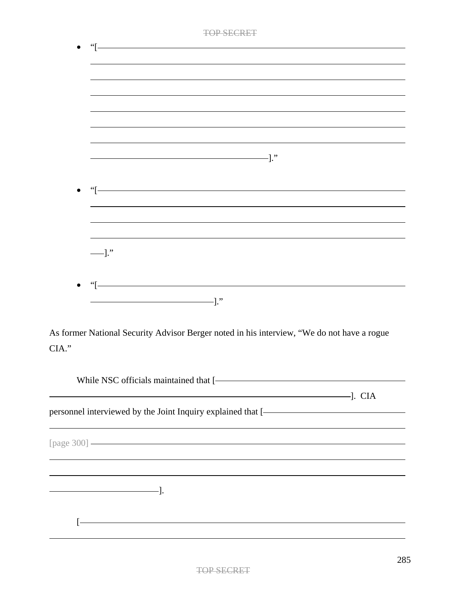| TOP SECRET                                                                                                                                                                                                                                  |
|---------------------------------------------------------------------------------------------------------------------------------------------------------------------------------------------------------------------------------------------|
|                                                                                                                                                                                                                                             |
|                                                                                                                                                                                                                                             |
|                                                                                                                                                                                                                                             |
|                                                                                                                                                                                                                                             |
|                                                                                                                                                                                                                                             |
|                                                                                                                                                                                                                                             |
|                                                                                                                                                                                                                                             |
|                                                                                                                                                                                                                                             |
|                                                                                                                                                                                                                                             |
|                                                                                                                                                                                                                                             |
| "[International contracts of the contracts of the contracts of the contracts of the contracts of the contracts of the contracts of the contracts of the contracts of the contracts of the contracts of the contracts of the co<br>$\bullet$ |
|                                                                                                                                                                                                                                             |
|                                                                                                                                                                                                                                             |
|                                                                                                                                                                                                                                             |
| $-1$ ."                                                                                                                                                                                                                                     |
|                                                                                                                                                                                                                                             |
|                                                                                                                                                                                                                                             |
| $\frac{1}{2}$<br>$\bullet$                                                                                                                                                                                                                  |
| $\overline{\phantom{a}}$ . The contract of the contract of $\overline{\phantom{a}}$ . The contract of $\overline{\phantom{a}}$ .                                                                                                            |
|                                                                                                                                                                                                                                             |
| As former National Security Advisor Berger noted in his interview, "We do not have a rogue                                                                                                                                                  |
| CIA."                                                                                                                                                                                                                                       |
|                                                                                                                                                                                                                                             |
| While NSC officials maintained that [-                                                                                                                                                                                                      |
|                                                                                                                                                                                                                                             |
| personnel interviewed by the Joint Inquiry explained that [- The Contract of the United States of the United States of the United States of the United States of the United States of the United States of the United States o              |
|                                                                                                                                                                                                                                             |
|                                                                                                                                                                                                                                             |
| [page 300] ————————————————————                                                                                                                                                                                                             |

 $[ -$ 

].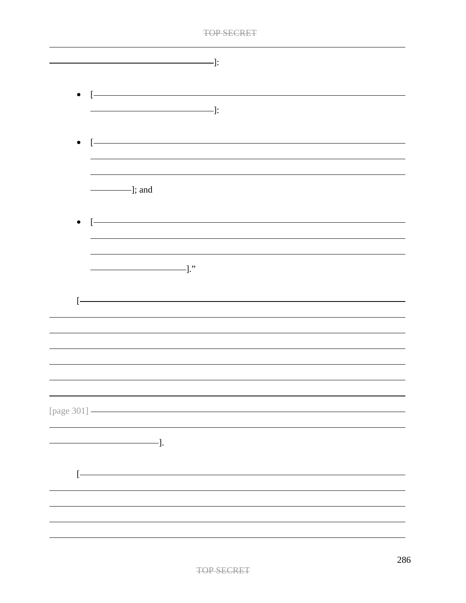| . The contract of the contract of the contract of the contract of the contract of the contract of the contract of the contract of the contract of the contract of the contract of the contract of the contract of the contract | 77 M |
|--------------------------------------------------------------------------------------------------------------------------------------------------------------------------------------------------------------------------------|------|
|                                                                                                                                                                                                                                |      |

| $\longrightarrow$                           |
|---------------------------------------------|
| $\bullet$ [ $\overbrace{\hspace{2.5cm}}$    |
|                                             |
|                                             |
| $\frac{1}{\sqrt{2}}$ ; and                  |
| $\bullet \quad \boxed{\rule{0.5cm}{0.4cm}}$ |
|                                             |
| $\overline{\phantom{iiiiiiiiiiiiiiiii}}$    |
| ŀ                                           |
|                                             |
|                                             |
|                                             |
|                                             |
| [page 301] -                                |
| -].                                         |
|                                             |
|                                             |
|                                             |
|                                             |
|                                             |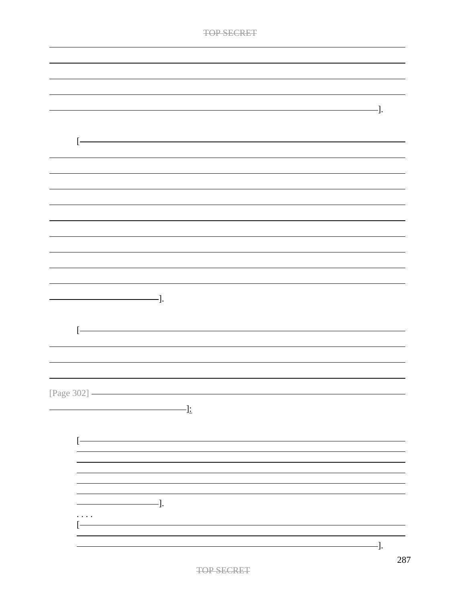| <b>TOP SECRET</b>                                                                                                                                                                                                                                                                                                                                                                                                                             |     |
|-----------------------------------------------------------------------------------------------------------------------------------------------------------------------------------------------------------------------------------------------------------------------------------------------------------------------------------------------------------------------------------------------------------------------------------------------|-----|
|                                                                                                                                                                                                                                                                                                                                                                                                                                               |     |
|                                                                                                                                                                                                                                                                                                                                                                                                                                               |     |
|                                                                                                                                                                                                                                                                                                                                                                                                                                               |     |
|                                                                                                                                                                                                                                                                                                                                                                                                                                               |     |
|                                                                                                                                                                                                                                                                                                                                                                                                                                               |     |
|                                                                                                                                                                                                                                                                                                                                                                                                                                               | -]. |
|                                                                                                                                                                                                                                                                                                                                                                                                                                               |     |
| ŀ                                                                                                                                                                                                                                                                                                                                                                                                                                             |     |
|                                                                                                                                                                                                                                                                                                                                                                                                                                               |     |
|                                                                                                                                                                                                                                                                                                                                                                                                                                               |     |
|                                                                                                                                                                                                                                                                                                                                                                                                                                               |     |
|                                                                                                                                                                                                                                                                                                                                                                                                                                               |     |
|                                                                                                                                                                                                                                                                                                                                                                                                                                               |     |
|                                                                                                                                                                                                                                                                                                                                                                                                                                               |     |
|                                                                                                                                                                                                                                                                                                                                                                                                                                               |     |
|                                                                                                                                                                                                                                                                                                                                                                                                                                               |     |
|                                                                                                                                                                                                                                                                                                                                                                                                                                               |     |
|                                                                                                                                                                                                                                                                                                                                                                                                                                               |     |
|                                                                                                                                                                                                                                                                                                                                                                                                                                               |     |
| -].                                                                                                                                                                                                                                                                                                                                                                                                                                           |     |
|                                                                                                                                                                                                                                                                                                                                                                                                                                               |     |
| ŀ                                                                                                                                                                                                                                                                                                                                                                                                                                             |     |
|                                                                                                                                                                                                                                                                                                                                                                                                                                               |     |
|                                                                                                                                                                                                                                                                                                                                                                                                                                               |     |
|                                                                                                                                                                                                                                                                                                                                                                                                                                               |     |
|                                                                                                                                                                                                                                                                                                                                                                                                                                               |     |
| [Page 302] -                                                                                                                                                                                                                                                                                                                                                                                                                                  |     |
| $\qquad \qquad \qquad \blacksquare$                                                                                                                                                                                                                                                                                                                                                                                                           |     |
|                                                                                                                                                                                                                                                                                                                                                                                                                                               |     |
| ŀ                                                                                                                                                                                                                                                                                                                                                                                                                                             |     |
|                                                                                                                                                                                                                                                                                                                                                                                                                                               |     |
|                                                                                                                                                                                                                                                                                                                                                                                                                                               |     |
|                                                                                                                                                                                                                                                                                                                                                                                                                                               |     |
|                                                                                                                                                                                                                                                                                                                                                                                                                                               |     |
| $\frac{1}{\sqrt{1-\frac{1}{2}}}\cdot\frac{1}{\sqrt{1-\frac{1}{2}}}\cdot\frac{1}{\sqrt{1-\frac{1}{2}}}\cdot\frac{1}{\sqrt{1-\frac{1}{2}}}\cdot\frac{1}{\sqrt{1-\frac{1}{2}}}\cdot\frac{1}{\sqrt{1-\frac{1}{2}}}\cdot\frac{1}{\sqrt{1-\frac{1}{2}}}\cdot\frac{1}{\sqrt{1-\frac{1}{2}}}\cdot\frac{1}{\sqrt{1-\frac{1}{2}}}\cdot\frac{1}{\sqrt{1-\frac{1}{2}}}\cdot\frac{1}{\sqrt{1-\frac{1}{2}}}\cdot\frac{1}{\sqrt{1-\frac{1}{2}}}\cdot\frac{1$ |     |
| .                                                                                                                                                                                                                                                                                                                                                                                                                                             |     |
|                                                                                                                                                                                                                                                                                                                                                                                                                                               |     |
|                                                                                                                                                                                                                                                                                                                                                                                                                                               | -]. |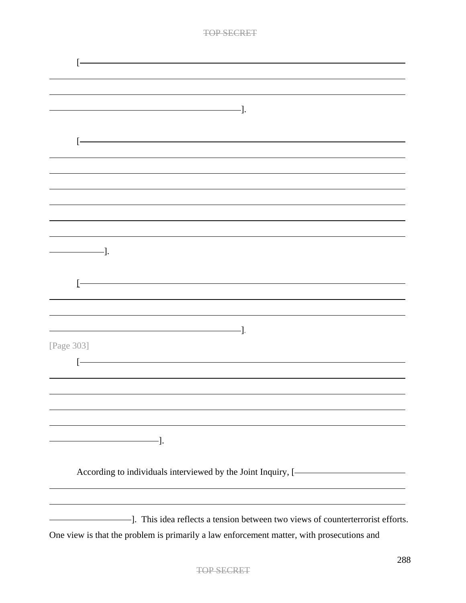| [Page 303]                                                                                                                                            |  |
|-------------------------------------------------------------------------------------------------------------------------------------------------------|--|
|                                                                                                                                                       |  |
|                                                                                                                                                       |  |
|                                                                                                                                                       |  |
|                                                                                                                                                       |  |
|                                                                                                                                                       |  |
|                                                                                                                                                       |  |
|                                                                                                                                                       |  |
|                                                                                                                                                       |  |
| According to individuals interviewed by the Joint Inquiry, [- The Context of the Unit of According to individuals interviewed by the Joint Inquiry, [ |  |
|                                                                                                                                                       |  |
|                                                                                                                                                       |  |
| -]. This idea reflects a tension between two views of counterterrorist efforts.                                                                       |  |
| One view is that the problem is primarily a law enforcement matter, with prosecutions and                                                             |  |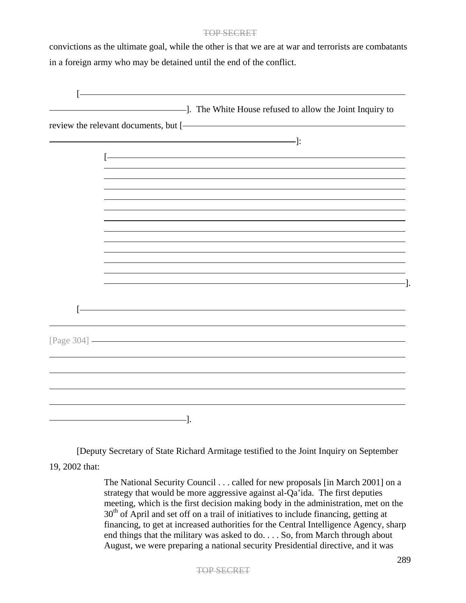convictions as the ultimate goal, while the other is that we are at war and terrorists are combatants in a foreign army who may be detained until the end of the conflict.

| $\lceil - \rceil$ |  |
|-------------------|--|
|                   |  |
|                   |  |

[Deputy Secretary of State Richard Armitage testified to the Joint Inquiry on September 19, 2002 that:

> The National Security Council . . . called for new proposals [in March 2001] on a strategy that would be more aggressive against al-Qa'ida. The first deputies meeting, which is the first decision making body in the administration, met on the  $30<sup>th</sup>$  of April and set off on a trail of initiatives to include financing, getting at financing, to get at increased authorities for the Central Intelligence Agency, sharp end things that the military was asked to do. . . . So, from March through about August, we were preparing a national security Presidential directive, and it was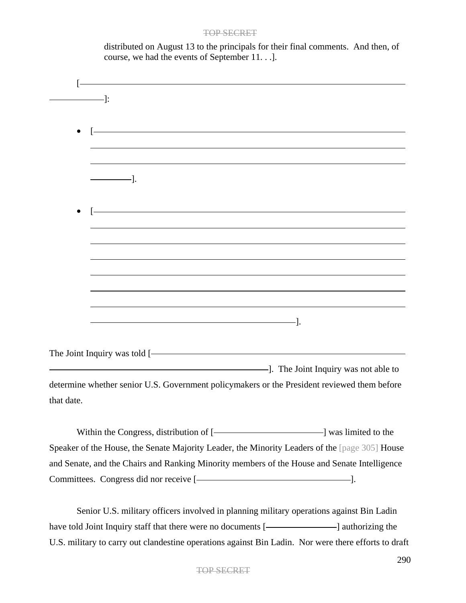distributed on August 13 to the principals for their final comments. And then, of course, we had the events of September 11. . .].

| $\overline{\phantom{a}}$ :                                                                                            |                                                                                                                       |
|-----------------------------------------------------------------------------------------------------------------------|-----------------------------------------------------------------------------------------------------------------------|
|                                                                                                                       |                                                                                                                       |
|                                                                                                                       |                                                                                                                       |
| <u> 1989 - Johann Stoff, Amerikaansk politiker († 1908)</u>                                                           |                                                                                                                       |
| $\frac{1}{\sqrt{1-\frac{1}{2}}\cdot\frac{1}{\sqrt{1-\frac{1}{2}}}}$                                                   |                                                                                                                       |
| <u> 1980 - Johann Barn, mars ann an t-Amhain Aonaich an t-Aonaich an t-Aonaich an t-Aonaich an t-Aonaich an t-Aon</u> |                                                                                                                       |
|                                                                                                                       | <u> 1989 - Johann Stoff, deutscher Stoffen und der Stoffen und der Stoffen und der Stoffen und der Stoffen und de</u> |
|                                                                                                                       |                                                                                                                       |
|                                                                                                                       |                                                                                                                       |
|                                                                                                                       | <u> 1989 - Johann Stoff, deutscher Stoffen und der Stoffen und der Stoffen und der Stoffen und der Stoffen und de</u> |
|                                                                                                                       |                                                                                                                       |
|                                                                                                                       |                                                                                                                       |
|                                                                                                                       |                                                                                                                       |
| The Joint Inquiry was told [-                                                                                         |                                                                                                                       |
| The Joint Inquiry was not able to                                                                                     |                                                                                                                       |
| determine whether senior U.S. Government policymakers or the President reviewed them before                           |                                                                                                                       |
| that date.                                                                                                            |                                                                                                                       |
| Within the Congress distribution of                                                                                   | $l_{\text{w}}$ $l_{\text{m}}$ $t_{\text{e}}$ $t_{\text{e}}$ $t_{\text{e}}$                                            |

Within the Congress, distribution of [- [ ] was limited to the Speaker of the House, the Senate Majority Leader, the Minority Leaders of the [page 305] House and Senate, and the Chairs and Ranking Minority members of the House and Senate Intelligence Committees. Congress did nor receive [-2000].

Senior U.S. military officers involved in planning military operations against Bin Ladin have told Joint Inquiry staff that there were no documents [- ] authorizing the U.S. military to carry out clandestine operations against Bin Ladin. Nor were there efforts to draft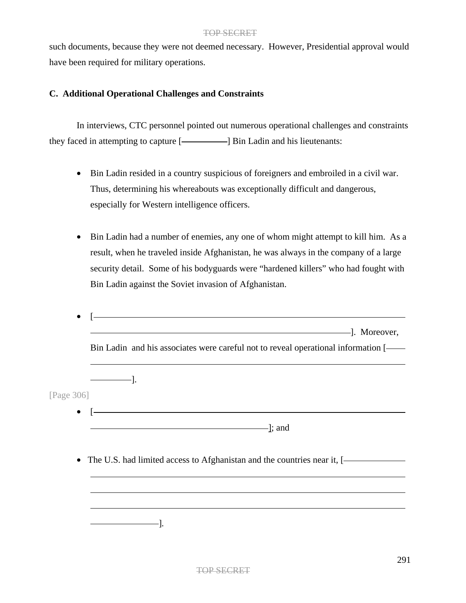such documents, because they were not deemed necessary. However, Presidential approval would have been required for military operations.

# **C. Additional Operational Challenges and Constraints**

In interviews, CTC personnel pointed out numerous operational challenges and constraints they faced in attempting to capture [**interpretenants**: **b** Bin Ladin and his lieutenants:

- Bin Ladin resided in a country suspicious of foreigners and embroiled in a civil war. Thus, determining his whereabouts was exceptionally difficult and dangerous, especially for Western intelligence officers.
- Bin Ladin had a number of enemies, any one of whom might attempt to kill him. As a result, when he traveled inside Afghanistan, he was always in the company of a large security detail. Some of his bodyguards were "hardened killers" who had fought with Bin Ladin against the Soviet invasion of Afghanistan.

|            | and a set of the set of the set of the set of the set of the set of the set of the set of the set of the set of the set of the set of the set of the set of the set of the set of the set of the set of the set of the set of |
|------------|-------------------------------------------------------------------------------------------------------------------------------------------------------------------------------------------------------------------------------|
|            | Bin Ladin and his associates were careful not to reveal operational information [-                                                                                                                                            |
|            |                                                                                                                                                                                                                               |
| [Page 306] |                                                                                                                                                                                                                               |
|            |                                                                                                                                                                                                                               |
|            | $\Box$ and $\Box$ and $\Box$                                                                                                                                                                                                  |
|            |                                                                                                                                                                                                                               |
|            | • The U.S. had limited access to Afghanistan and the countries near it, [-                                                                                                                                                    |
|            |                                                                                                                                                                                                                               |
|            |                                                                                                                                                                                                                               |
|            |                                                                                                                                                                                                                               |
|            |                                                                                                                                                                                                                               |
|            |                                                                                                                                                                                                                               |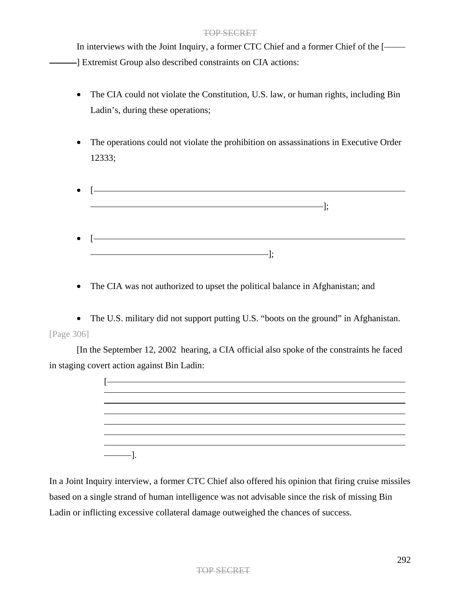In interviews with the Joint Inquiry, a former CTC Chief and a former Chief of the [ ] Extremist Group also described constraints on CIA actions:

- The CIA could not violate the Constitution, U.S. law, or human rights, including Bin Ladin's, during these operations;
- The operations could not violate the prohibition on assassinations in Executive Order 12333;
- $\overline{\phantom{a}}$   $\overline{\phantom{a}}$   $\overline{\phantom{a}}$   $\overline{\phantom{a}}$   $\overline{\phantom{a}}$   $\overline{\phantom{a}}$   $\overline{\phantom{a}}$   $\overline{\phantom{a}}$   $\overline{\phantom{a}}$   $\overline{\phantom{a}}$   $\overline{\phantom{a}}$   $\overline{\phantom{a}}$   $\overline{\phantom{a}}$   $\overline{\phantom{a}}$   $\overline{\phantom{a}}$   $\overline{\phantom{a}}$   $\overline{\phantom{a}}$   $\overline{\phantom{a}}$   $\overline{\$ ]; • [ ];
- The CIA was not authorized to upset the political balance in Afghanistan; and

• The U.S. military did not support putting U.S. "boots on the ground" in Afghanistan. [Page 306]

[In the September 12, 2002 hearing, a CIA official also spoke of the constraints he faced in staging covert action against Bin Ladin:

In a Joint Inquiry interview, a former CTC Chief also offered his opinion that firing cruise missiles based on a single strand of human intelligence was not advisable since the risk of missing Bin Ladin or inflicting excessive collateral damage outweighed the chances of success.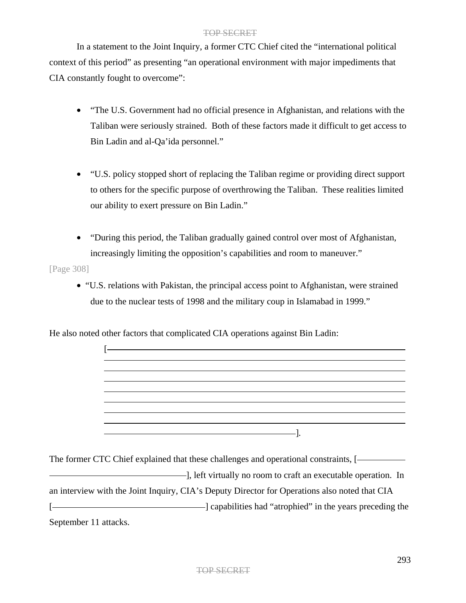In a statement to the Joint Inquiry, a former CTC Chief cited the "international political context of this period" as presenting "an operational environment with major impediments that CIA constantly fought to overcome":

- "The U.S. Government had no official presence in Afghanistan, and relations with the Taliban were seriously strained. Both of these factors made it difficult to get access to Bin Ladin and al-Qa'ida personnel."
- "U.S. policy stopped short of replacing the Taliban regime or providing direct support to others for the specific purpose of overthrowing the Taliban. These realities limited our ability to exert pressure on Bin Ladin."
- "During this period, the Taliban gradually gained control over most of Afghanistan, increasingly limiting the opposition's capabilities and room to maneuver."

[Page 308]

• "U.S. relations with Pakistan, the principal access point to Afghanistan, were strained due to the nuclear tests of 1998 and the military coup in Islamabad in 1999."

He also noted other factors that complicated CIA operations against Bin Ladin:



The former CTC Chief explained that these challenges and operational constraints, [ **Example 2018**, left virtually no room to craft an executable operation. In an interview with the Joint Inquiry, CIA's Deputy Director for Operations also noted that CIA [  $\Box$ September 11 attacks.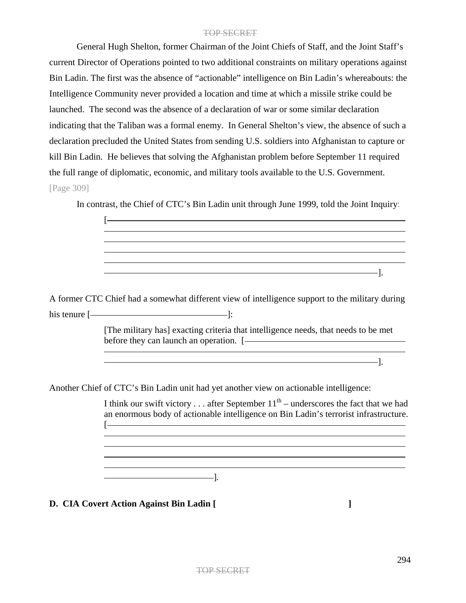General Hugh Shelton, former Chairman of the Joint Chiefs of Staff, and the Joint Staff's current Director of Operations pointed to two additional constraints on military operations against Bin Ladin. The first was the absence of "actionable" intelligence on Bin Ladin's whereabouts: the Intelligence Community never provided a location and time at which a missile strike could be launched. The second was the absence of a declaration of war or some similar declaration indicating that the Taliban was a formal enemy. In General Shelton's view, the absence of such a declaration precluded the United States from sending U.S. soldiers into Afghanistan to capture or kill Bin Ladin. He believes that solving the Afghanistan problem before September 11 required the full range of diplomatic, economic, and military tools available to the U.S. Government. [Page 309]

In contrast, the Chief of CTC's Bin Ladin unit through June 1999, told the Joint Inquiry:

[ ]. A former CTC Chief had a somewhat different view of intelligence support to the military during his tenure  $[$   $]$ : [The military has] exacting criteria that intelligence needs, that needs to be met before they can launch an operation. [-]. Another Chief of CTC's Bin Ladin unit had yet another view on actionable intelligence: I think our swift victory . . . after September  $11<sup>th</sup>$  – underscores the fact that we had an enormous body of actionable intelligence on Bin Ladin's terrorist infrastructure.  $[-]$ 

]*.*

**D. CIA Covert Action Against Bin Ladin [ ]**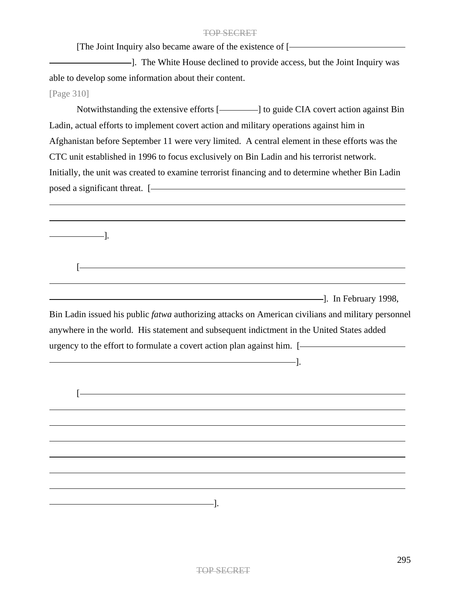[The Joint Inquiry also became aware of the existence of [

--]. The White House declined to provide access, but the Joint Inquiry was able to develop some information about their content.

[Page 310]

]*.*

 $\sqrt{2}$ 

Notwithstanding the extensive efforts [-1] to guide CIA covert action against Bin Ladin, actual efforts to implement covert action and military operations against him in Afghanistan before September 11 were very limited. A central element in these efforts was the CTC unit established in 1996 to focus exclusively on Bin Ladin and his terrorist network. Initially, the unit was created to examine terrorist financing and to determine whether Bin Ladin posed a significant threat. [

]. In February 1998,

Bin Ladin issued his public *fatwa* authorizing attacks on American civilians and military personnel anywhere in the world. His statement and subsequent indictment in the United States added urgency to the effort to formulate a covert action plan against him. [ ].

<u> 1980 - Johann Barn, mars ann an t-Amhain Aonaich an t-Aonaich an t-Aonaich ann an t-Aonaich ann an t-Aonaich</u>  $[-]$ ].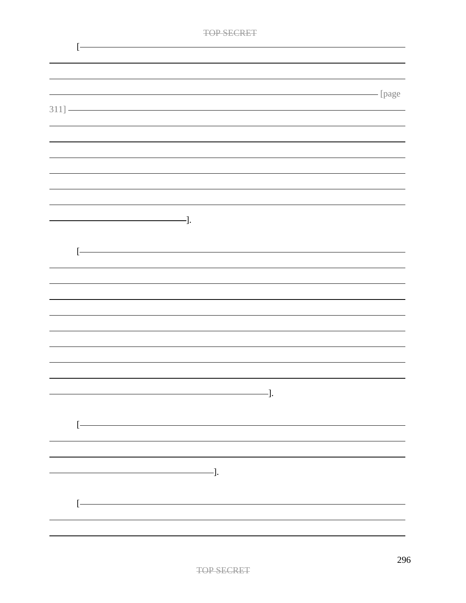| $\Box$ | CEODE |
|--------|-------|
|        |       |

|                                                                                                                       | page |
|-----------------------------------------------------------------------------------------------------------------------|------|
| $311]$ $\longrightarrow$                                                                                              |      |
|                                                                                                                       |      |
|                                                                                                                       |      |
|                                                                                                                       |      |
|                                                                                                                       |      |
|                                                                                                                       |      |
|                                                                                                                       |      |
|                                                                                                                       |      |
|                                                                                                                       |      |
|                                                                                                                       |      |
| $\longrightarrow$ ].                                                                                                  |      |
|                                                                                                                       |      |
| <u> 1989 - Johann Stoff, deutscher Stoff, der Stoff, der Stoff, der Stoff, der Stoff, der Stoff, der Stoff, der S</u> |      |
|                                                                                                                       |      |
|                                                                                                                       |      |
|                                                                                                                       |      |
|                                                                                                                       |      |
|                                                                                                                       |      |
|                                                                                                                       |      |
|                                                                                                                       |      |
|                                                                                                                       |      |
|                                                                                                                       |      |
|                                                                                                                       |      |
|                                                                                                                       |      |
| $\overline{\phantom{a}}$ . The contract of $\overline{\phantom{a}}$ .                                                 |      |
|                                                                                                                       |      |
|                                                                                                                       |      |
|                                                                                                                       |      |
|                                                                                                                       |      |
|                                                                                                                       |      |
|                                                                                                                       |      |
| $\overline{\phantom{a}}$ .                                                                                            |      |
|                                                                                                                       |      |
|                                                                                                                       |      |
|                                                                                                                       |      |
|                                                                                                                       |      |
|                                                                                                                       |      |
|                                                                                                                       |      |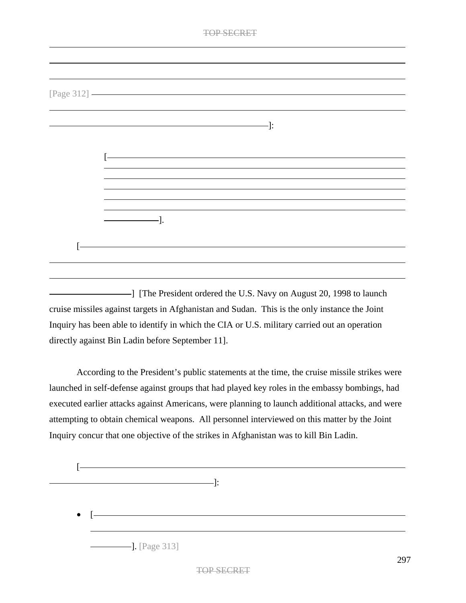| 77 A A A A<br>n. |
|------------------|
|                  |

| [Page 312] ———————————————————— |        |  |
|---------------------------------|--------|--|
|                                 |        |  |
|                                 | $-$ ]: |  |
|                                 |        |  |
|                                 |        |  |
|                                 |        |  |
|                                 |        |  |
| $\cdot$ ].                      |        |  |
|                                 |        |  |
|                                 |        |  |
|                                 |        |  |
|                                 |        |  |

] [The President ordered the U.S. Navy on August 20, 1998 to launch cruise missiles against targets in Afghanistan and Sudan. This is the only instance the Joint Inquiry has been able to identify in which the CIA or U.S. military carried out an operation directly against Bin Ladin before September 11].

According to the President's public statements at the time, the cruise missile strikes were launched in self-defense against groups that had played key roles in the embassy bombings, had executed earlier attacks against Americans, were planning to launch additional attacks, and were attempting to obtain chemical weapons. All personnel interviewed on this matter by the Joint Inquiry concur that one objective of the strikes in Afghanistan was to kill Bin Ladin.

$$
\begin{array}{c}\n[-\n\end{array}
$$
\n
$$
\begin{array}{c}\n\bullet \\
[-\n\end{array}
$$
\n
$$
\begin{array}{c}\n\bullet \\
[-\n\end{array}
$$
\n
$$
\begin{array}{c}\n\bullet \\
[-\n\end{array}
$$
\n
$$
\begin{array}{c}\n\bullet \\
[-\n\end{array}
$$
\n
$$
\begin{array}{c}\n\bullet \\
[-\n\end{array}
$$
\n
$$
\begin{array}{c}\n\bullet \\
[-\n\end{array}
$$
\n
$$
\begin{array}{c}\n\bullet \\
[-\n\end{array}
$$
\n
$$
\begin{array}{c}\n\bullet \\
[-\n\end{array}
$$
\n
$$
\begin{array}{c}\n\bullet \\
[-\n\end{array}
$$
\n
$$
\begin{array}{c}\n\bullet \\
[-\n\end{array}
$$
\n
$$
\begin{array}{c}\n\bullet \\
[-\n\end{array}
$$
\n
$$
\begin{array}{c}\n\bullet \\
[-\n\end{array}
$$
\n
$$
\begin{array}{c}\n\bullet \\
[-\n\end{array}
$$
\n
$$
\begin{array}{c}\n\bullet \\
[-\n\end{array}
$$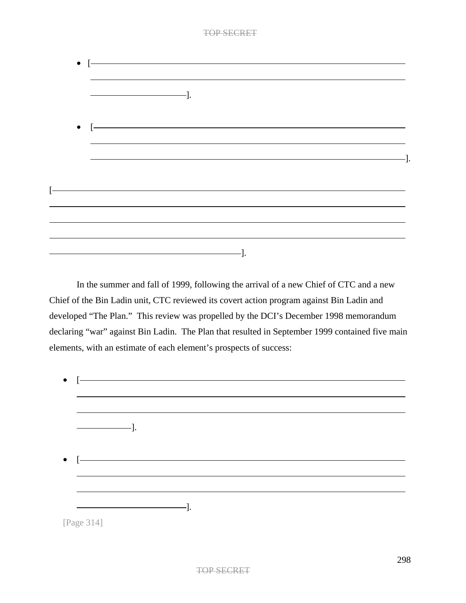| $\bullet$ $\left.\right[-\right.$                                                                 | <u> Alexandria de la contrada de la contrada de la contrada de la contrada de la contrada de la contrada de la c</u> |  |  |  |
|---------------------------------------------------------------------------------------------------|----------------------------------------------------------------------------------------------------------------------|--|--|--|
|                                                                                                   |                                                                                                                      |  |  |  |
|                                                                                                   |                                                                                                                      |  |  |  |
|                                                                                                   |                                                                                                                      |  |  |  |
|                                                                                                   |                                                                                                                      |  |  |  |
| $\bullet$ $\left[\begin{array}{ccc} \rule{0.2cm}{0.15mm} \rule{0.2cm}{0.15mm} \end{array}\right.$ |                                                                                                                      |  |  |  |
|                                                                                                   |                                                                                                                      |  |  |  |
|                                                                                                   |                                                                                                                      |  |  |  |
|                                                                                                   |                                                                                                                      |  |  |  |
|                                                                                                   |                                                                                                                      |  |  |  |
|                                                                                                   |                                                                                                                      |  |  |  |
|                                                                                                   |                                                                                                                      |  |  |  |
|                                                                                                   |                                                                                                                      |  |  |  |
|                                                                                                   |                                                                                                                      |  |  |  |

In the summer and fall of 1999, following the arrival of a new Chief of CTC and a new Chief of the Bin Ladin unit, CTC reviewed its covert action program against Bin Ladin and developed "The Plan." This review was propelled by the DCI's December 1998 memorandum declaring "war" against Bin Ladin. The Plan that resulted in September 1999 contained five main elements, with an estimate of each element's prospects of success:

| $\bullet$ |                                          |
|-----------|------------------------------------------|
|           |                                          |
|           |                                          |
|           | $\longrightarrow$ $\longrightarrow$ $].$ |
|           |                                          |
|           |                                          |
| $\bullet$ |                                          |
|           |                                          |
|           |                                          |
|           | -1.                                      |
|           | [Page 314]                               |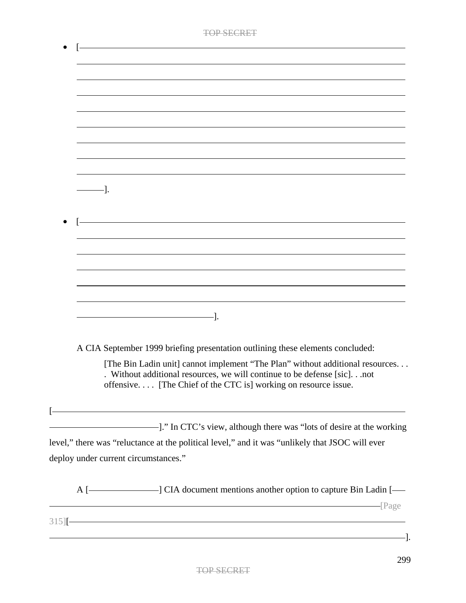| <u> 1989 - Johann Stoff, amerikansk politiker (* 1908)</u>                                                                                                                                                                 |
|----------------------------------------------------------------------------------------------------------------------------------------------------------------------------------------------------------------------------|
|                                                                                                                                                                                                                            |
|                                                                                                                                                                                                                            |
|                                                                                                                                                                                                                            |
|                                                                                                                                                                                                                            |
|                                                                                                                                                                                                                            |
|                                                                                                                                                                                                                            |
|                                                                                                                                                                                                                            |
| -1.                                                                                                                                                                                                                        |
|                                                                                                                                                                                                                            |
|                                                                                                                                                                                                                            |
| <u> 1980 - Johann Barn, fransk politik (f. 1980)</u>                                                                                                                                                                       |
|                                                                                                                                                                                                                            |
|                                                                                                                                                                                                                            |
|                                                                                                                                                                                                                            |
|                                                                                                                                                                                                                            |
|                                                                                                                                                                                                                            |
|                                                                                                                                                                                                                            |
|                                                                                                                                                                                                                            |
|                                                                                                                                                                                                                            |
| A CIA September 1999 briefing presentation outlining these elements concluded:                                                                                                                                             |
| [The Bin Ladin unit] cannot implement "The Plan" without additional resources<br>. Without additional resources, we will continue to be defense [sic]not<br>offensive [The Chief of the CTC is] working on resource issue. |
|                                                                                                                                                                                                                            |
|                                                                                                                                                                                                                            |
| level," there was "reluctance at the political level," and it was "unlikely that JSOC will ever                                                                                                                            |
| deploy under current circumstances."                                                                                                                                                                                       |
| A [-CIA document mentions another option to capture Bin Ladin [-                                                                                                                                                           |
| $315$ [ $\overline{\phantom{1}}$                                                                                                                                                                                           |
|                                                                                                                                                                                                                            |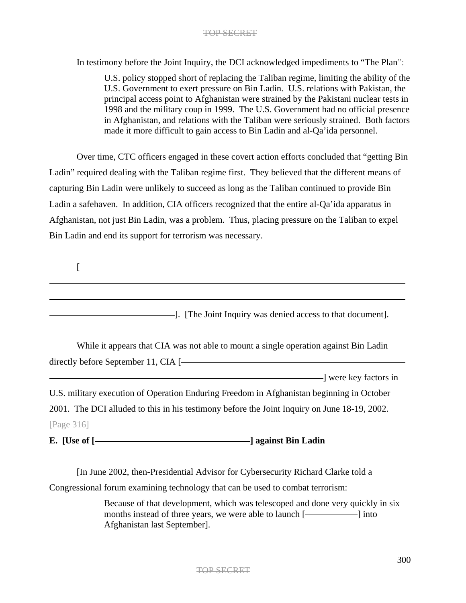In testimony before the Joint Inquiry, the DCI acknowledged impediments to "The Plan":

U.S. policy stopped short of replacing the Taliban regime, limiting the ability of the U.S. Government to exert pressure on Bin Ladin. U.S. relations with Pakistan, the principal access point to Afghanistan were strained by the Pakistani nuclear tests in 1998 and the military coup in 1999. The U.S. Government had no official presence in Afghanistan, and relations with the Taliban were seriously strained. Both factors made it more difficult to gain access to Bin Ladin and al-Qa'ida personnel.

Over time, CTC officers engaged in these covert action efforts concluded that "getting Bin Ladin" required dealing with the Taliban regime first. They believed that the different means of capturing Bin Ladin were unlikely to succeed as long as the Taliban continued to provide Bin Ladin a safehaven. In addition, CIA officers recognized that the entire al-Qa'ida apparatus in Afghanistan, not just Bin Ladin, was a problem. Thus, placing pressure on the Taliban to expel Bin Ladin and end its support for terrorism was necessary.

 $\sqrt{2}$ ]. [The Joint Inquiry was denied access to that document]. While it appears that CIA was not able to mount a single operation against Bin Ladin directly before September 11, CIA [ ] were key factors in U.S. military execution of Operation Enduring Freedom in Afghanistan beginning in October 2001. The DCI alluded to this in his testimony before the Joint Inquiry on June 18-19, 2002. [Page 316] **E.** [Use of  $\left[\frac{1}{2}\right]$  against Bin Ladin **and against** Bin Ladin **and** 

[In June 2002, then-Presidential Advisor for Cybersecurity Richard Clarke told a Congressional forum examining technology that can be used to combat terrorism:

> Because of that development, which was telescoped and done very quickly in six months instead of three years, we were able to launch [-Afghanistan last September].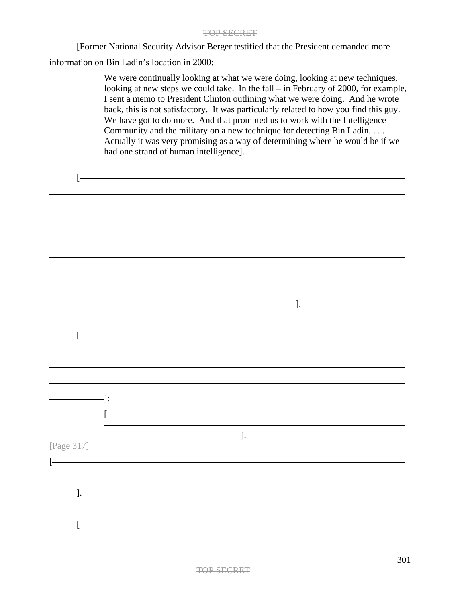[Former National Security Advisor Berger testified that the President demanded more

information on Bin Ladin's location in 2000:

 $\mathbf{r}$ 

We were continually looking at what we were doing, looking at new techniques, looking at new steps we could take. In the fall – in February of 2000, for example, I sent a memo to President Clinton outlining what we were doing. And he wrote back, this is not satisfactory. It was particularly related to how you find this guy. We have got to do more. And that prompted us to work with the Intelligence Community and the military on a new technique for detecting Bin Ladin. . . . Actually it was very promising as a way of determining where he would be if we had one strand of human intelligence].

| T.         |                          |                                                                                                                                                                                                                                                                                                                                                                                                                                               |                                                                                                                                                                                                                                                                                                                                                     |  |
|------------|--------------------------|-----------------------------------------------------------------------------------------------------------------------------------------------------------------------------------------------------------------------------------------------------------------------------------------------------------------------------------------------------------------------------------------------------------------------------------------------|-----------------------------------------------------------------------------------------------------------------------------------------------------------------------------------------------------------------------------------------------------------------------------------------------------------------------------------------------------|--|
|            |                          |                                                                                                                                                                                                                                                                                                                                                                                                                                               |                                                                                                                                                                                                                                                                                                                                                     |  |
|            |                          |                                                                                                                                                                                                                                                                                                                                                                                                                                               |                                                                                                                                                                                                                                                                                                                                                     |  |
|            |                          |                                                                                                                                                                                                                                                                                                                                                                                                                                               |                                                                                                                                                                                                                                                                                                                                                     |  |
|            |                          |                                                                                                                                                                                                                                                                                                                                                                                                                                               |                                                                                                                                                                                                                                                                                                                                                     |  |
|            |                          |                                                                                                                                                                                                                                                                                                                                                                                                                                               |                                                                                                                                                                                                                                                                                                                                                     |  |
|            |                          |                                                                                                                                                                                                                                                                                                                                                                                                                                               |                                                                                                                                                                                                                                                                                                                                                     |  |
|            |                          |                                                                                                                                                                                                                                                                                                                                                                                                                                               |                                                                                                                                                                                                                                                                                                                                                     |  |
|            |                          |                                                                                                                                                                                                                                                                                                                                                                                                                                               | $\qquad \qquad \qquad$ $\qquad \qquad$ $\qquad$ $\qquad$ $\qquad$ $\qquad$ $\qquad$ $\qquad$ $\qquad$ $\qquad$ $\qquad$ $\qquad$ $\qquad$ $\qquad$ $\qquad$ $\qquad$ $\qquad$ $\qquad$ $\qquad$ $\qquad$ $\qquad$ $\qquad$ $\qquad$ $\qquad$ $\qquad$ $\qquad$ $\qquad$ $\qquad$ $\qquad$ $\qquad$ $\qquad$ $\qquad$ $\qquad$ $\qquad$ $\qquad$ $\$ |  |
|            |                          |                                                                                                                                                                                                                                                                                                                                                                                                                                               |                                                                                                                                                                                                                                                                                                                                                     |  |
| $[$        |                          |                                                                                                                                                                                                                                                                                                                                                                                                                                               |                                                                                                                                                                                                                                                                                                                                                     |  |
|            |                          |                                                                                                                                                                                                                                                                                                                                                                                                                                               |                                                                                                                                                                                                                                                                                                                                                     |  |
|            |                          |                                                                                                                                                                                                                                                                                                                                                                                                                                               |                                                                                                                                                                                                                                                                                                                                                     |  |
|            |                          |                                                                                                                                                                                                                                                                                                                                                                                                                                               |                                                                                                                                                                                                                                                                                                                                                     |  |
|            | $\longrightarrow$<br>$[$ |                                                                                                                                                                                                                                                                                                                                                                                                                                               |                                                                                                                                                                                                                                                                                                                                                     |  |
|            |                          |                                                                                                                                                                                                                                                                                                                                                                                                                                               |                                                                                                                                                                                                                                                                                                                                                     |  |
| [Page 317] |                          | $\frac{1}{\sqrt{1-\frac{1}{2}}}\cdot\frac{1}{\sqrt{1-\frac{1}{2}}}\cdot\frac{1}{\sqrt{1-\frac{1}{2}}}\cdot\frac{1}{\sqrt{1-\frac{1}{2}}}\cdot\frac{1}{\sqrt{1-\frac{1}{2}}}\cdot\frac{1}{\sqrt{1-\frac{1}{2}}}\cdot\frac{1}{\sqrt{1-\frac{1}{2}}}\cdot\frac{1}{\sqrt{1-\frac{1}{2}}}\cdot\frac{1}{\sqrt{1-\frac{1}{2}}}\cdot\frac{1}{\sqrt{1-\frac{1}{2}}}\cdot\frac{1}{\sqrt{1-\frac{1}{2}}}\cdot\frac{1}{\sqrt{1-\frac{1}{2}}}\cdot\frac{1$ |                                                                                                                                                                                                                                                                                                                                                     |  |
| $[-$       |                          |                                                                                                                                                                                                                                                                                                                                                                                                                                               |                                                                                                                                                                                                                                                                                                                                                     |  |
|            |                          |                                                                                                                                                                                                                                                                                                                                                                                                                                               |                                                                                                                                                                                                                                                                                                                                                     |  |
| -].        |                          |                                                                                                                                                                                                                                                                                                                                                                                                                                               |                                                                                                                                                                                                                                                                                                                                                     |  |
|            |                          |                                                                                                                                                                                                                                                                                                                                                                                                                                               |                                                                                                                                                                                                                                                                                                                                                     |  |
|            |                          |                                                                                                                                                                                                                                                                                                                                                                                                                                               |                                                                                                                                                                                                                                                                                                                                                     |  |
| Ŀ          |                          |                                                                                                                                                                                                                                                                                                                                                                                                                                               |                                                                                                                                                                                                                                                                                                                                                     |  |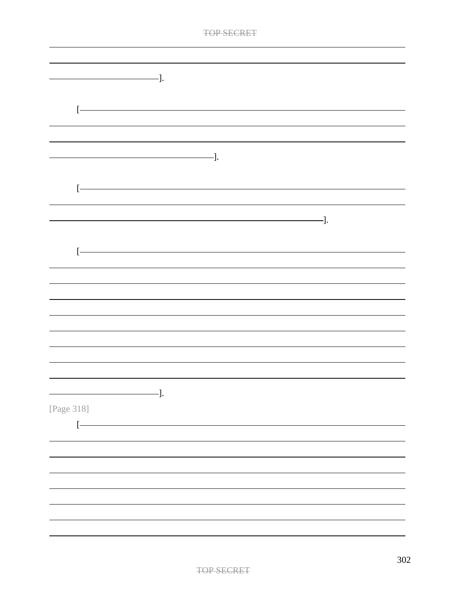| $\qquad \qquad \qquad -].$<br>$\left[ -\right.$<br>$\overline{\phantom{iiiiiiiiiiiiiii}}$ .<br>$\left[ -\right]$<br>$\overline{\phantom{iiiiiiiiiiiiiiiii}}$<br>ŀ<br>-].<br>[Page 318]<br>$[$ | <b>TOP SECKET</b> |  |
|-----------------------------------------------------------------------------------------------------------------------------------------------------------------------------------------------|-------------------|--|
|                                                                                                                                                                                               |                   |  |
|                                                                                                                                                                                               |                   |  |
|                                                                                                                                                                                               |                   |  |
|                                                                                                                                                                                               |                   |  |
|                                                                                                                                                                                               |                   |  |
|                                                                                                                                                                                               |                   |  |
|                                                                                                                                                                                               |                   |  |
|                                                                                                                                                                                               |                   |  |
|                                                                                                                                                                                               |                   |  |
|                                                                                                                                                                                               |                   |  |
|                                                                                                                                                                                               |                   |  |
|                                                                                                                                                                                               |                   |  |
|                                                                                                                                                                                               |                   |  |
|                                                                                                                                                                                               |                   |  |
|                                                                                                                                                                                               |                   |  |
|                                                                                                                                                                                               |                   |  |
|                                                                                                                                                                                               |                   |  |
|                                                                                                                                                                                               |                   |  |
|                                                                                                                                                                                               |                   |  |
|                                                                                                                                                                                               |                   |  |
|                                                                                                                                                                                               |                   |  |
|                                                                                                                                                                                               |                   |  |
|                                                                                                                                                                                               |                   |  |
|                                                                                                                                                                                               |                   |  |
|                                                                                                                                                                                               |                   |  |
|                                                                                                                                                                                               |                   |  |
|                                                                                                                                                                                               |                   |  |
|                                                                                                                                                                                               |                   |  |
|                                                                                                                                                                                               |                   |  |
|                                                                                                                                                                                               |                   |  |
|                                                                                                                                                                                               |                   |  |
|                                                                                                                                                                                               |                   |  |
|                                                                                                                                                                                               |                   |  |
|                                                                                                                                                                                               |                   |  |
|                                                                                                                                                                                               |                   |  |
|                                                                                                                                                                                               |                   |  |
|                                                                                                                                                                                               |                   |  |
|                                                                                                                                                                                               |                   |  |
|                                                                                                                                                                                               |                   |  |
|                                                                                                                                                                                               |                   |  |
|                                                                                                                                                                                               |                   |  |
|                                                                                                                                                                                               |                   |  |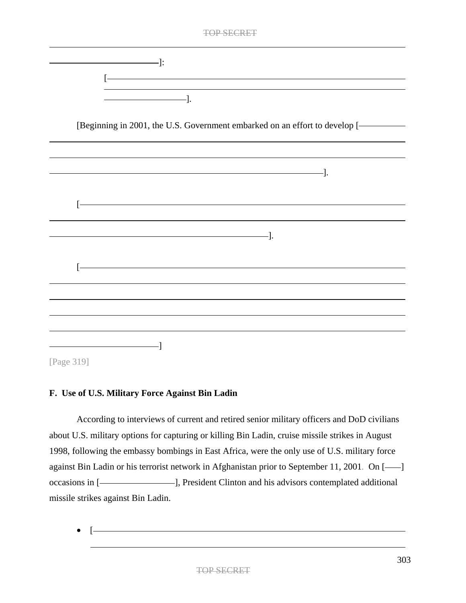|   | <b>TOP SECRET</b>                                                                                                    |
|---|----------------------------------------------------------------------------------------------------------------------|
|   |                                                                                                                      |
|   | <u> 2008 - Andrea State Barbara, amerikan personal di sebagai personal di sebagai personal di sebagai personal d</u> |
|   | $\overline{\phantom{iiiiiiiiiiiiiii}}$ .                                                                             |
|   |                                                                                                                      |
|   | [Beginning in 2001, the U.S. Government embarked on an effort to develop [-                                          |
|   |                                                                                                                      |
|   |                                                                                                                      |
|   |                                                                                                                      |
|   |                                                                                                                      |
|   |                                                                                                                      |
| ŀ |                                                                                                                      |
|   |                                                                                                                      |
|   | $\overline{\phantom{a}}$ . The contract of the contract of $\overline{\phantom{a}}$ .                                |
|   |                                                                                                                      |
|   | <u> 1989 - Johann Stoff, Amerikaansk politiker (</u>                                                                 |
|   |                                                                                                                      |
|   |                                                                                                                      |
|   |                                                                                                                      |
|   |                                                                                                                      |
|   |                                                                                                                      |
|   |                                                                                                                      |
|   |                                                                                                                      |

# [Page 319]

# **F. Use of U.S. Military Force Against Bin Ladin**

According to interviews of current and retired senior military officers and DoD civilians about U.S. military options for capturing or killing Bin Ladin, cruise missile strikes in August 1998, following the embassy bombings in East Africa, were the only use of U.S. military force against Bin Ladin or his terrorist network in Afghanistan prior to September 11, 2001. On [----] occasions in [-Clinton and his advisors contemplated additional missile strikes against Bin Ladin.

•  $[$   $\qquad \qquad$   $\qquad \qquad$   $\qquad$   $[$   $\qquad \qquad$   $\qquad \qquad$   $\qquad \qquad$   $\qquad \qquad$   $\qquad \qquad$   $\qquad \qquad$   $\qquad \qquad$   $\qquad \qquad$   $\qquad \qquad$   $\qquad \qquad$   $\qquad \qquad$   $\qquad \qquad$   $\qquad \qquad$   $\qquad \qquad$   $\qquad \qquad$   $\qquad \qquad$   $\qquad \qquad$   $\qquad \qquad$   $\qquad \qquad \qquad$   $\qquad \qquad$   $\qquad$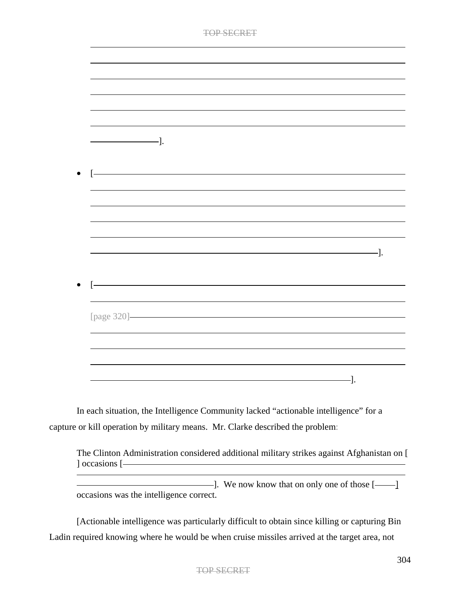| ∍ רד<br>⋯ | EC'DE |
|-----------|-------|
|           |       |

|             | -]. |  |     |     |
|-------------|-----|--|-----|-----|
|             |     |  |     |     |
|             |     |  |     |     |
|             |     |  |     |     |
|             |     |  |     |     |
|             |     |  |     |     |
|             |     |  |     |     |
|             |     |  |     |     |
|             |     |  |     |     |
|             |     |  |     |     |
|             |     |  |     |     |
|             |     |  |     |     |
|             |     |  |     |     |
|             |     |  |     | -]. |
|             |     |  |     |     |
|             |     |  |     |     |
|             |     |  |     |     |
|             |     |  |     |     |
|             |     |  |     |     |
|             |     |  |     |     |
| [page 320]- |     |  |     |     |
|             |     |  |     |     |
|             |     |  |     |     |
|             |     |  |     |     |
|             |     |  |     |     |
|             |     |  |     |     |
|             |     |  |     |     |
|             |     |  | -]. |     |

In each situation, the Intelligence Community lacked "actionable intelligence" for a capture or kill operation by military means. Mr. Clarke described the problem:

The Clinton Administration considered additional military strikes against Afghanistan on [ ] occasions [

I. We now know that on only one of those [ $\qquad$ ] occasions was the intelligence correct.

[Actionable intelligence was particularly difficult to obtain since killing or capturing Bin Ladin required knowing where he would be when cruise missiles arrived at the target area*,* not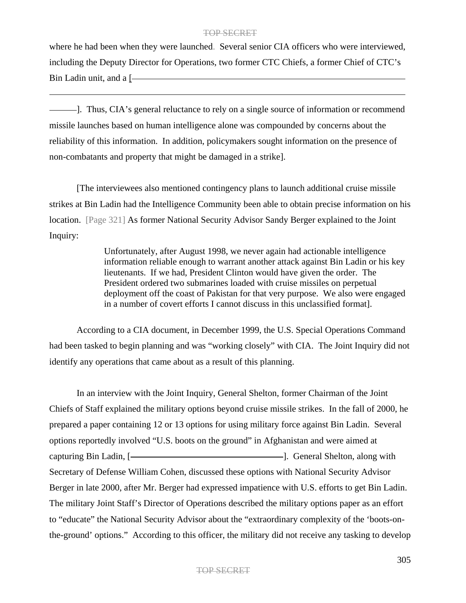where he had been when they were launched. Several senior CIA officers who were interviewed, including the Deputy Director for Operations, two former CTC Chiefs, a former Chief of CTC's Bin Ladin unit, and a [-

]. Thus, CIA's general reluctance to rely on a single source of information or recommend missile launches based on human intelligence alone was compounded by concerns about the reliability of this information. In addition, policymakers sought information on the presence of non-combatants and property that might be damaged in a strike].

[The interviewees also mentioned contingency plans to launch additional cruise missile strikes at Bin Ladin had the Intelligence Community been able to obtain precise information on his location. [Page 321] As former National Security Advisor Sandy Berger explained to the Joint Inquiry:

> Unfortunately, after August 1998, we never again had actionable intelligence information reliable enough to warrant another attack against Bin Ladin or his key lieutenants. If we had, President Clinton would have given the order. The President ordered two submarines loaded with cruise missiles on perpetual deployment off the coast of Pakistan for that very purpose. We also were engaged in a number of covert efforts I cannot discuss in this unclassified format].

According to a CIA document, in December 1999, the U.S. Special Operations Command had been tasked to begin planning and was "working closely" with CIA. The Joint Inquiry did not identify any operations that came about as a result of this planning.

In an interview with the Joint Inquiry, General Shelton, former Chairman of the Joint Chiefs of Staff explained the military options beyond cruise missile strikes. In the fall of 2000, he prepared a paper containing 12 or 13 options for using military force against Bin Ladin. Several options reportedly involved "U.S. boots on the ground" in Afghanistan and were aimed at capturing Bin Ladin, [ ]. General Shelton, along with Secretary of Defense William Cohen, discussed these options with National Security Advisor Berger in late 2000, after Mr. Berger had expressed impatience with U.S. efforts to get Bin Ladin. The military Joint Staff's Director of Operations described the military options paper as an effort to "educate" the National Security Advisor about the "extraordinary complexity of the 'boots-onthe-ground' options." According to this officer, the military did not receive any tasking to develop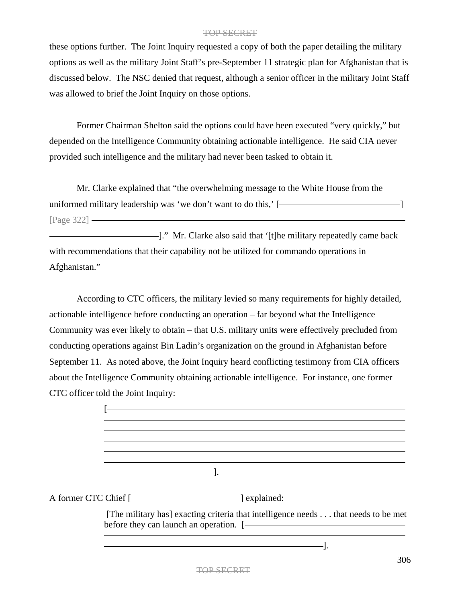these options further. The Joint Inquiry requested a copy of both the paper detailing the military options as well as the military Joint Staff's pre-September 11 strategic plan for Afghanistan that is discussed below. The NSC denied that request, although a senior officer in the military Joint Staff was allowed to brief the Joint Inquiry on those options.

Former Chairman Shelton said the options could have been executed "very quickly," but depended on the Intelligence Community obtaining actionable intelligence. He said CIA never provided such intelligence and the military had never been tasked to obtain it.

Mr. Clarke explained that "the overwhelming message to the White House from the uniformed military leadership was 'we don't want to do this,'  $\lceil$ [Page 322]

]." Mr. Clarke also said that '[t]he military repeatedly came back with recommendations that their capability not be utilized for commando operations in Afghanistan."

According to CTC officers, the military levied so many requirements for highly detailed, actionable intelligence before conducting an operation – far beyond what the Intelligence Community was ever likely to obtain – that U.S. military units were effectively precluded from conducting operations against Bin Ladin's organization on the ground in Afghanistan before September 11. As noted above, the Joint Inquiry heard conflicting testimony from CIA officers about the Intelligence Community obtaining actionable intelligence. For instance, one former CTC officer told the Joint Inquiry:

| A former CTC Chief [-2000] explained:                                             |
|-----------------------------------------------------------------------------------|
| [The military has] exacting criteria that intelligence needs that needs to be met |
|                                                                                   |

].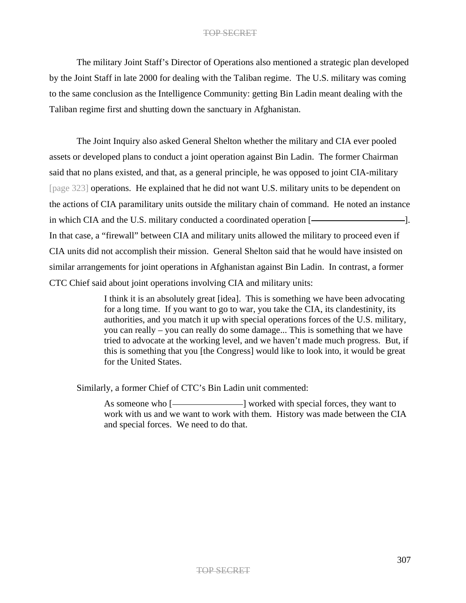The military Joint Staff's Director of Operations also mentioned a strategic plan developed by the Joint Staff in late 2000 for dealing with the Taliban regime. The U.S. military was coming to the same conclusion as the Intelligence Community: getting Bin Ladin meant dealing with the Taliban regime first and shutting down the sanctuary in Afghanistan.

The Joint Inquiry also asked General Shelton whether the military and CIA ever pooled assets or developed plans to conduct a joint operation against Bin Ladin. The former Chairman said that no plans existed, and that, as a general principle, he was opposed to joint CIA-military [page 323] operations. He explained that he did not want U.S. military units to be dependent on the actions of CIA paramilitary units outside the military chain of command. He noted an instance in which CIA and the U.S. military conducted a coordinated operation [**will**  $\sim$  [...] In that case, a "firewall" between CIA and military units allowed the military to proceed even if CIA units did not accomplish their mission. General Shelton said that he would have insisted on similar arrangements for joint operations in Afghanistan against Bin Ladin. In contrast, a former CTC Chief said about joint operations involving CIA and military units:

> I think it is an absolutely great [idea]. This is something we have been advocating for a long time. If you want to go to war, you take the CIA, its clandestinity, its authorities, and you match it up with special operations forces of the U.S. military, you can really – you can really do some damage... This is something that we have tried to advocate at the working level, and we haven't made much progress. But, if this is something that you [the Congress] would like to look into, it would be great for the United States.

Similarly, a former Chief of CTC's Bin Ladin unit commented:

As someone who [ $\longleftarrow$  ] worked with special forces, they want to work with us and we want to work with them. History was made between the CIA and special forces. We need to do that.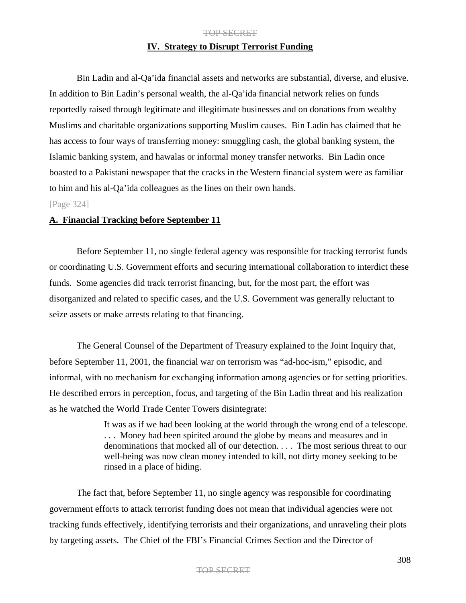# **IV. Strategy to Disrupt Terrorist Funding**

Bin Ladin and al-Qa'ida financial assets and networks are substantial, diverse, and elusive. In addition to Bin Ladin's personal wealth, the al-Qa'ida financial network relies on funds reportedly raised through legitimate and illegitimate businesses and on donations from wealthy Muslims and charitable organizations supporting Muslim causes. Bin Ladin has claimed that he has access to four ways of transferring money: smuggling cash, the global banking system, the Islamic banking system, and hawalas or informal money transfer networks. Bin Ladin once boasted to a Pakistani newspaper that the cracks in the Western financial system were as familiar to him and his al-Qa'ida colleagues as the lines on their own hands.

## [Page 324]

## **A. Financial Tracking before September 11**

Before September 11, no single federal agency was responsible for tracking terrorist funds or coordinating U.S. Government efforts and securing international collaboration to interdict these funds. Some agencies did track terrorist financing, but, for the most part, the effort was disorganized and related to specific cases, and the U.S. Government was generally reluctant to seize assets or make arrests relating to that financing.

The General Counsel of the Department of Treasury explained to the Joint Inquiry that, before September 11, 2001, the financial war on terrorism was "ad-hoc-ism," episodic, and informal, with no mechanism for exchanging information among agencies or for setting priorities. He described errors in perception, focus, and targeting of the Bin Ladin threat and his realization as he watched the World Trade Center Towers disintegrate:

> It was as if we had been looking at the world through the wrong end of a telescope. ... Money had been spirited around the globe by means and measures and in denominations that mocked all of our detection. . . . The most serious threat to our well-being was now clean money intended to kill, not dirty money seeking to be rinsed in a place of hiding.

The fact that, before September 11, no single agency was responsible for coordinating government efforts to attack terrorist funding does not mean that individual agencies were not tracking funds effectively, identifying terrorists and their organizations, and unraveling their plots by targeting assets. The Chief of the FBI's Financial Crimes Section and the Director of

## TOP SECRET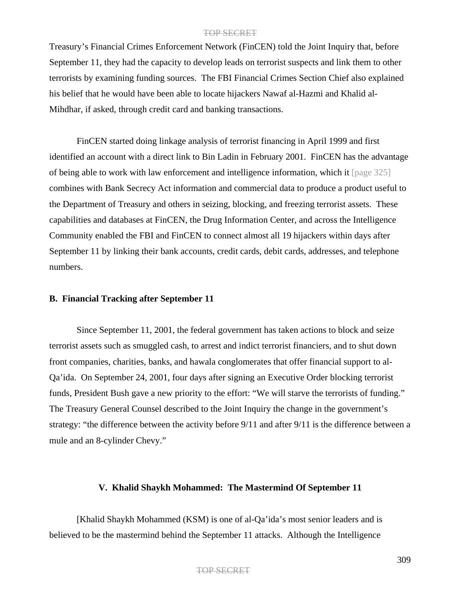Treasury's Financial Crimes Enforcement Network (FinCEN) told the Joint Inquiry that, before September 11, they had the capacity to develop leads on terrorist suspects and link them to other terrorists by examining funding sources. The FBI Financial Crimes Section Chief also explained his belief that he would have been able to locate hijackers Nawaf al-Hazmi and Khalid al-Mihdhar, if asked, through credit card and banking transactions.

FinCEN started doing linkage analysis of terrorist financing in April 1999 and first identified an account with a direct link to Bin Ladin in February 2001. FinCEN has the advantage of being able to work with law enforcement and intelligence information, which it [page 325] combines with Bank Secrecy Act information and commercial data to produce a product useful to the Department of Treasury and others in seizing, blocking, and freezing terrorist assets. These capabilities and databases at FinCEN, the Drug Information Center, and across the Intelligence Community enabled the FBI and FinCEN to connect almost all 19 hijackers within days after September 11 by linking their bank accounts, credit cards, debit cards, addresses, and telephone numbers.

## **B. Financial Tracking after September 11**

Since September 11, 2001, the federal government has taken actions to block and seize terrorist assets such as smuggled cash, to arrest and indict terrorist financiers, and to shut down front companies, charities, banks, and hawala conglomerates that offer financial support to al-Qa'ida. On September 24, 2001, four days after signing an Executive Order blocking terrorist funds, President Bush gave a new priority to the effort: "We will starve the terrorists of funding." The Treasury General Counsel described to the Joint Inquiry the change in the government's strategy: "the difference between the activity before 9/11 and after 9/11 is the difference between a mule and an 8-cylinder Chevy."

## **V. Khalid Shaykh Mohammed: The Mastermind Of September 11**

[Khalid Shaykh Mohammed (KSM) is one of al-Qa'ida's most senior leaders and is believed to be the mastermind behind the September 11 attacks. Although the Intelligence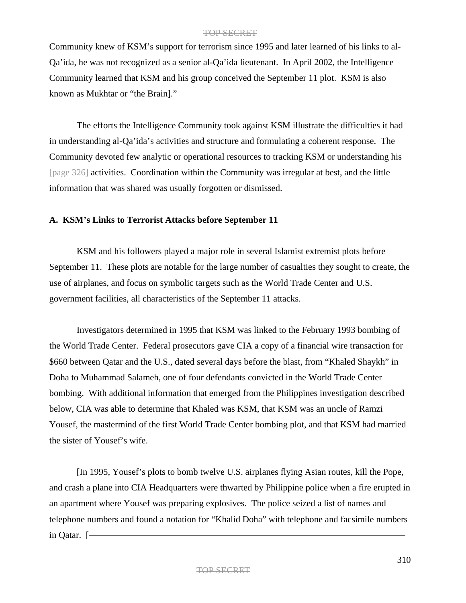Community knew of KSM's support for terrorism since 1995 and later learned of his links to al-Qa'ida, he was not recognized as a senior al-Qa'ida lieutenant. In April 2002, the Intelligence Community learned that KSM and his group conceived the September 11 plot. KSM is also known as Mukhtar or "the Brain]."

The efforts the Intelligence Community took against KSM illustrate the difficulties it had in understanding al-Qa'ida's activities and structure and formulating a coherent response. The Community devoted few analytic or operational resources to tracking KSM or understanding his [page 326] activities. Coordination within the Community was irregular at best, and the little information that was shared was usually forgotten or dismissed.

## **A. KSM's Links to Terrorist Attacks before September 11**

KSM and his followers played a major role in several Islamist extremist plots before September 11. These plots are notable for the large number of casualties they sought to create, the use of airplanes, and focus on symbolic targets such as the World Trade Center and U.S. government facilities, all characteristics of the September 11 attacks.

Investigators determined in 1995 that KSM was linked to the February 1993 bombing of the World Trade Center. Federal prosecutors gave CIA a copy of a financial wire transaction for \$660 between Qatar and the U.S., dated several days before the blast, from "Khaled Shaykh" in Doha to Muhammad Salameh, one of four defendants convicted in the World Trade Center bombing. With additional information that emerged from the Philippines investigation described below, CIA was able to determine that Khaled was KSM, that KSM was an uncle of Ramzi Yousef, the mastermind of the first World Trade Center bombing plot, and that KSM had married the sister of Yousef's wife.

[In 1995, Yousef's plots to bomb twelve U.S. airplanes flying Asian routes, kill the Pope, and crash a plane into CIA Headquarters were thwarted by Philippine police when a fire erupted in an apartment where Yousef was preparing explosives. The police seized a list of names and telephone numbers and found a notation for "Khalid Doha" with telephone and facsimile numbers in Qatar. [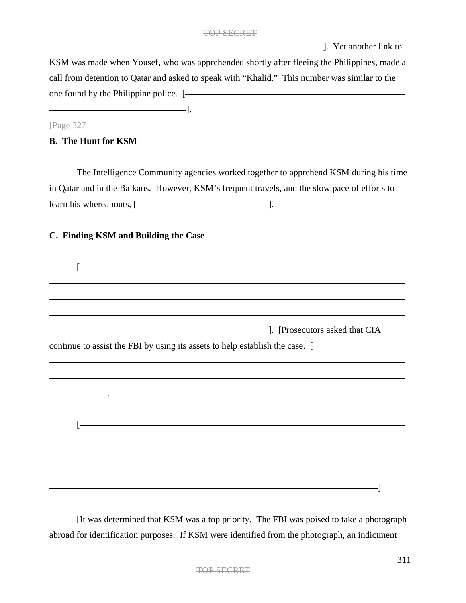**Example 2**. Yet another link to

KSM was made when Yousef, who was apprehended shortly after fleeing the Philippines, made a call from detention to Qatar and asked to speak with "Khalid." This number was similar to the one found by the Philippine police. [

## [Page 327]

## **B. The Hunt for KSM**

The Intelligence Community agencies worked together to apprehend KSM during his time in Qatar and in the Balkans. However, KSM's frequent travels, and the slow pace of efforts to learn his whereabouts, [-2000] [2010].

## **C. Finding KSM and Building the Case**

].

|                                          | ,我们也不会有什么。""我们的人,我们也不会有什么?""我们的人,我们也不会有什么?""我们的人,我们也不会有什么?""我们的人,我们也不会有什么?""我们的人 |
|------------------------------------------|----------------------------------------------------------------------------------|
|                                          |                                                                                  |
|                                          | ,我们也不会有什么。""我们的人,我们也不会有什么?""我们的人,我们也不会有什么?""我们的人,我们也不会有什么?""我们的人,我们也不会有什么?""我们的人 |
|                                          | - [Prosecutors asked that CIA]. [Prosecutors asked that CIA]                     |
|                                          | continue to assist the FBI by using its assets to help establish the case. [-    |
|                                          |                                                                                  |
|                                          |                                                                                  |
|                                          |                                                                                  |
| $\overline{\phantom{iiiiiiiiiiiiiii}}$ . |                                                                                  |
|                                          |                                                                                  |
|                                          | <u> 1989 - Johann Barn, fransk politik (d. 1989)</u>                             |
|                                          |                                                                                  |
|                                          |                                                                                  |
|                                          |                                                                                  |
|                                          |                                                                                  |
|                                          |                                                                                  |
|                                          | <u> 1989 - Andrea Andrew Maria (h. 1989).</u>                                    |

[It was determined that KSM was a top priority. The FBI was poised to take a photograph abroad for identification purposes. If KSM were identified from the photograph, an indictment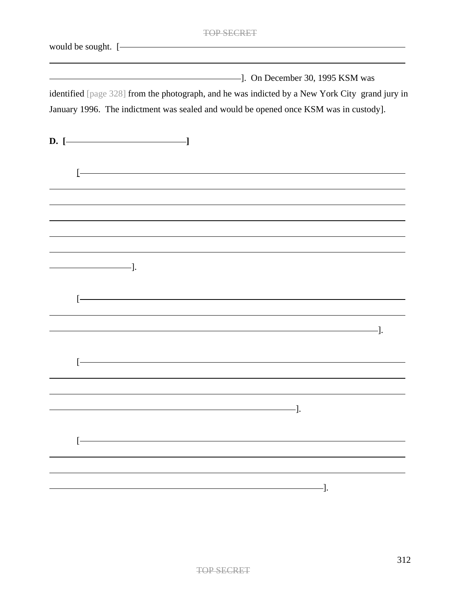|                            | TOP SEC                                                                                                                |
|----------------------------|------------------------------------------------------------------------------------------------------------------------|
| would be sought. [-        | <u> 1980 - Johann Barbara, martxa alemaniar a</u>                                                                      |
|                            | $\sim$ 1995 KSM was<br>identified [page 328] from the photograph, and he was indicted by a New York City grand jury in |
|                            | January 1996. The indictment was sealed and would be opened once KSM was in custody].                                  |
| $D.$ [ $\longrightarrow$   |                                                                                                                        |
| Ŀ                          | <u> 1989 - Johann Barbara, martxa alemaniar argamento de la contrada de la contrada de la contrada de la contrada</u>  |
|                            |                                                                                                                        |
|                            | ,我们也不会有什么。""我们的人,我们也不会有什么?""我们的人,我们也不会有什么?""我们的人,我们也不会有什么?""我们的人,我们也不会有什么?""我们的人                                       |
| $\overline{\phantom{a}}$ . |                                                                                                                        |
|                            | <u> 1980 - Johann Stoff, Amerikaansk politiker (</u>                                                                   |
|                            | $-$ ].                                                                                                                 |
|                            |                                                                                                                        |
|                            | —].                                                                                                                    |
|                            |                                                                                                                        |
|                            |                                                                                                                        |
|                            | -].                                                                                                                    |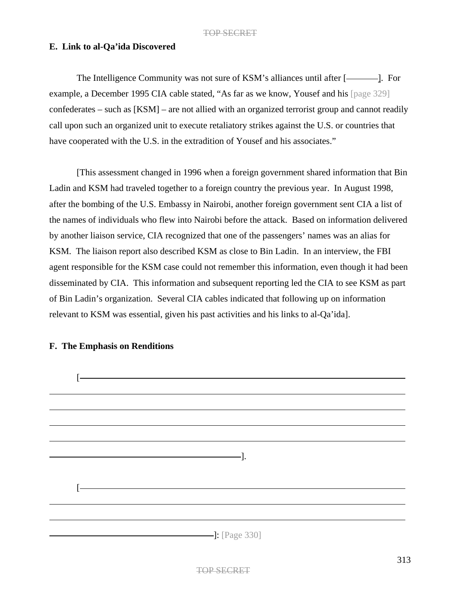# **E. Link to al-Qa'ida Discovered**

The Intelligence Community was not sure of KSM's alliances until after [example, a December 1995 CIA cable stated, "As far as we know, Yousef and his [page 329] confederates – such as [KSM] – are not allied with an organized terrorist group and cannot readily call upon such an organized unit to execute retaliatory strikes against the U.S. or countries that have cooperated with the U.S. in the extradition of Yousef and his associates."

[This assessment changed in 1996 when a foreign government shared information that Bin Ladin and KSM had traveled together to a foreign country the previous year. In August 1998, after the bombing of the U.S. Embassy in Nairobi, another foreign government sent CIA a list of the names of individuals who flew into Nairobi before the attack. Based on information delivered by another liaison service, CIA recognized that one of the passengers' names was an alias for KSM. The liaison report also described KSM as close to Bin Ladin. In an interview, the FBI agent responsible for the KSM case could not remember this information, even though it had been disseminated by CIA. This information and subsequent reporting led the CIA to see KSM as part of Bin Ladin's organization. Several CIA cables indicated that following up on information relevant to KSM was essential, given his past activities and his links to al-Qa'ida].



# **F. The Emphasis on Renditions**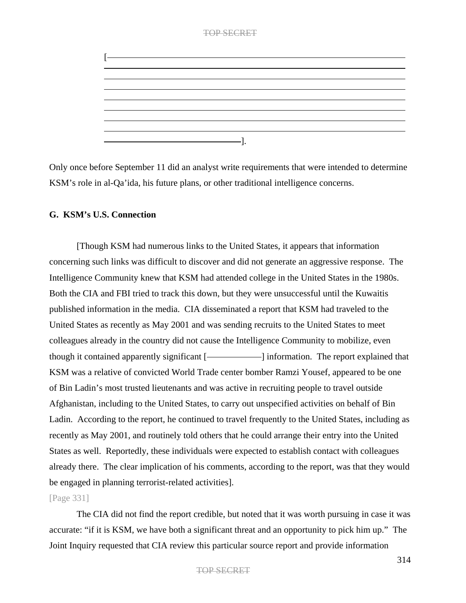# TOP SECRET [ ].

Only once before September 11 did an analyst write requirements that were intended to determine KSM's role in al-Qa'ida, his future plans, or other traditional intelligence concerns.

# **G. KSM's U.S. Connection**

[Though KSM had numerous links to the United States, it appears that information concerning such links was difficult to discover and did not generate an aggressive response. The Intelligence Community knew that KSM had attended college in the United States in the 1980s. Both the CIA and FBI tried to track this down, but they were unsuccessful until the Kuwaitis published information in the media. CIA disseminated a report that KSM had traveled to the United States as recently as May 2001 and was sending recruits to the United States to meet colleagues already in the country did not cause the Intelligence Community to mobilize, even though it contained apparently significant [- information. The report explained that KSM was a relative of convicted World Trade center bomber Ramzi Yousef, appeared to be one of Bin Ladin's most trusted lieutenants and was active in recruiting people to travel outside Afghanistan, including to the United States, to carry out unspecified activities on behalf of Bin Ladin. According to the report, he continued to travel frequently to the United States, including as recently as May 2001, and routinely told others that he could arrange their entry into the United States as well. Reportedly, these individuals were expected to establish contact with colleagues already there. The clear implication of his comments, according to the report, was that they would be engaged in planning terrorist-related activities].

# [Page 331]

The CIA did not find the report credible, but noted that it was worth pursuing in case it was accurate: "if it is KSM, we have both a significant threat and an opportunity to pick him up." The Joint Inquiry requested that CIA review this particular source report and provide information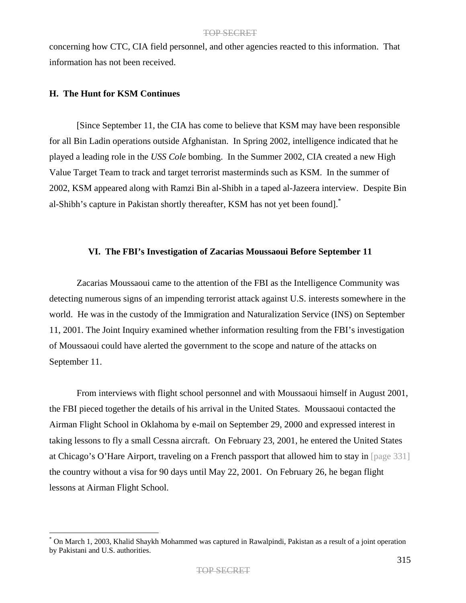concerning how CTC, CIA field personnel, and other agencies reacted to this information. That information has not been received.

## **H. The Hunt for KSM Continues**

[Since September 11, the CIA has come to believe that KSM may have been responsible for all Bin Ladin operations outside Afghanistan. In Spring 2002, intelligence indicated that he played a leading role in the *USS Cole* bombing. In the Summer 2002, CIA created a new High Value Target Team to track and target terrorist masterminds such as KSM. In the summer of 2002, KSM appeared along with Ramzi Bin al-Shibh in a taped al-Jazeera interview. Despite Bin al-Shibh's capture in Pakistan shortly thereafter, KSM has not yet been found].\*

## **VI. The FBI's Investigation of Zacarias Moussaoui Before September 11**

Zacarias Moussaoui came to the attention of the FBI as the Intelligence Community was detecting numerous signs of an impending terrorist attack against U.S. interests somewhere in the world. He was in the custody of the Immigration and Naturalization Service (INS) on September 11, 2001. The Joint Inquiry examined whether information resulting from the FBI's investigation of Moussaoui could have alerted the government to the scope and nature of the attacks on September 11.

From interviews with flight school personnel and with Moussaoui himself in August 2001, the FBI pieced together the details of his arrival in the United States. Moussaoui contacted the Airman Flight School in Oklahoma by e-mail on September 29, 2000 and expressed interest in taking lessons to fly a small Cessna aircraft. On February 23, 2001, he entered the United States at Chicago's O'Hare Airport, traveling on a French passport that allowed him to stay in [page 331] the country without a visa for 90 days until May 22, 2001. On February 26, he began flight lessons at Airman Flight School.

<sup>\*</sup> On March 1, 2003, Khalid Shaykh Mohammed was captured in Rawalpindi, Pakistan as a result of a joint operation by Pakistani and U.S. authorities.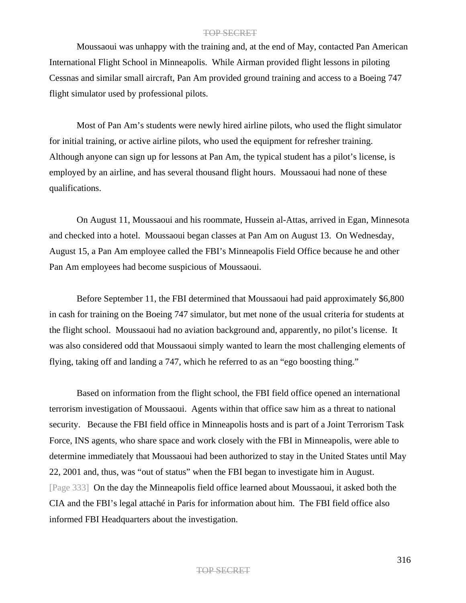Moussaoui was unhappy with the training and, at the end of May, contacted Pan American International Flight School in Minneapolis. While Airman provided flight lessons in piloting Cessnas and similar small aircraft, Pan Am provided ground training and access to a Boeing 747 flight simulator used by professional pilots.

Most of Pan Am's students were newly hired airline pilots, who used the flight simulator for initial training, or active airline pilots, who used the equipment for refresher training. Although anyone can sign up for lessons at Pan Am, the typical student has a pilot's license, is employed by an airline, and has several thousand flight hours. Moussaoui had none of these qualifications.

On August 11, Moussaoui and his roommate, Hussein al-Attas, arrived in Egan, Minnesota and checked into a hotel. Moussaoui began classes at Pan Am on August 13. On Wednesday, August 15, a Pan Am employee called the FBI's Minneapolis Field Office because he and other Pan Am employees had become suspicious of Moussaoui.

Before September 11, the FBI determined that Moussaoui had paid approximately \$6,800 in cash for training on the Boeing 747 simulator, but met none of the usual criteria for students at the flight school. Moussaoui had no aviation background and, apparently, no pilot's license. It was also considered odd that Moussaoui simply wanted to learn the most challenging elements of flying, taking off and landing a 747, which he referred to as an "ego boosting thing."

Based on information from the flight school, the FBI field office opened an international terrorism investigation of Moussaoui. Agents within that office saw him as a threat to national security. Because the FBI field office in Minneapolis hosts and is part of a Joint Terrorism Task Force, INS agents, who share space and work closely with the FBI in Minneapolis, were able to determine immediately that Moussaoui had been authorized to stay in the United States until May 22, 2001 and, thus, was "out of status" when the FBI began to investigate him in August. [Page 333] On the day the Minneapolis field office learned about Moussaoui, it asked both the CIA and the FBI's legal attaché in Paris for information about him. The FBI field office also informed FBI Headquarters about the investigation.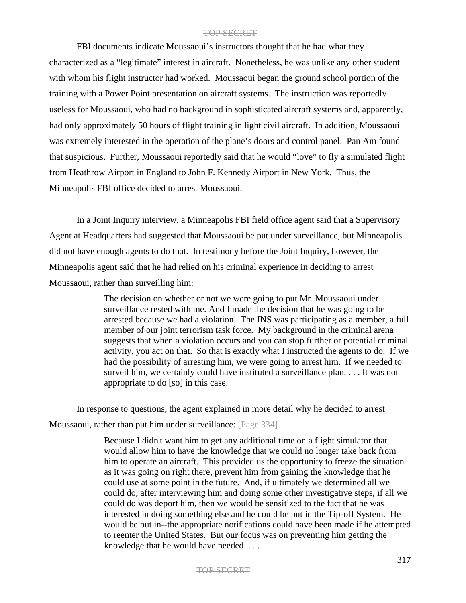FBI documents indicate Moussaoui's instructors thought that he had what they characterized as a "legitimate" interest in aircraft. Nonetheless, he was unlike any other student with whom his flight instructor had worked. Moussaoui began the ground school portion of the training with a Power Point presentation on aircraft systems. The instruction was reportedly useless for Moussaoui, who had no background in sophisticated aircraft systems and, apparently, had only approximately 50 hours of flight training in light civil aircraft. In addition, Moussaoui was extremely interested in the operation of the plane's doors and control panel. Pan Am found that suspicious. Further, Moussaoui reportedly said that he would "love" to fly a simulated flight from Heathrow Airport in England to John F. Kennedy Airport in New York. Thus, the Minneapolis FBI office decided to arrest Moussaoui.

In a Joint Inquiry interview, a Minneapolis FBI field office agent said that a Supervisory Agent at Headquarters had suggested that Moussaoui be put under surveillance, but Minneapolis did not have enough agents to do that. In testimony before the Joint Inquiry, however, the Minneapolis agent said that he had relied on his criminal experience in deciding to arrest Moussaoui, rather than surveilling him:

> The decision on whether or not we were going to put Mr. Moussaoui under surveillance rested with me. And I made the decision that he was going to be arrested because we had a violation. The INS was participating as a member, a full member of our joint terrorism task force. My background in the criminal arena suggests that when a violation occurs and you can stop further or potential criminal activity, you act on that. So that is exactly what I instructed the agents to do. If we had the possibility of arresting him, we were going to arrest him. If we needed to surveil him, we certainly could have instituted a surveillance plan. . . . It was not appropriate to do [so] in this case.

In response to questions, the agent explained in more detail why he decided to arrest Moussaoui, rather than put him under surveillance: [Page 334]

> Because I didn't want him to get any additional time on a flight simulator that would allow him to have the knowledge that we could no longer take back from him to operate an aircraft. This provided us the opportunity to freeze the situation as it was going on right there, prevent him from gaining the knowledge that he could use at some point in the future. And, if ultimately we determined all we could do, after interviewing him and doing some other investigative steps, if all we could do was deport him, then we would be sensitized to the fact that he was interested in doing something else and he could be put in the Tip-off System. He would be put in--the appropriate notifications could have been made if he attempted to reenter the United States. But our focus was on preventing him getting the knowledge that he would have needed. . . .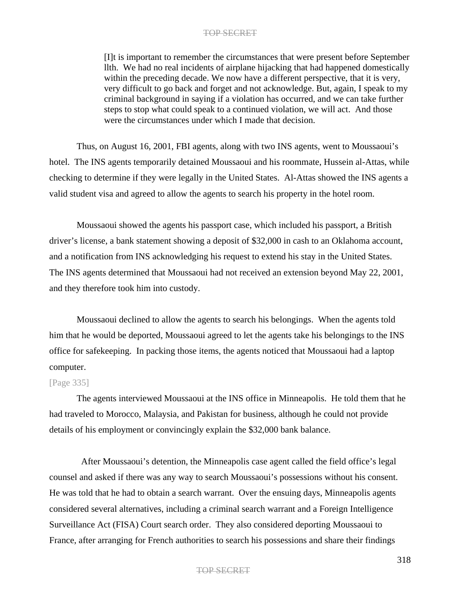[I]t is important to remember the circumstances that were present before September llth. We had no real incidents of airplane hijacking that had happened domestically within the preceding decade. We now have a different perspective, that it is very, very difficult to go back and forget and not acknowledge. But, again, I speak to my criminal background in saying if a violation has occurred, and we can take further steps to stop what could speak to a continued violation, we will act. And those were the circumstances under which I made that decision.

Thus, on August 16, 2001, FBI agents, along with two INS agents, went to Moussaoui's hotel. The INS agents temporarily detained Moussaoui and his roommate, Hussein al-Attas, while checking to determine if they were legally in the United States. Al-Attas showed the INS agents a valid student visa and agreed to allow the agents to search his property in the hotel room.

Moussaoui showed the agents his passport case, which included his passport, a British driver's license, a bank statement showing a deposit of \$32,000 in cash to an Oklahoma account, and a notification from INS acknowledging his request to extend his stay in the United States. The INS agents determined that Moussaoui had not received an extension beyond May 22, 2001, and they therefore took him into custody.

Moussaoui declined to allow the agents to search his belongings. When the agents told him that he would be deported, Moussaoui agreed to let the agents take his belongings to the INS office for safekeeping. In packing those items, the agents noticed that Moussaoui had a laptop computer.

#### [Page 335]

The agents interviewed Moussaoui at the INS office in Minneapolis. He told them that he had traveled to Morocco, Malaysia, and Pakistan for business, although he could not provide details of his employment or convincingly explain the \$32,000 bank balance.

After Moussaoui's detention, the Minneapolis case agent called the field office's legal counsel and asked if there was any way to search Moussaoui's possessions without his consent. He was told that he had to obtain a search warrant. Over the ensuing days, Minneapolis agents considered several alternatives, including a criminal search warrant and a Foreign Intelligence Surveillance Act (FISA) Court search order. They also considered deporting Moussaoui to France, after arranging for French authorities to search his possessions and share their findings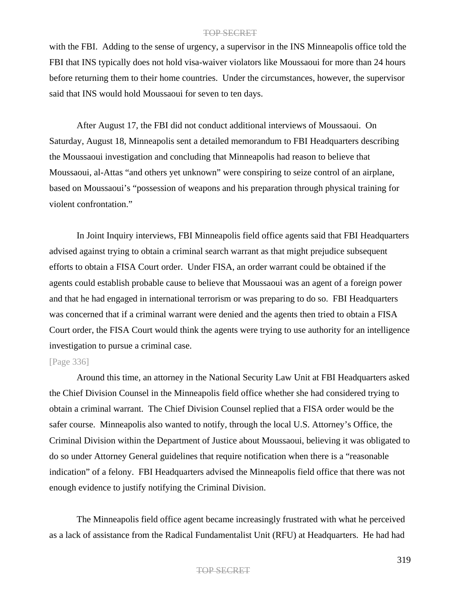with the FBI. Adding to the sense of urgency, a supervisor in the INS Minneapolis office told the FBI that INS typically does not hold visa-waiver violators like Moussaoui for more than 24 hours before returning them to their home countries. Under the circumstances, however, the supervisor said that INS would hold Moussaoui for seven to ten days.

After August 17, the FBI did not conduct additional interviews of Moussaoui. On Saturday, August 18, Minneapolis sent a detailed memorandum to FBI Headquarters describing the Moussaoui investigation and concluding that Minneapolis had reason to believe that Moussaoui, al-Attas "and others yet unknown" were conspiring to seize control of an airplane, based on Moussaoui's "possession of weapons and his preparation through physical training for violent confrontation."

In Joint Inquiry interviews, FBI Minneapolis field office agents said that FBI Headquarters advised against trying to obtain a criminal search warrant as that might prejudice subsequent efforts to obtain a FISA Court order. Under FISA, an order warrant could be obtained if the agents could establish probable cause to believe that Moussaoui was an agent of a foreign power and that he had engaged in international terrorism or was preparing to do so. FBI Headquarters was concerned that if a criminal warrant were denied and the agents then tried to obtain a FISA Court order, the FISA Court would think the agents were trying to use authority for an intelligence investigation to pursue a criminal case.

## [Page 336]

Around this time, an attorney in the National Security Law Unit at FBI Headquarters asked the Chief Division Counsel in the Minneapolis field office whether she had considered trying to obtain a criminal warrant. The Chief Division Counsel replied that a FISA order would be the safer course. Minneapolis also wanted to notify, through the local U.S. Attorney's Office, the Criminal Division within the Department of Justice about Moussaoui, believing it was obligated to do so under Attorney General guidelines that require notification when there is a "reasonable indication" of a felony. FBI Headquarters advised the Minneapolis field office that there was not enough evidence to justify notifying the Criminal Division.

The Minneapolis field office agent became increasingly frustrated with what he perceived as a lack of assistance from the Radical Fundamentalist Unit (RFU) at Headquarters. He had had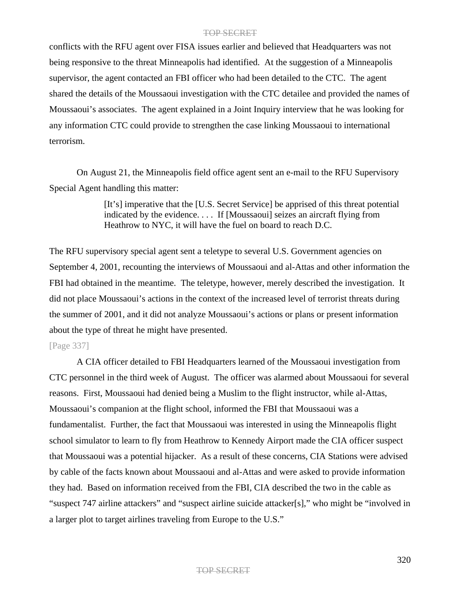conflicts with the RFU agent over FISA issues earlier and believed that Headquarters was not being responsive to the threat Minneapolis had identified. At the suggestion of a Minneapolis supervisor, the agent contacted an FBI officer who had been detailed to the CTC. The agent shared the details of the Moussaoui investigation with the CTC detailee and provided the names of Moussaoui's associates. The agent explained in a Joint Inquiry interview that he was looking for any information CTC could provide to strengthen the case linking Moussaoui to international terrorism.

On August 21, the Minneapolis field office agent sent an e-mail to the RFU Supervisory Special Agent handling this matter:

> [It's] imperative that the [U.S. Secret Service] be apprised of this threat potential indicated by the evidence. . . . If [Moussaoui] seizes an aircraft flying from Heathrow to NYC, it will have the fuel on board to reach D.C.

The RFU supervisory special agent sent a teletype to several U.S. Government agencies on September 4, 2001, recounting the interviews of Moussaoui and al-Attas and other information the FBI had obtained in the meantime. The teletype, however, merely described the investigation. It did not place Moussaoui's actions in the context of the increased level of terrorist threats during the summer of 2001, and it did not analyze Moussaoui's actions or plans or present information about the type of threat he might have presented.

## [Page 337]

A CIA officer detailed to FBI Headquarters learned of the Moussaoui investigation from CTC personnel in the third week of August. The officer was alarmed about Moussaoui for several reasons. First, Moussaoui had denied being a Muslim to the flight instructor, while al-Attas, Moussaoui's companion at the flight school, informed the FBI that Moussaoui was a fundamentalist. Further, the fact that Moussaoui was interested in using the Minneapolis flight school simulator to learn to fly from Heathrow to Kennedy Airport made the CIA officer suspect that Moussaoui was a potential hijacker. As a result of these concerns, CIA Stations were advised by cable of the facts known about Moussaoui and al-Attas and were asked to provide information they had. Based on information received from the FBI, CIA described the two in the cable as "suspect 747 airline attackers" and "suspect airline suicide attacker[s]," who might be "involved in a larger plot to target airlines traveling from Europe to the U.S."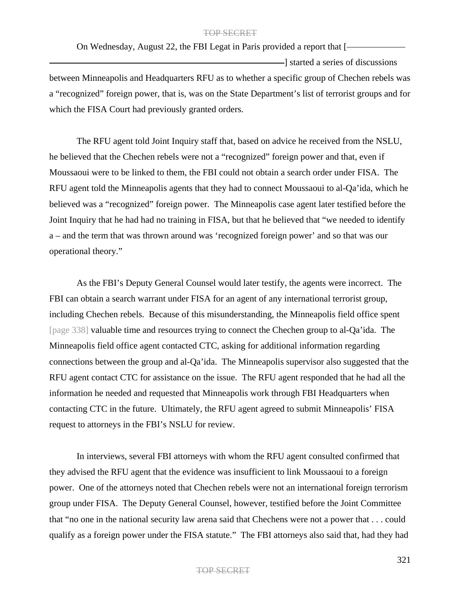On Wednesday, August 22, the FBI Legat in Paris provided a report that [ -1 started a series of discussions between Minneapolis and Headquarters RFU as to whether a specific group of Chechen rebels was a "recognized" foreign power, that is, was on the State Department's list of terrorist groups and for which the FISA Court had previously granted orders.

The RFU agent told Joint Inquiry staff that, based on advice he received from the NSLU, he believed that the Chechen rebels were not a "recognized" foreign power and that, even if Moussaoui were to be linked to them, the FBI could not obtain a search order under FISA. The RFU agent told the Minneapolis agents that they had to connect Moussaoui to al-Qa'ida, which he believed was a "recognized" foreign power. The Minneapolis case agent later testified before the Joint Inquiry that he had had no training in FISA, but that he believed that "we needed to identify a – and the term that was thrown around was 'recognized foreign power' and so that was our operational theory."

As the FBI's Deputy General Counsel would later testify, the agents were incorrect. The FBI can obtain a search warrant under FISA for an agent of any international terrorist group, including Chechen rebels. Because of this misunderstanding, the Minneapolis field office spent [page 338] valuable time and resources trying to connect the Chechen group to al-Qa'ida. The Minneapolis field office agent contacted CTC, asking for additional information regarding connections between the group and al-Qa'ida. The Minneapolis supervisor also suggested that the RFU agent contact CTC for assistance on the issue. The RFU agent responded that he had all the information he needed and requested that Minneapolis work through FBI Headquarters when contacting CTC in the future. Ultimately, the RFU agent agreed to submit Minneapolis' FISA request to attorneys in the FBI's NSLU for review.

In interviews, several FBI attorneys with whom the RFU agent consulted confirmed that they advised the RFU agent that the evidence was insufficient to link Moussaoui to a foreign power. One of the attorneys noted that Chechen rebels were not an international foreign terrorism group under FISA. The Deputy General Counsel, however, testified before the Joint Committee that "no one in the national security law arena said that Chechens were not a power that . . . could qualify as a foreign power under the FISA statute." The FBI attorneys also said that, had they had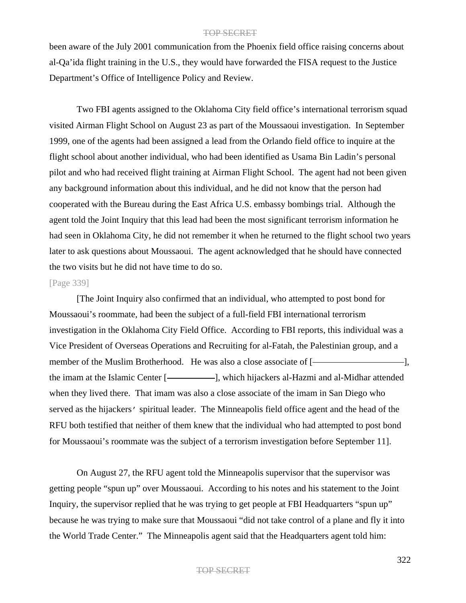been aware of the July 2001 communication from the Phoenix field office raising concerns about al-Qa'ida flight training in the U.S., they would have forwarded the FISA request to the Justice Department's Office of Intelligence Policy and Review.

Two FBI agents assigned to the Oklahoma City field office's international terrorism squad visited Airman Flight School on August 23 as part of the Moussaoui investigation. In September 1999, one of the agents had been assigned a lead from the Orlando field office to inquire at the flight school about another individual, who had been identified as Usama Bin Ladin's personal pilot and who had received flight training at Airman Flight School. The agent had not been given any background information about this individual, and he did not know that the person had cooperated with the Bureau during the East Africa U.S. embassy bombings trial. Although the agent told the Joint Inquiry that this lead had been the most significant terrorism information he had seen in Oklahoma City, he did not remember it when he returned to the flight school two years later to ask questions about Moussaoui. The agent acknowledged that he should have connected the two visits but he did not have time to do so.

### [Page 339]

[The Joint Inquiry also confirmed that an individual, who attempted to post bond for Moussaoui's roommate, had been the subject of a full-field FBI international terrorism investigation in the Oklahoma City Field Office. According to FBI reports, this individual was a Vice President of Overseas Operations and Recruiting for al-Fatah, the Palestinian group, and a member of the Muslim Brotherhood. He was also a close associate of [the imam at the Islamic Center [-**]**, which hijackers al-Hazmi and al-Midhar attended when they lived there. That imam was also a close associate of the imam in San Diego who served as the hijackers' spiritual leader. The Minneapolis field office agent and the head of the RFU both testified that neither of them knew that the individual who had attempted to post bond for Moussaoui's roommate was the subject of a terrorism investigation before September 11].

On August 27, the RFU agent told the Minneapolis supervisor that the supervisor was getting people "spun up" over Moussaoui. According to his notes and his statement to the Joint Inquiry, the supervisor replied that he was trying to get people at FBI Headquarters "spun up" because he was trying to make sure that Moussaoui "did not take control of a plane and fly it into the World Trade Center." The Minneapolis agent said that the Headquarters agent told him: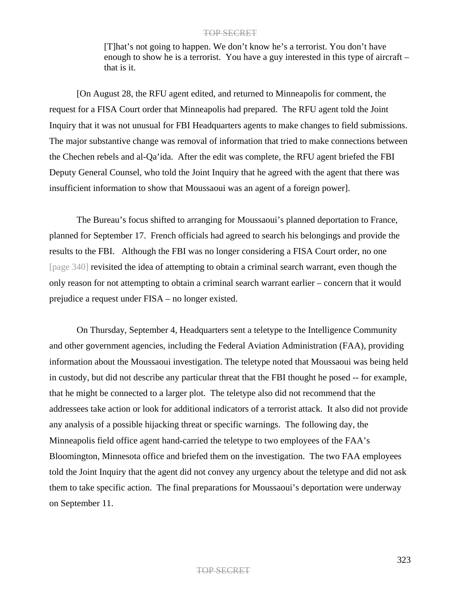[T]hat's not going to happen. We don't know he's a terrorist. You don't have enough to show he is a terrorist. You have a guy interested in this type of aircraft – that is it.

[On August 28, the RFU agent edited, and returned to Minneapolis for comment, the request for a FISA Court order that Minneapolis had prepared. The RFU agent told the Joint Inquiry that it was not unusual for FBI Headquarters agents to make changes to field submissions. The major substantive change was removal of information that tried to make connections between the Chechen rebels and al-Qa'ida. After the edit was complete, the RFU agent briefed the FBI Deputy General Counsel, who told the Joint Inquiry that he agreed with the agent that there was insufficient information to show that Moussaoui was an agent of a foreign power].

The Bureau's focus shifted to arranging for Moussaoui's planned deportation to France, planned for September 17. French officials had agreed to search his belongings and provide the results to the FBI. Although the FBI was no longer considering a FISA Court order, no one [page 340] revisited the idea of attempting to obtain a criminal search warrant, even though the only reason for not attempting to obtain a criminal search warrant earlier – concern that it would prejudice a request under FISA – no longer existed.

On Thursday, September 4, Headquarters sent a teletype to the Intelligence Community and other government agencies, including the Federal Aviation Administration (FAA), providing information about the Moussaoui investigation. The teletype noted that Moussaoui was being held in custody, but did not describe any particular threat that the FBI thought he posed -- for example, that he might be connected to a larger plot. The teletype also did not recommend that the addressees take action or look for additional indicators of a terrorist attack. It also did not provide any analysis of a possible hijacking threat or specific warnings. The following day, the Minneapolis field office agent hand-carried the teletype to two employees of the FAA's Bloomington, Minnesota office and briefed them on the investigation. The two FAA employees told the Joint Inquiry that the agent did not convey any urgency about the teletype and did not ask them to take specific action. The final preparations for Moussaoui's deportation were underway on September 11.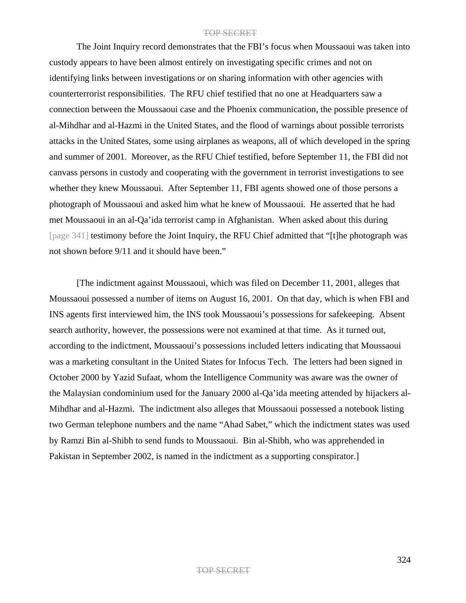The Joint Inquiry record demonstrates that the FBI's focus when Moussaoui was taken into custody appears to have been almost entirely on investigating specific crimes and not on identifying links between investigations or on sharing information with other agencies with counterterrorist responsibilities. The RFU chief testified that no one at Headquarters saw a connection between the Moussaoui case and the Phoenix communication, the possible presence of al-Mihdhar and al-Hazmi in the United States, and the flood of warnings about possible terrorists attacks in the United States, some using airplanes as weapons, all of which developed in the spring and summer of 2001. Moreover, as the RFU Chief testified, before September 11, the FBI did not canvass persons in custody and cooperating with the government in terrorist investigations to see whether they knew Moussaoui. After September 11, FBI agents showed one of those persons a photograph of Moussaoui and asked him what he knew of Moussaoui. He asserted that he had met Moussaoui in an al-Qa'ida terrorist camp in Afghanistan. When asked about this during [page 341] testimony before the Joint Inquiry, the RFU Chief admitted that "[t]he photograph was not shown before 9/11 and it should have been."

[The indictment against Moussaoui, which was filed on December 11, 2001, alleges that Moussaoui possessed a number of items on August 16, 2001. On that day, which is when FBI and INS agents first interviewed him, the INS took Moussaoui's possessions for safekeeping. Absent search authority, however, the possessions were not examined at that time. As it turned out, according to the indictment, Moussaoui's possessions included letters indicating that Moussaoui was a marketing consultant in the United States for Infocus Tech. The letters had been signed in October 2000 by Yazid Sufaat, whom the Intelligence Community was aware was the owner of the Malaysian condominium used for the January 2000 al-Qa'ida meeting attended by hijackers al-Mihdhar and al-Hazmi. The indictment also alleges that Moussaoui possessed a notebook listing two German telephone numbers and the name "Ahad Sabet," which the indictment states was used by Ramzi Bin al-Shibh to send funds to Moussaoui. Bin al-Shibh, who was apprehended in Pakistan in September 2002, is named in the indictment as a supporting conspirator.]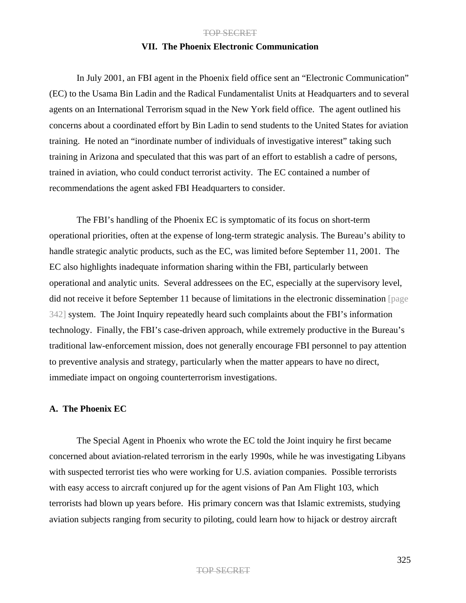### **VII. The Phoenix Electronic Communication**

In July 2001, an FBI agent in the Phoenix field office sent an "Electronic Communication" (EC) to the Usama Bin Ladin and the Radical Fundamentalist Units at Headquarters and to several agents on an International Terrorism squad in the New York field office. The agent outlined his concerns about a coordinated effort by Bin Ladin to send students to the United States for aviation training. He noted an "inordinate number of individuals of investigative interest" taking such training in Arizona and speculated that this was part of an effort to establish a cadre of persons, trained in aviation, who could conduct terrorist activity. The EC contained a number of recommendations the agent asked FBI Headquarters to consider.

The FBI's handling of the Phoenix EC is symptomatic of its focus on short-term operational priorities, often at the expense of long-term strategic analysis. The Bureau's ability to handle strategic analytic products, such as the EC, was limited before September 11, 2001. The EC also highlights inadequate information sharing within the FBI, particularly between operational and analytic units. Several addressees on the EC, especially at the supervisory level, did not receive it before September 11 because of limitations in the electronic dissemination [page 342] system. The Joint Inquiry repeatedly heard such complaints about the FBI's information technology. Finally, the FBI's case-driven approach, while extremely productive in the Bureau's traditional law-enforcement mission, does not generally encourage FBI personnel to pay attention to preventive analysis and strategy, particularly when the matter appears to have no direct, immediate impact on ongoing counterterrorism investigations.

### **A. The Phoenix EC**

The Special Agent in Phoenix who wrote the EC told the Joint inquiry he first became concerned about aviation-related terrorism in the early 1990s, while he was investigating Libyans with suspected terrorist ties who were working for U.S. aviation companies. Possible terrorists with easy access to aircraft conjured up for the agent visions of Pan Am Flight 103, which terrorists had blown up years before. His primary concern was that Islamic extremists, studying aviation subjects ranging from security to piloting, could learn how to hijack or destroy aircraft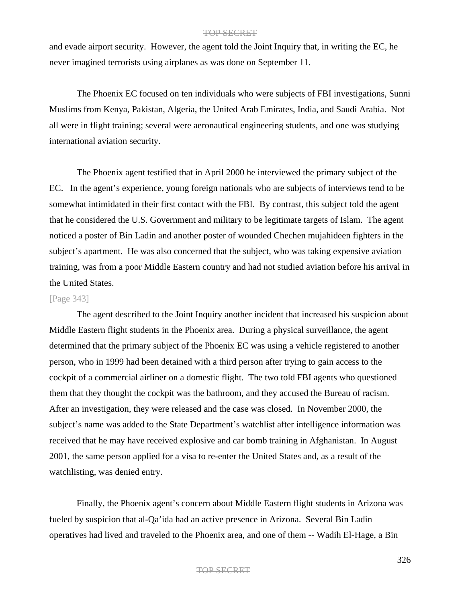and evade airport security. However, the agent told the Joint Inquiry that, in writing the EC, he never imagined terrorists using airplanes as was done on September 11.

The Phoenix EC focused on ten individuals who were subjects of FBI investigations, Sunni Muslims from Kenya, Pakistan, Algeria, the United Arab Emirates, India, and Saudi Arabia. Not all were in flight training; several were aeronautical engineering students, and one was studying international aviation security.

The Phoenix agent testified that in April 2000 he interviewed the primary subject of the EC. In the agent's experience, young foreign nationals who are subjects of interviews tend to be somewhat intimidated in their first contact with the FBI. By contrast, this subject told the agent that he considered the U.S. Government and military to be legitimate targets of Islam. The agent noticed a poster of Bin Ladin and another poster of wounded Chechen mujahideen fighters in the subject's apartment. He was also concerned that the subject, who was taking expensive aviation training, was from a poor Middle Eastern country and had not studied aviation before his arrival in the United States.

## [Page 343]

The agent described to the Joint Inquiry another incident that increased his suspicion about Middle Eastern flight students in the Phoenix area. During a physical surveillance, the agent determined that the primary subject of the Phoenix EC was using a vehicle registered to another person, who in 1999 had been detained with a third person after trying to gain access to the cockpit of a commercial airliner on a domestic flight. The two told FBI agents who questioned them that they thought the cockpit was the bathroom, and they accused the Bureau of racism. After an investigation, they were released and the case was closed. In November 2000, the subject's name was added to the State Department's watchlist after intelligence information was received that he may have received explosive and car bomb training in Afghanistan. In August 2001, the same person applied for a visa to re-enter the United States and, as a result of the watchlisting, was denied entry.

Finally, the Phoenix agent's concern about Middle Eastern flight students in Arizona was fueled by suspicion that al-Qa'ida had an active presence in Arizona. Several Bin Ladin operatives had lived and traveled to the Phoenix area, and one of them -- Wadih El-Hage, a Bin

#### TOP SECRET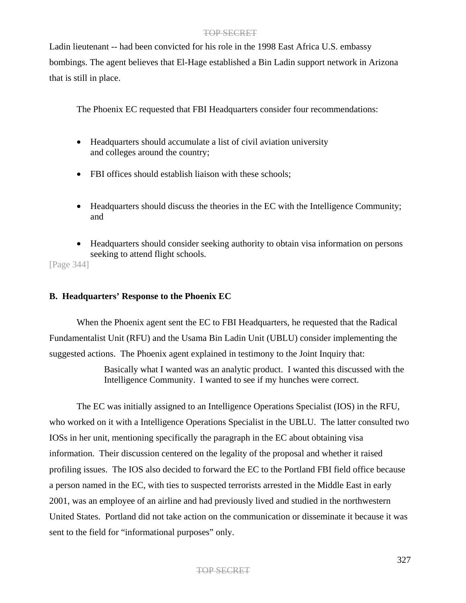Ladin lieutenant -- had been convicted for his role in the 1998 East Africa U.S. embassy bombings. The agent believes that El-Hage established a Bin Ladin support network in Arizona that is still in place.

The Phoenix EC requested that FBI Headquarters consider four recommendations:

- Headquarters should accumulate a list of civil aviation university and colleges around the country;
- FBI offices should establish liaison with these schools;
- Headquarters should discuss the theories in the EC with the Intelligence Community; and
- Headquarters should consider seeking authority to obtain visa information on persons seeking to attend flight schools.

[Page 344]

## **B. Headquarters' Response to the Phoenix EC**

When the Phoenix agent sent the EC to FBI Headquarters, he requested that the Radical Fundamentalist Unit (RFU) and the Usama Bin Ladin Unit (UBLU) consider implementing the suggested actions. The Phoenix agent explained in testimony to the Joint Inquiry that:

> Basically what I wanted was an analytic product. I wanted this discussed with the Intelligence Community. I wanted to see if my hunches were correct.

The EC was initially assigned to an Intelligence Operations Specialist (IOS) in the RFU, who worked on it with a Intelligence Operations Specialist in the UBLU. The latter consulted two IOSs in her unit, mentioning specifically the paragraph in the EC about obtaining visa information. Their discussion centered on the legality of the proposal and whether it raised profiling issues. The IOS also decided to forward the EC to the Portland FBI field office because a person named in the EC, with ties to suspected terrorists arrested in the Middle East in early 2001, was an employee of an airline and had previously lived and studied in the northwestern United States. Portland did not take action on the communication or disseminate it because it was sent to the field for "informational purposes" only.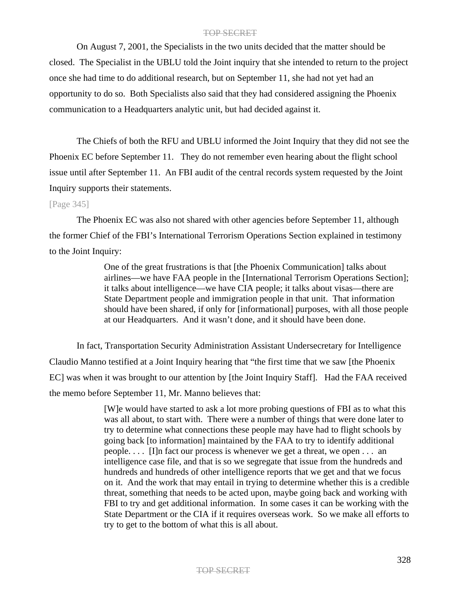On August 7, 2001, the Specialists in the two units decided that the matter should be closed. The Specialist in the UBLU told the Joint inquiry that she intended to return to the project once she had time to do additional research, but on September 11, she had not yet had an opportunity to do so. Both Specialists also said that they had considered assigning the Phoenix communication to a Headquarters analytic unit, but had decided against it.

The Chiefs of both the RFU and UBLU informed the Joint Inquiry that they did not see the Phoenix EC before September 11. They do not remember even hearing about the flight school issue until after September 11. An FBI audit of the central records system requested by the Joint Inquiry supports their statements.

### [Page 345]

The Phoenix EC was also not shared with other agencies before September 11, although the former Chief of the FBI's International Terrorism Operations Section explained in testimony to the Joint Inquiry:

> One of the great frustrations is that [the Phoenix Communication] talks about airlines—we have FAA people in the [International Terrorism Operations Section]; it talks about intelligence—we have CIA people; it talks about visas—there are State Department people and immigration people in that unit. That information should have been shared, if only for [informational] purposes, with all those people at our Headquarters. And it wasn't done, and it should have been done.

In fact, Transportation Security Administration Assistant Undersecretary for Intelligence Claudio Manno testified at a Joint Inquiry hearing that "the first time that we saw [the Phoenix EC] was when it was brought to our attention by [the Joint Inquiry Staff]. Had the FAA received the memo before September 11, Mr. Manno believes that:

> [W]e would have started to ask a lot more probing questions of FBI as to what this was all about, to start with. There were a number of things that were done later to try to determine what connections these people may have had to flight schools by going back [to information] maintained by the FAA to try to identify additional people. . . . [I]n fact our process is whenever we get a threat, we open . . . an intelligence case file, and that is so we segregate that issue from the hundreds and hundreds and hundreds of other intelligence reports that we get and that we focus on it. And the work that may entail in trying to determine whether this is a credible threat, something that needs to be acted upon, maybe going back and working with FBI to try and get additional information. In some cases it can be working with the State Department or the CIA if it requires overseas work. So we make all efforts to try to get to the bottom of what this is all about.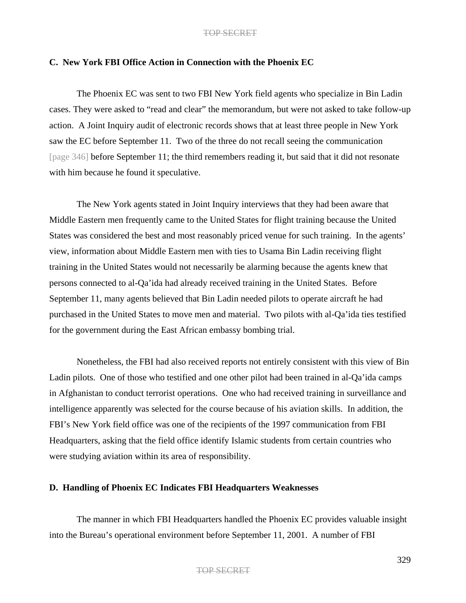### **C. New York FBI Office Action in Connection with the Phoenix EC**

The Phoenix EC was sent to two FBI New York field agents who specialize in Bin Ladin cases. They were asked to "read and clear" the memorandum, but were not asked to take follow-up action. A Joint Inquiry audit of electronic records shows that at least three people in New York saw the EC before September 11. Two of the three do not recall seeing the communication [page 346] before September 11; the third remembers reading it, but said that it did not resonate with him because he found it speculative.

The New York agents stated in Joint Inquiry interviews that they had been aware that Middle Eastern men frequently came to the United States for flight training because the United States was considered the best and most reasonably priced venue for such training. In the agents' view, information about Middle Eastern men with ties to Usama Bin Ladin receiving flight training in the United States would not necessarily be alarming because the agents knew that persons connected to al-Qa'ida had already received training in the United States. Before September 11, many agents believed that Bin Ladin needed pilots to operate aircraft he had purchased in the United States to move men and material. Two pilots with al-Qa'ida ties testified for the government during the East African embassy bombing trial.

Nonetheless, the FBI had also received reports not entirely consistent with this view of Bin Ladin pilots. One of those who testified and one other pilot had been trained in al-Qa'ida camps in Afghanistan to conduct terrorist operations. One who had received training in surveillance and intelligence apparently was selected for the course because of his aviation skills. In addition, the FBI's New York field office was one of the recipients of the 1997 communication from FBI Headquarters, asking that the field office identify Islamic students from certain countries who were studying aviation within its area of responsibility.

## **D. Handling of Phoenix EC Indicates FBI Headquarters Weaknesses**

The manner in which FBI Headquarters handled the Phoenix EC provides valuable insight into the Bureau's operational environment before September 11, 2001. A number of FBI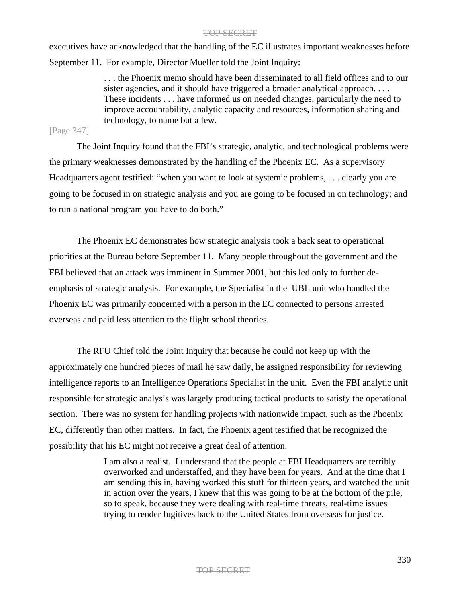executives have acknowledged that the handling of the EC illustrates important weaknesses before September 11. For example, Director Mueller told the Joint Inquiry:

> . . . the Phoenix memo should have been disseminated to all field offices and to our sister agencies, and it should have triggered a broader analytical approach.... These incidents . . . have informed us on needed changes, particularly the need to improve accountability, analytic capacity and resources, information sharing and technology, to name but a few.

## [Page 347]

The Joint Inquiry found that the FBI's strategic, analytic, and technological problems were the primary weaknesses demonstrated by the handling of the Phoenix EC. As a supervisory Headquarters agent testified: "when you want to look at systemic problems, . . . clearly you are going to be focused in on strategic analysis and you are going to be focused in on technology; and to run a national program you have to do both."

The Phoenix EC demonstrates how strategic analysis took a back seat to operational priorities at the Bureau before September 11. Many people throughout the government and the FBI believed that an attack was imminent in Summer 2001, but this led only to further deemphasis of strategic analysis. For example, the Specialist in the UBL unit who handled the Phoenix EC was primarily concerned with a person in the EC connected to persons arrested overseas and paid less attention to the flight school theories.

The RFU Chief told the Joint Inquiry that because he could not keep up with the approximately one hundred pieces of mail he saw daily, he assigned responsibility for reviewing intelligence reports to an Intelligence Operations Specialist in the unit. Even the FBI analytic unit responsible for strategic analysis was largely producing tactical products to satisfy the operational section. There was no system for handling projects with nationwide impact, such as the Phoenix EC, differently than other matters. In fact, the Phoenix agent testified that he recognized the possibility that his EC might not receive a great deal of attention.

> I am also a realist. I understand that the people at FBI Headquarters are terribly overworked and understaffed, and they have been for years. And at the time that I am sending this in, having worked this stuff for thirteen years, and watched the unit in action over the years, I knew that this was going to be at the bottom of the pile, so to speak, because they were dealing with real-time threats, real-time issues trying to render fugitives back to the United States from overseas for justice.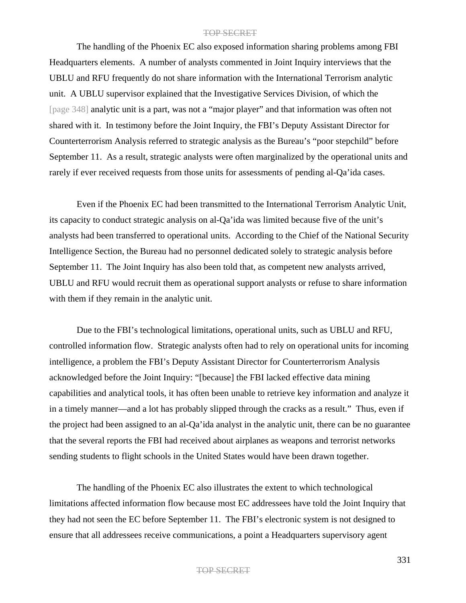The handling of the Phoenix EC also exposed information sharing problems among FBI Headquarters elements. A number of analysts commented in Joint Inquiry interviews that the UBLU and RFU frequently do not share information with the International Terrorism analytic unit. A UBLU supervisor explained that the Investigative Services Division, of which the [page 348] analytic unit is a part, was not a "major player" and that information was often not shared with it. In testimony before the Joint Inquiry, the FBI's Deputy Assistant Director for Counterterrorism Analysis referred to strategic analysis as the Bureau's "poor stepchild" before September 11. As a result, strategic analysts were often marginalized by the operational units and rarely if ever received requests from those units for assessments of pending al-Qa'ida cases.

Even if the Phoenix EC had been transmitted to the International Terrorism Analytic Unit, its capacity to conduct strategic analysis on al-Qa'ida was limited because five of the unit's analysts had been transferred to operational units. According to the Chief of the National Security Intelligence Section, the Bureau had no personnel dedicated solely to strategic analysis before September 11. The Joint Inquiry has also been told that, as competent new analysts arrived, UBLU and RFU would recruit them as operational support analysts or refuse to share information with them if they remain in the analytic unit.

Due to the FBI's technological limitations, operational units, such as UBLU and RFU, controlled information flow. Strategic analysts often had to rely on operational units for incoming intelligence, a problem the FBI's Deputy Assistant Director for Counterterrorism Analysis acknowledged before the Joint Inquiry: "[because] the FBI lacked effective data mining capabilities and analytical tools, it has often been unable to retrieve key information and analyze it in a timely manner—and a lot has probably slipped through the cracks as a result." Thus, even if the project had been assigned to an al-Qa'ida analyst in the analytic unit, there can be no guarantee that the several reports the FBI had received about airplanes as weapons and terrorist networks sending students to flight schools in the United States would have been drawn together.

The handling of the Phoenix EC also illustrates the extent to which technological limitations affected information flow because most EC addressees have told the Joint Inquiry that they had not seen the EC before September 11. The FBI's electronic system is not designed to ensure that all addressees receive communications, a point a Headquarters supervisory agent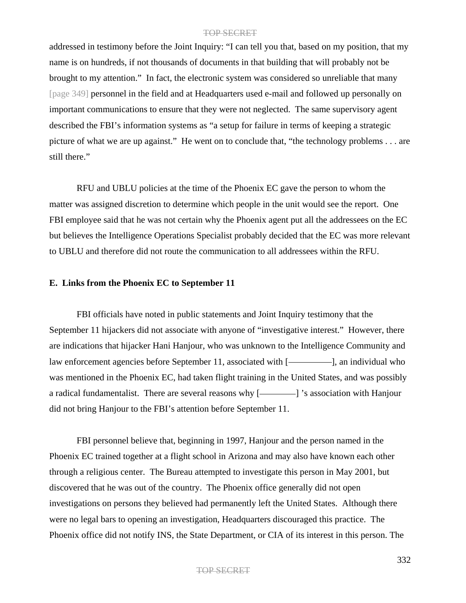addressed in testimony before the Joint Inquiry: "I can tell you that, based on my position, that my name is on hundreds, if not thousands of documents in that building that will probably not be brought to my attention." In fact, the electronic system was considered so unreliable that many [page 349] personnel in the field and at Headquarters used e-mail and followed up personally on important communications to ensure that they were not neglected. The same supervisory agent described the FBI's information systems as "a setup for failure in terms of keeping a strategic picture of what we are up against." He went on to conclude that, "the technology problems . . . are still there."

RFU and UBLU policies at the time of the Phoenix EC gave the person to whom the matter was assigned discretion to determine which people in the unit would see the report. One FBI employee said that he was not certain why the Phoenix agent put all the addressees on the EC but believes the Intelligence Operations Specialist probably decided that the EC was more relevant to UBLU and therefore did not route the communication to all addressees within the RFU.

### **E. Links from the Phoenix EC to September 11**

FBI officials have noted in public statements and Joint Inquiry testimony that the September 11 hijackers did not associate with anyone of "investigative interest." However, there are indications that hijacker Hani Hanjour, who was unknown to the Intelligence Community and law enforcement agencies before September 11, associated with [-**]**, an individual who was mentioned in the Phoenix EC, had taken flight training in the United States, and was possibly a radical fundamentalist. There are several reasons why [- \caps>>>>>>>> 's association with Hanjour did not bring Hanjour to the FBI's attention before September 11.

FBI personnel believe that, beginning in 1997, Hanjour and the person named in the Phoenix EC trained together at a flight school in Arizona and may also have known each other through a religious center. The Bureau attempted to investigate this person in May 2001, but discovered that he was out of the country. The Phoenix office generally did not open investigations on persons they believed had permanently left the United States. Although there were no legal bars to opening an investigation, Headquarters discouraged this practice. The Phoenix office did not notify INS, the State Department, or CIA of its interest in this person. The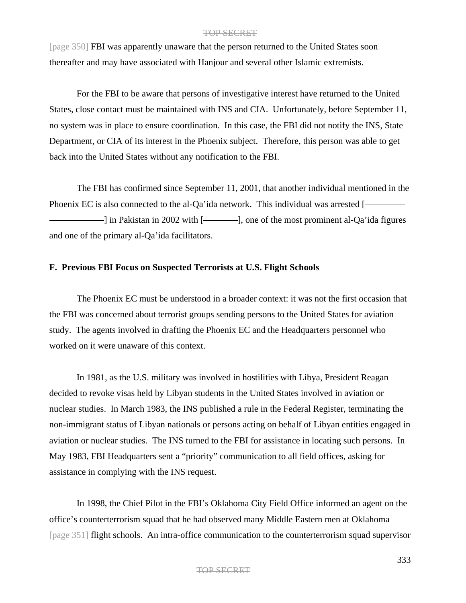[page 350] FBI was apparently unaware that the person returned to the United States soon thereafter and may have associated with Hanjour and several other Islamic extremists.

For the FBI to be aware that persons of investigative interest have returned to the United States, close contact must be maintained with INS and CIA. Unfortunately, before September 11, no system was in place to ensure coordination. In this case, the FBI did not notify the INS, State Department, or CIA of its interest in the Phoenix subject. Therefore, this person was able to get back into the United States without any notification to the FBI.

The FBI has confirmed since September 11, 2001, that another individual mentioned in the Phoenix EC is also connected to the al-Qa'ida network. This individual was arrested [- $\Box$  in Pakistan in 2002 with  $\Box$ , one of the most prominent al-Qa'ida figures and one of the primary al-Qa'ida facilitators.

## **F. Previous FBI Focus on Suspected Terrorists at U.S. Flight Schools**

The Phoenix EC must be understood in a broader context: it was not the first occasion that the FBI was concerned about terrorist groups sending persons to the United States for aviation study. The agents involved in drafting the Phoenix EC and the Headquarters personnel who worked on it were unaware of this context.

In 1981, as the U.S. military was involved in hostilities with Libya, President Reagan decided to revoke visas held by Libyan students in the United States involved in aviation or nuclear studies. In March 1983, the INS published a rule in the Federal Register, terminating the non-immigrant status of Libyan nationals or persons acting on behalf of Libyan entities engaged in aviation or nuclear studies. The INS turned to the FBI for assistance in locating such persons. In May 1983, FBI Headquarters sent a "priority" communication to all field offices, asking for assistance in complying with the INS request.

In 1998, the Chief Pilot in the FBI's Oklahoma City Field Office informed an agent on the office's counterterrorism squad that he had observed many Middle Eastern men at Oklahoma [page 351] flight schools. An intra-office communication to the counterterrorism squad supervisor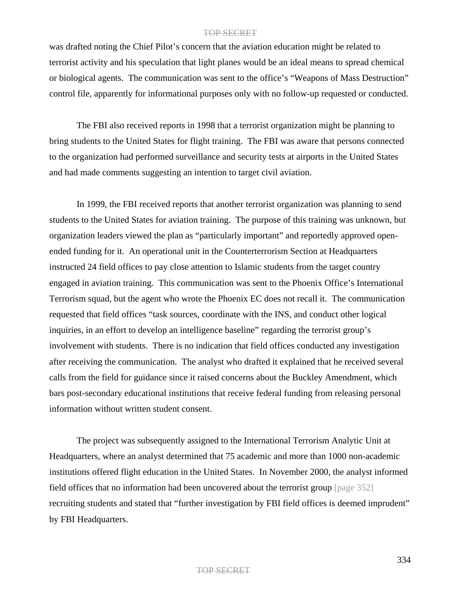was drafted noting the Chief Pilot's concern that the aviation education might be related to terrorist activity and his speculation that light planes would be an ideal means to spread chemical or biological agents. The communication was sent to the office's "Weapons of Mass Destruction" control file, apparently for informational purposes only with no follow-up requested or conducted.

The FBI also received reports in 1998 that a terrorist organization might be planning to bring students to the United States for flight training. The FBI was aware that persons connected to the organization had performed surveillance and security tests at airports in the United States and had made comments suggesting an intention to target civil aviation.

In 1999, the FBI received reports that another terrorist organization was planning to send students to the United States for aviation training. The purpose of this training was unknown, but organization leaders viewed the plan as "particularly important" and reportedly approved openended funding for it. An operational unit in the Counterterrorism Section at Headquarters instructed 24 field offices to pay close attention to Islamic students from the target country engaged in aviation training. This communication was sent to the Phoenix Office's International Terrorism squad, but the agent who wrote the Phoenix EC does not recall it. The communication requested that field offices "task sources, coordinate with the INS, and conduct other logical inquiries, in an effort to develop an intelligence baseline" regarding the terrorist group's involvement with students. There is no indication that field offices conducted any investigation after receiving the communication. The analyst who drafted it explained that he received several calls from the field for guidance since it raised concerns about the Buckley Amendment, which bars post-secondary educational institutions that receive federal funding from releasing personal information without written student consent.

The project was subsequently assigned to the International Terrorism Analytic Unit at Headquarters, where an analyst determined that 75 academic and more than 1000 non-academic institutions offered flight education in the United States. In November 2000, the analyst informed field offices that no information had been uncovered about the terrorist group [page 352] recruiting students and stated that "further investigation by FBI field offices is deemed imprudent" by FBI Headquarters.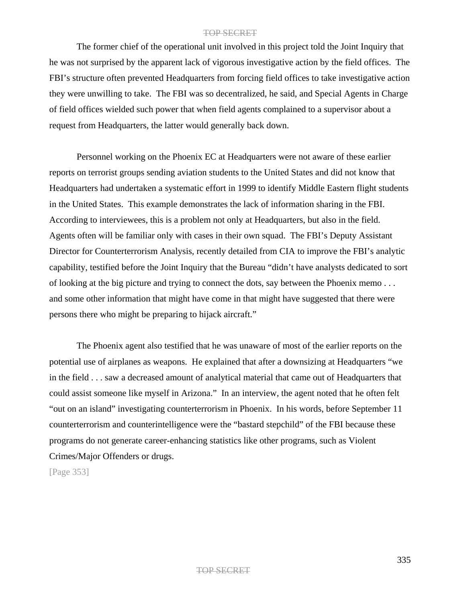The former chief of the operational unit involved in this project told the Joint Inquiry that he was not surprised by the apparent lack of vigorous investigative action by the field offices. The FBI's structure often prevented Headquarters from forcing field offices to take investigative action they were unwilling to take. The FBI was so decentralized, he said, and Special Agents in Charge of field offices wielded such power that when field agents complained to a supervisor about a request from Headquarters, the latter would generally back down.

Personnel working on the Phoenix EC at Headquarters were not aware of these earlier reports on terrorist groups sending aviation students to the United States and did not know that Headquarters had undertaken a systematic effort in 1999 to identify Middle Eastern flight students in the United States. This example demonstrates the lack of information sharing in the FBI. According to interviewees, this is a problem not only at Headquarters, but also in the field. Agents often will be familiar only with cases in their own squad. The FBI's Deputy Assistant Director for Counterterrorism Analysis, recently detailed from CIA to improve the FBI's analytic capability, testified before the Joint Inquiry that the Bureau "didn't have analysts dedicated to sort of looking at the big picture and trying to connect the dots, say between the Phoenix memo . . . and some other information that might have come in that might have suggested that there were persons there who might be preparing to hijack aircraft."

The Phoenix agent also testified that he was unaware of most of the earlier reports on the potential use of airplanes as weapons. He explained that after a downsizing at Headquarters "we in the field . . . saw a decreased amount of analytical material that came out of Headquarters that could assist someone like myself in Arizona." In an interview, the agent noted that he often felt "out on an island" investigating counterterrorism in Phoenix. In his words, before September 11 counterterrorism and counterintelligence were the "bastard stepchild" of the FBI because these programs do not generate career-enhancing statistics like other programs, such as Violent Crimes/Major Offenders or drugs.

[Page 353]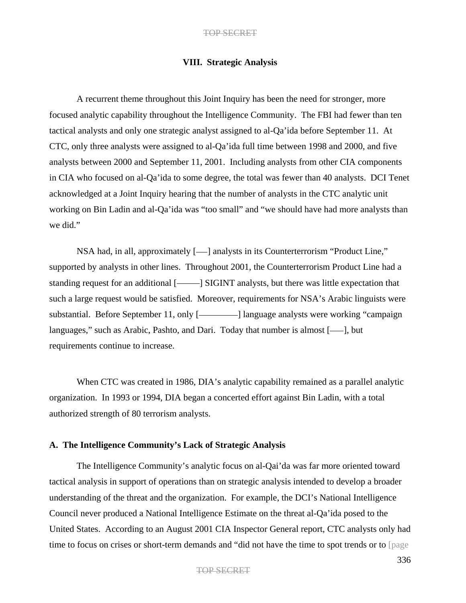## **VIII. Strategic Analysis**

A recurrent theme throughout this Joint Inquiry has been the need for stronger, more focused analytic capability throughout the Intelligence Community. The FBI had fewer than ten tactical analysts and only one strategic analyst assigned to al-Qa'ida before September 11. At CTC, only three analysts were assigned to al-Qa'ida full time between 1998 and 2000, and five analysts between 2000 and September 11, 2001. Including analysts from other CIA components in CIA who focused on al-Qa'ida to some degree, the total was fewer than 40 analysts. DCI Tenet acknowledged at a Joint Inquiry hearing that the number of analysts in the CTC analytic unit working on Bin Ladin and al-Qa'ida was "too small" and "we should have had more analysts than we did."

NSA had, in all, approximately [- ] analysts in its Counterterrorism "Product Line," supported by analysts in other lines. Throughout 2001, the Counterterrorism Product Line had a standing request for an additional [- ] SIGINT analysts, but there was little expectation that such a large request would be satisfied. Moreover, requirements for NSA's Arabic linguists were substantial. Before September 11, only [-**]** language analysts were working "campaign languages," such as Arabic, Pashto, and Dari. Today that number is almost  $[-]$ , but requirements continue to increase.

When CTC was created in 1986, DIA's analytic capability remained as a parallel analytic organization. In 1993 or 1994, DIA began a concerted effort against Bin Ladin, with a total authorized strength of 80 terrorism analysts.

# **A. The Intelligence Community's Lack of Strategic Analysis**

The Intelligence Community's analytic focus on al-Qai'da was far more oriented toward tactical analysis in support of operations than on strategic analysis intended to develop a broader understanding of the threat and the organization. For example, the DCI's National Intelligence Council never produced a National Intelligence Estimate on the threat al-Qa'ida posed to the United States. According to an August 2001 CIA Inspector General report, CTC analysts only had time to focus on crises or short-term demands and "did not have the time to spot trends or to [page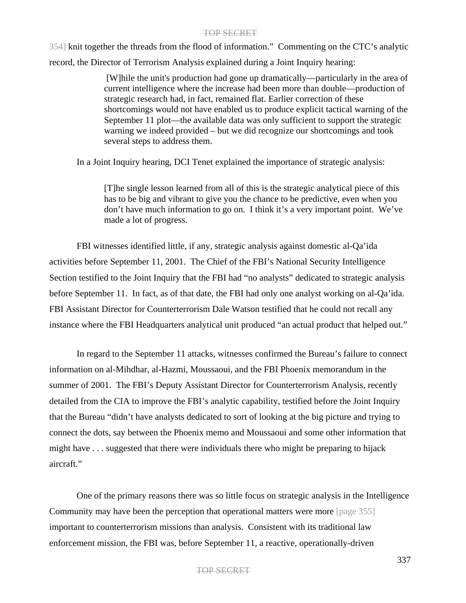354] knit together the threads from the flood of information." Commenting on the CTC's analytic record, the Director of Terrorism Analysis explained during a Joint Inquiry hearing:

> [W]hile the unit's production had gone up dramatically—particularly in the area of current intelligence where the increase had been more than double—production of strategic research had, in fact, remained flat. Earlier correction of these shortcomings would not have enabled us to produce explicit tactical warning of the September 11 plot—the available data was only sufficient to support the strategic warning we indeed provided – but we did recognize our shortcomings and took several steps to address them.

In a Joint Inquiry hearing, DCI Tenet explained the importance of strategic analysis:

[T]he single lesson learned from all of this is the strategic analytical piece of this has to be big and vibrant to give you the chance to be predictive, even when you don't have much information to go on. I think it's a very important point. We've made a lot of progress.

FBI witnesses identified little, if any, strategic analysis against domestic al-Qa'ida activities before September 11, 2001. The Chief of the FBI's National Security Intelligence Section testified to the Joint Inquiry that the FBI had "no analysts" dedicated to strategic analysis before September 11. In fact, as of that date, the FBI had only one analyst working on al-Qa'ida. FBI Assistant Director for Counterterrorism Dale Watson testified that he could not recall any instance where the FBI Headquarters analytical unit produced "an actual product that helped out."

In regard to the September 11 attacks, witnesses confirmed the Bureau's failure to connect information on al-Mihdhar, al-Hazmi, Moussaoui, and the FBI Phoenix memorandum in the summer of 2001. The FBI's Deputy Assistant Director for Counterterrorism Analysis, recently detailed from the CIA to improve the FBI's analytic capability, testified before the Joint Inquiry that the Bureau "didn't have analysts dedicated to sort of looking at the big picture and trying to connect the dots, say between the Phoenix memo and Moussaoui and some other information that might have . . . suggested that there were individuals there who might be preparing to hijack aircraft."

One of the primary reasons there was so little focus on strategic analysis in the Intelligence Community may have been the perception that operational matters were more [page 355] important to counterterrorism missions than analysis. Consistent with its traditional law enforcement mission, the FBI was, before September 11, a reactive, operationally-driven

#### TOP SECRET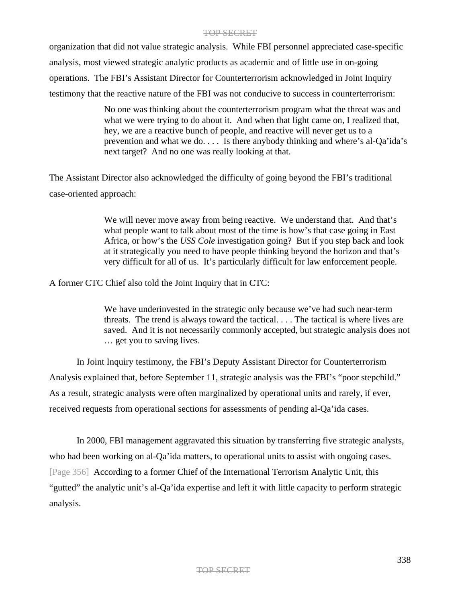organization that did not value strategic analysis. While FBI personnel appreciated case-specific analysis, most viewed strategic analytic products as academic and of little use in on-going operations. The FBI's Assistant Director for Counterterrorism acknowledged in Joint Inquiry testimony that the reactive nature of the FBI was not conducive to success in counterterrorism:

> No one was thinking about the counterterrorism program what the threat was and what we were trying to do about it. And when that light came on, I realized that, hey, we are a reactive bunch of people, and reactive will never get us to a prevention and what we do. . . . Is there anybody thinking and where's al-Qa'ida's next target? And no one was really looking at that.

The Assistant Director also acknowledged the difficulty of going beyond the FBI's traditional case-oriented approach:

> We will never move away from being reactive. We understand that. And that's what people want to talk about most of the time is how's that case going in East Africa, or how's the *USS Cole* investigation going? But if you step back and look at it strategically you need to have people thinking beyond the horizon and that's very difficult for all of us. It's particularly difficult for law enforcement people.

A former CTC Chief also told the Joint Inquiry that in CTC:

We have underinvested in the strategic only because we've had such near-term threats. The trend is always toward the tactical. . . . The tactical is where lives are saved. And it is not necessarily commonly accepted, but strategic analysis does not … get you to saving lives.

In Joint Inquiry testimony, the FBI's Deputy Assistant Director for Counterterrorism Analysis explained that, before September 11, strategic analysis was the FBI's "poor stepchild." As a result, strategic analysts were often marginalized by operational units and rarely, if ever, received requests from operational sections for assessments of pending al-Qa'ida cases.

In 2000, FBI management aggravated this situation by transferring five strategic analysts, who had been working on al-Qa'ida matters, to operational units to assist with ongoing cases. [Page 356] According to a former Chief of the International Terrorism Analytic Unit, this "gutted" the analytic unit's al-Qa'ida expertise and left it with little capacity to perform strategic analysis.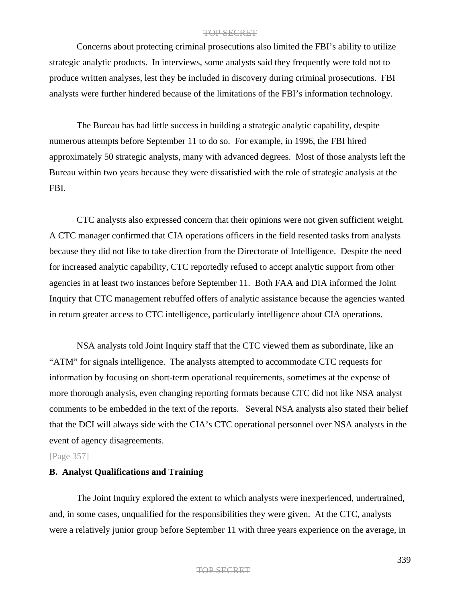Concerns about protecting criminal prosecutions also limited the FBI's ability to utilize strategic analytic products. In interviews, some analysts said they frequently were told not to produce written analyses, lest they be included in discovery during criminal prosecutions. FBI analysts were further hindered because of the limitations of the FBI's information technology.

The Bureau has had little success in building a strategic analytic capability, despite numerous attempts before September 11 to do so. For example, in 1996, the FBI hired approximately 50 strategic analysts, many with advanced degrees. Most of those analysts left the Bureau within two years because they were dissatisfied with the role of strategic analysis at the FBI.

CTC analysts also expressed concern that their opinions were not given sufficient weight. A CTC manager confirmed that CIA operations officers in the field resented tasks from analysts because they did not like to take direction from the Directorate of Intelligence. Despite the need for increased analytic capability, CTC reportedly refused to accept analytic support from other agencies in at least two instances before September 11. Both FAA and DIA informed the Joint Inquiry that CTC management rebuffed offers of analytic assistance because the agencies wanted in return greater access to CTC intelligence, particularly intelligence about CIA operations.

NSA analysts told Joint Inquiry staff that the CTC viewed them as subordinate, like an "ATM" for signals intelligence. The analysts attempted to accommodate CTC requests for information by focusing on short-term operational requirements, sometimes at the expense of more thorough analysis, even changing reporting formats because CTC did not like NSA analyst comments to be embedded in the text of the reports. Several NSA analysts also stated their belief that the DCI will always side with the CIA's CTC operational personnel over NSA analysts in the event of agency disagreements.

## [Page 357]

### **B. Analyst Qualifications and Training**

The Joint Inquiry explored the extent to which analysts were inexperienced, undertrained, and, in some cases, unqualified for the responsibilities they were given. At the CTC, analysts were a relatively junior group before September 11 with three years experience on the average, in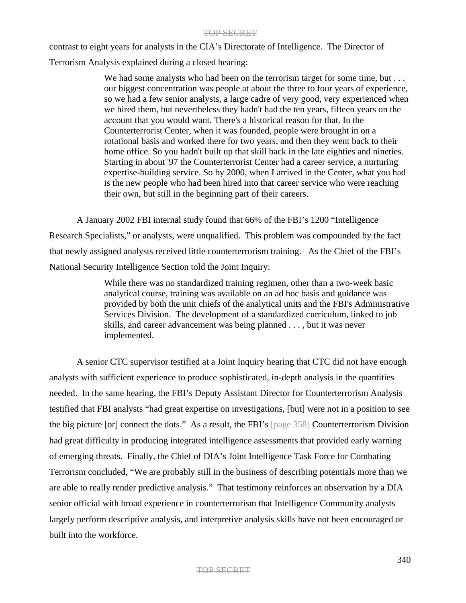contrast to eight years for analysts in the CIA's Directorate of Intelligence. The Director of

Terrorism Analysis explained during a closed hearing:

We had some analysts who had been on the terrorism target for some time, but . . . our biggest concentration was people at about the three to four years of experience, so we had a few senior analysts, a large cadre of very good, very experienced when we hired them, but nevertheless they hadn't had the ten years, fifteen years on the account that you would want. There's a historical reason for that. In the Counterterrorist Center, when it was founded, people were brought in on a rotational basis and worked there for two years, and then they went back to their home office. So you hadn't built up that skill back in the late eighties and nineties. Starting in about '97 the Counterterrorist Center had a career service, a nurturing expertise-building service. So by 2000, when I arrived in the Center, what you had is the new people who had been hired into that career service who were reaching their own, but still in the beginning part of their careers.

A January 2002 FBI internal study found that 66% of the FBI's 1200 "Intelligence Research Specialists," or analysts, were unqualified. This problem was compounded by the fact that newly assigned analysts received little counterterrorism training. As the Chief of the FBI's National Security Intelligence Section told the Joint Inquiry:

> While there was no standardized training regimen, other than a two-week basic analytical course, training was available on an ad hoc basis and guidance was provided by both the unit chiefs of the analytical units and the FBI's Administrative Services Division. The development of a standardized curriculum, linked to job skills, and career advancement was being planned . . . , but it was never implemented.

A senior CTC supervisor testified at a Joint Inquiry hearing that CTC did not have enough analysts with sufficient experience to produce sophisticated, in-depth analysis in the quantities needed. In the same hearing, the FBI's Deputy Assistant Director for Counterterrorism Analysis testified that FBI analysts "had great expertise on investigations, [but] were not in a position to see the big picture [or] connect the dots." As a result, the FBI's [page 358] Counterterrorism Division had great difficulty in producing integrated intelligence assessments that provided early warning of emerging threats. Finally, the Chief of DIA's Joint Intelligence Task Force for Combating Terrorism concluded, "We are probably still in the business of describing potentials more than we are able to really render predictive analysis." That testimony reinforces an observation by a DIA senior official with broad experience in counterterrorism that Intelligence Community analysts largely perform descriptive analysis, and interpretive analysis skills have not been encouraged or built into the workforce.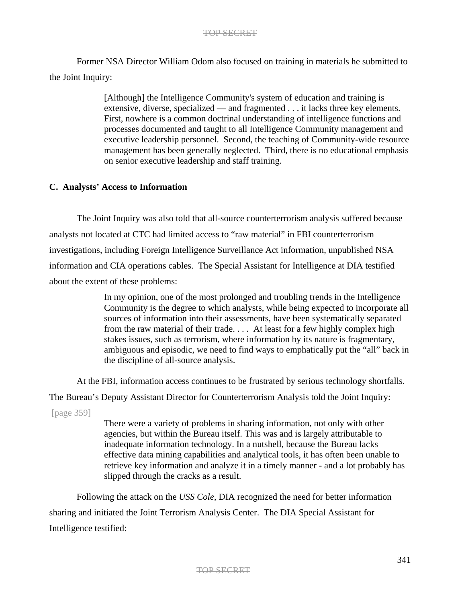Former NSA Director William Odom also focused on training in materials he submitted to the Joint Inquiry:

> [Although] the Intelligence Community's system of education and training is extensive, diverse, specialized — and fragmented . . . it lacks three key elements. First, nowhere is a common doctrinal understanding of intelligence functions and processes documented and taught to all Intelligence Community management and executive leadership personnel. Second, the teaching of Community-wide resource management has been generally neglected. Third, there is no educational emphasis on senior executive leadership and staff training.

## **C. Analysts' Access to Information**

The Joint Inquiry was also told that all-source counterterrorism analysis suffered because analysts not located at CTC had limited access to "raw material" in FBI counterterrorism investigations, including Foreign Intelligence Surveillance Act information, unpublished NSA information and CIA operations cables. The Special Assistant for Intelligence at DIA testified about the extent of these problems:

> In my opinion, one of the most prolonged and troubling trends in the Intelligence Community is the degree to which analysts, while being expected to incorporate all sources of information into their assessments, have been systematically separated from the raw material of their trade. . . . At least for a few highly complex high stakes issues, such as terrorism, where information by its nature is fragmentary, ambiguous and episodic, we need to find ways to emphatically put the "all" back in the discipline of all-source analysis.

At the FBI, information access continues to be frustrated by serious technology shortfalls.

The Bureau's Deputy Assistant Director for Counterterrorism Analysis told the Joint Inquiry:

[page 359]

There were a variety of problems in sharing information, not only with other agencies, but within the Bureau itself. This was and is largely attributable to inadequate information technology. In a nutshell, because the Bureau lacks effective data mining capabilities and analytical tools, it has often been unable to retrieve key information and analyze it in a timely manner - and a lot probably has slipped through the cracks as a result.

Following the attack on the *USS Cole*, DIA recognized the need for better information sharing and initiated the Joint Terrorism Analysis Center. The DIA Special Assistant for Intelligence testified: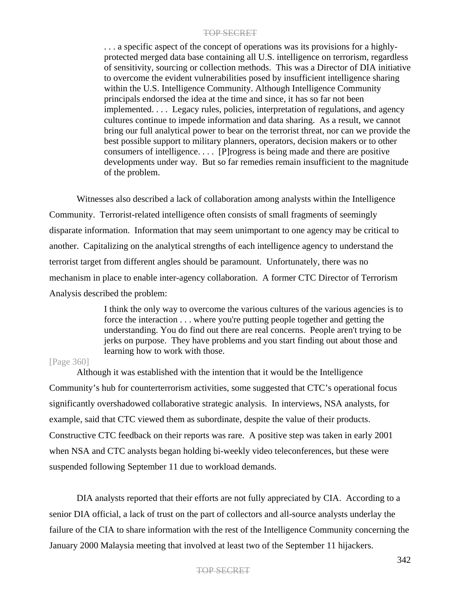. . . a specific aspect of the concept of operations was its provisions for a highlyprotected merged data base containing all U.S. intelligence on terrorism, regardless of sensitivity, sourcing or collection methods. This was a Director of DIA initiative to overcome the evident vulnerabilities posed by insufficient intelligence sharing within the U.S. Intelligence Community. Although Intelligence Community principals endorsed the idea at the time and since, it has so far not been implemented. . . . Legacy rules, policies, interpretation of regulations, and agency cultures continue to impede information and data sharing. As a result, we cannot bring our full analytical power to bear on the terrorist threat, nor can we provide the best possible support to military planners, operators, decision makers or to other consumers of intelligence. . . . [P]rogress is being made and there are positive developments under way. But so far remedies remain insufficient to the magnitude of the problem.

Witnesses also described a lack of collaboration among analysts within the Intelligence Community. Terrorist-related intelligence often consists of small fragments of seemingly disparate information. Information that may seem unimportant to one agency may be critical to another. Capitalizing on the analytical strengths of each intelligence agency to understand the terrorist target from different angles should be paramount. Unfortunately, there was no mechanism in place to enable inter-agency collaboration. A former CTC Director of Terrorism Analysis described the problem:

> I think the only way to overcome the various cultures of the various agencies is to force the interaction . . . where you're putting people together and getting the understanding. You do find out there are real concerns. People aren't trying to be jerks on purpose. They have problems and you start finding out about those and learning how to work with those.

#### [Page 360]

Although it was established with the intention that it would be the Intelligence Community's hub for counterterrorism activities, some suggested that CTC's operational focus significantly overshadowed collaborative strategic analysis. In interviews, NSA analysts, for example, said that CTC viewed them as subordinate, despite the value of their products. Constructive CTC feedback on their reports was rare. A positive step was taken in early 2001 when NSA and CTC analysts began holding bi-weekly video teleconferences, but these were suspended following September 11 due to workload demands.

DIA analysts reported that their efforts are not fully appreciated by CIA. According to a senior DIA official, a lack of trust on the part of collectors and all-source analysts underlay the failure of the CIA to share information with the rest of the Intelligence Community concerning the January 2000 Malaysia meeting that involved at least two of the September 11 hijackers.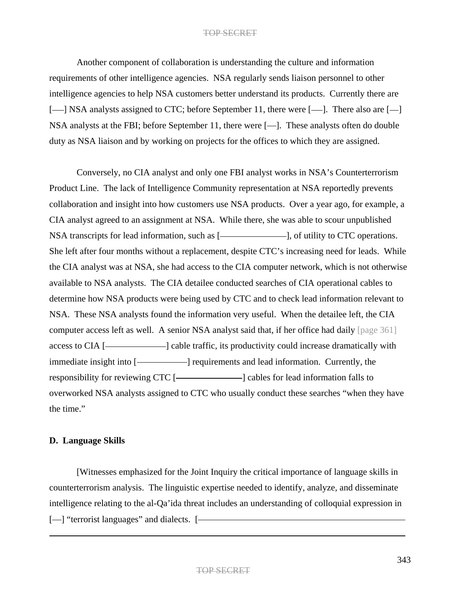Another component of collaboration is understanding the culture and information requirements of other intelligence agencies. NSA regularly sends liaison personnel to other intelligence agencies to help NSA customers better understand its products. Currently there are [-| NSA analysts assigned to CTC; before September 11, there were [-| ]. There also are [-NSA analysts at the FBI; before September 11, there were [--]. These analysts often do double duty as NSA liaison and by working on projects for the offices to which they are assigned.

Conversely, no CIA analyst and only one FBI analyst works in NSA's Counterterrorism Product Line. The lack of Intelligence Community representation at NSA reportedly prevents collaboration and insight into how customers use NSA products. Over a year ago, for example, a CIA analyst agreed to an assignment at NSA. While there, she was able to scour unpublished NSA transcripts for lead information, such as [-**]**, of utility to CTC operations. She left after four months without a replacement, despite CTC's increasing need for leads. While the CIA analyst was at NSA, she had access to the CIA computer network, which is not otherwise available to NSA analysts. The CIA detailee conducted searches of CIA operational cables to determine how NSA products were being used by CTC and to check lead information relevant to NSA. These NSA analysts found the information very useful. When the detailee left, the CIA computer access left as well. A senior NSA analyst said that, if her office had daily [page 361] access to CIA [ $\longleftarrow$ ] cable traffic, its productivity could increase dramatically with immediate insight into [- ] requirements and lead information. Currently, the responsibility for reviewing CTC [- | | cables for lead information falls to overworked NSA analysts assigned to CTC who usually conduct these searches "when they have the time."

## **D. Language Skills**

[Witnesses emphasized for the Joint Inquiry the critical importance of language skills in counterterrorism analysis. The linguistic expertise needed to identify, analyze, and disseminate intelligence relating to the al-Qa'ida threat includes an understanding of colloquial expression in [--] "terrorist languages" and dialects. [-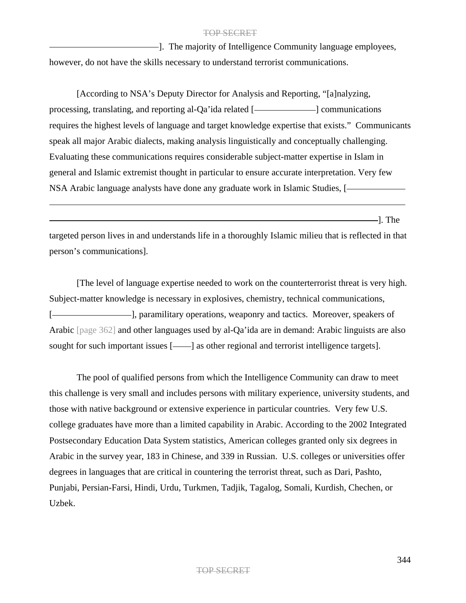-. The majority of Intelligence Community language employees, however, do not have the skills necessary to understand terrorist communications.

[According to NSA's Deputy Director for Analysis and Reporting, "[a]nalyzing, processing, translating, and reporting al-Qa'ida related [-**]** communications requires the highest levels of language and target knowledge expertise that exists." Communicants speak all major Arabic dialects, making analysis linguistically and conceptually challenging. Evaluating these communications requires considerable subject-matter expertise in Islam in general and Islamic extremist thought in particular to ensure accurate interpretation. Very few NSA Arabic language analysts have done any graduate work in Islamic Studies, [

 $\frac{1}{2}$ . The

targeted person lives in and understands life in a thoroughly Islamic milieu that is reflected in that person's communications].

[The level of language expertise needed to work on the counterterrorist threat is very high. Subject-matter knowledge is necessary in explosives, chemistry, technical communications, [-**]**, paramilitary operations, weaponry and tactics. Moreover, speakers of Arabic [page 362] and other languages used by al-Qa'ida are in demand: Arabic linguists are also sought for such important issues [-ign] as other regional and terrorist intelligence targets].

The pool of qualified persons from which the Intelligence Community can draw to meet this challenge is very small and includes persons with military experience, university students, and those with native background or extensive experience in particular countries. Very few U.S. college graduates have more than a limited capability in Arabic. According to the 2002 Integrated Postsecondary Education Data System statistics, American colleges granted only six degrees in Arabic in the survey year, 183 in Chinese, and 339 in Russian. U.S. colleges or universities offer degrees in languages that are critical in countering the terrorist threat, such as Dari, Pashto, Punjabi, Persian-Farsi, Hindi, Urdu, Turkmen, Tadjik, Tagalog, Somali, Kurdish, Chechen, or Uzbek.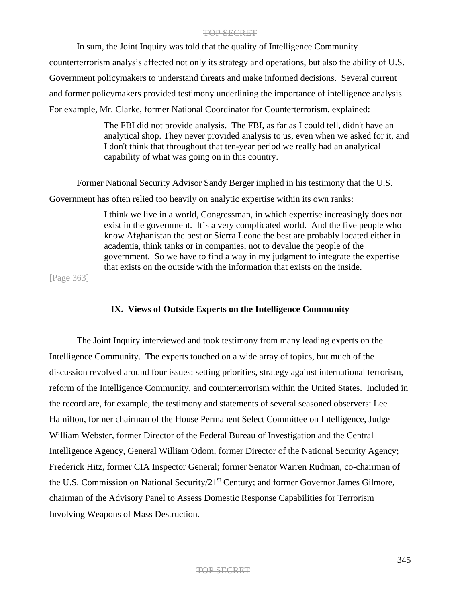In sum, the Joint Inquiry was told that the quality of Intelligence Community counterterrorism analysis affected not only its strategy and operations, but also the ability of U.S. Government policymakers to understand threats and make informed decisions. Several current and former policymakers provided testimony underlining the importance of intelligence analysis. For example, Mr. Clarke, former National Coordinator for Counterterrorism, explained:

> The FBI did not provide analysis. The FBI, as far as I could tell, didn't have an analytical shop. They never provided analysis to us, even when we asked for it, and I don't think that throughout that ten-year period we really had an analytical capability of what was going on in this country.

Former National Security Advisor Sandy Berger implied in his testimony that the U.S.

Government has often relied too heavily on analytic expertise within its own ranks:

I think we live in a world, Congressman, in which expertise increasingly does not exist in the government. It's a very complicated world. And the five people who know Afghanistan the best or Sierra Leone the best are probably located either in academia, think tanks or in companies, not to devalue the people of the government. So we have to find a way in my judgment to integrate the expertise that exists on the outside with the information that exists on the inside.

[Page 363]

## **IX. Views of Outside Experts on the Intelligence Community**

The Joint Inquiry interviewed and took testimony from many leading experts on the Intelligence Community. The experts touched on a wide array of topics, but much of the discussion revolved around four issues: setting priorities, strategy against international terrorism, reform of the Intelligence Community, and counterterrorism within the United States. Included in the record are, for example, the testimony and statements of several seasoned observers: Lee Hamilton, former chairman of the House Permanent Select Committee on Intelligence, Judge William Webster, former Director of the Federal Bureau of Investigation and the Central Intelligence Agency, General William Odom, former Director of the National Security Agency; Frederick Hitz, former CIA Inspector General; former Senator Warren Rudman, co-chairman of the U.S. Commission on National Security/21<sup>st</sup> Century; and former Governor James Gilmore, chairman of the Advisory Panel to Assess Domestic Response Capabilities for Terrorism Involving Weapons of Mass Destruction.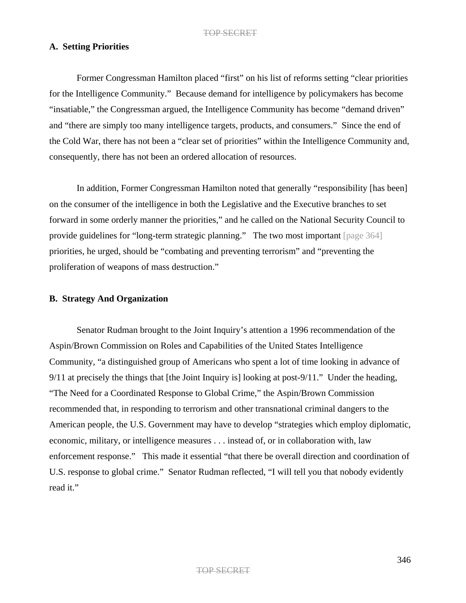## **A. Setting Priorities**

Former Congressman Hamilton placed "first" on his list of reforms setting "clear priorities for the Intelligence Community." Because demand for intelligence by policymakers has become "insatiable," the Congressman argued, the Intelligence Community has become "demand driven" and "there are simply too many intelligence targets, products, and consumers." Since the end of the Cold War, there has not been a "clear set of priorities" within the Intelligence Community and, consequently, there has not been an ordered allocation of resources.

In addition, Former Congressman Hamilton noted that generally "responsibility [has been] on the consumer of the intelligence in both the Legislative and the Executive branches to set forward in some orderly manner the priorities," and he called on the National Security Council to provide guidelines for "long-term strategic planning." The two most important [page 364] priorities, he urged, should be "combating and preventing terrorism" and "preventing the proliferation of weapons of mass destruction."

### **B. Strategy And Organization**

Senator Rudman brought to the Joint Inquiry's attention a 1996 recommendation of the Aspin/Brown Commission on Roles and Capabilities of the United States Intelligence Community, "a distinguished group of Americans who spent a lot of time looking in advance of 9/11 at precisely the things that [the Joint Inquiry is] looking at post-9/11." Under the heading, "The Need for a Coordinated Response to Global Crime," the Aspin/Brown Commission recommended that, in responding to terrorism and other transnational criminal dangers to the American people, the U.S. Government may have to develop "strategies which employ diplomatic, economic, military, or intelligence measures . . . instead of, or in collaboration with, law enforcement response." This made it essential "that there be overall direction and coordination of U.S. response to global crime." Senator Rudman reflected, "I will tell you that nobody evidently read it."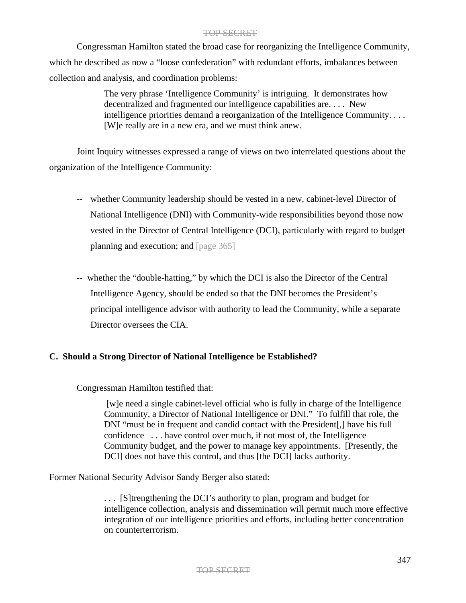Congressman Hamilton stated the broad case for reorganizing the Intelligence Community, which he described as now a "loose confederation" with redundant efforts, imbalances between collection and analysis, and coordination problems:

> The very phrase 'Intelligence Community' is intriguing. It demonstrates how decentralized and fragmented our intelligence capabilities are. . . . New intelligence priorities demand a reorganization of the Intelligence Community. . . . [W]e really are in a new era, and we must think anew.

Joint Inquiry witnesses expressed a range of views on two interrelated questions about the organization of the Intelligence Community:

- -- whether Community leadership should be vested in a new, cabinet-level Director of National Intelligence (DNI) with Community-wide responsibilities beyond those now vested in the Director of Central Intelligence (DCI), particularly with regard to budget planning and execution; and [page 365]
- -- whether the "double-hatting," by which the DCI is also the Director of the Central Intelligence Agency, should be ended so that the DNI becomes the President's principal intelligence advisor with authority to lead the Community, while a separate Director oversees the CIA.

# **C. Should a Strong Director of National Intelligence be Established?**

# Congressman Hamilton testified that:

[w]e need a single cabinet-level official who is fully in charge of the Intelligence Community, a Director of National Intelligence or DNI." To fulfill that role, the DNI "must be in frequent and candid contact with the President[,] have his full confidence . . . have control over much, if not most of, the Intelligence Community budget, and the power to manage key appointments. [Presently, the DCI] does not have this control, and thus [the DCI] lacks authority.

Former National Security Advisor Sandy Berger also stated:

. . . [S]trengthening the DCI's authority to plan, program and budget for intelligence collection, analysis and dissemination will permit much more effective integration of our intelligence priorities and efforts, including better concentration on counterterrorism.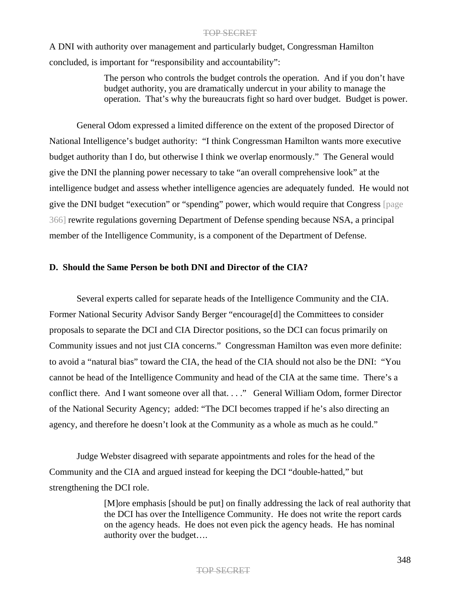A DNI with authority over management and particularly budget, Congressman Hamilton concluded, is important for "responsibility and accountability":

> The person who controls the budget controls the operation. And if you don't have budget authority, you are dramatically undercut in your ability to manage the operation. That's why the bureaucrats fight so hard over budget. Budget is power.

General Odom expressed a limited difference on the extent of the proposed Director of National Intelligence's budget authority: "I think Congressman Hamilton wants more executive budget authority than I do, but otherwise I think we overlap enormously." The General would give the DNI the planning power necessary to take "an overall comprehensive look" at the intelligence budget and assess whether intelligence agencies are adequately funded. He would not give the DNI budget "execution" or "spending" power, which would require that Congress [page 366] rewrite regulations governing Department of Defense spending because NSA, a principal member of the Intelligence Community, is a component of the Department of Defense.

## **D. Should the Same Person be both DNI and Director of the CIA?**

Several experts called for separate heads of the Intelligence Community and the CIA. Former National Security Advisor Sandy Berger "encourage[d] the Committees to consider proposals to separate the DCI and CIA Director positions, so the DCI can focus primarily on Community issues and not just CIA concerns." Congressman Hamilton was even more definite: to avoid a "natural bias" toward the CIA, the head of the CIA should not also be the DNI: "You cannot be head of the Intelligence Community and head of the CIA at the same time. There's a conflict there. And I want someone over all that. . . ." General William Odom, former Director of the National Security Agency; added: "The DCI becomes trapped if he's also directing an agency, and therefore he doesn't look at the Community as a whole as much as he could."

Judge Webster disagreed with separate appointments and roles for the head of the Community and the CIA and argued instead for keeping the DCI "double-hatted," but strengthening the DCI role.

> [M]ore emphasis [should be put] on finally addressing the lack of real authority that the DCI has over the Intelligence Community. He does not write the report cards on the agency heads. He does not even pick the agency heads. He has nominal authority over the budget….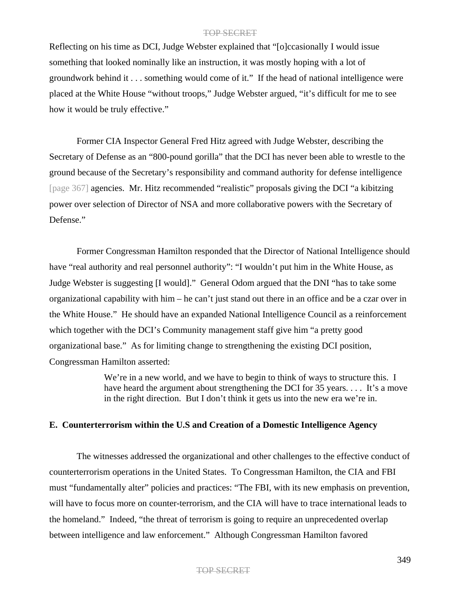Reflecting on his time as DCI, Judge Webster explained that "[o]ccasionally I would issue something that looked nominally like an instruction, it was mostly hoping with a lot of groundwork behind it . . . something would come of it." If the head of national intelligence were placed at the White House "without troops," Judge Webster argued, "it's difficult for me to see how it would be truly effective."

Former CIA Inspector General Fred Hitz agreed with Judge Webster, describing the Secretary of Defense as an "800-pound gorilla" that the DCI has never been able to wrestle to the ground because of the Secretary's responsibility and command authority for defense intelligence [page 367] agencies. Mr. Hitz recommended "realistic" proposals giving the DCI "a kibitzing power over selection of Director of NSA and more collaborative powers with the Secretary of Defense."

Former Congressman Hamilton responded that the Director of National Intelligence should have "real authority and real personnel authority": "I wouldn't put him in the White House, as Judge Webster is suggesting [I would]." General Odom argued that the DNI "has to take some organizational capability with him – he can't just stand out there in an office and be a czar over in the White House." He should have an expanded National Intelligence Council as a reinforcement which together with the DCI's Community management staff give him "a pretty good organizational base." As for limiting change to strengthening the existing DCI position, Congressman Hamilton asserted:

> We're in a new world, and we have to begin to think of ways to structure this. I have heard the argument about strengthening the DCI for 35 years.... It's a move in the right direction. But I don't think it gets us into the new era we're in.

## **E. Counterterrorism within the U.S and Creation of a Domestic Intelligence Agency**

The witnesses addressed the organizational and other challenges to the effective conduct of counterterrorism operations in the United States. To Congressman Hamilton, the CIA and FBI must "fundamentally alter" policies and practices: "The FBI, with its new emphasis on prevention, will have to focus more on counter-terrorism, and the CIA will have to trace international leads to the homeland." Indeed, "the threat of terrorism is going to require an unprecedented overlap between intelligence and law enforcement." Although Congressman Hamilton favored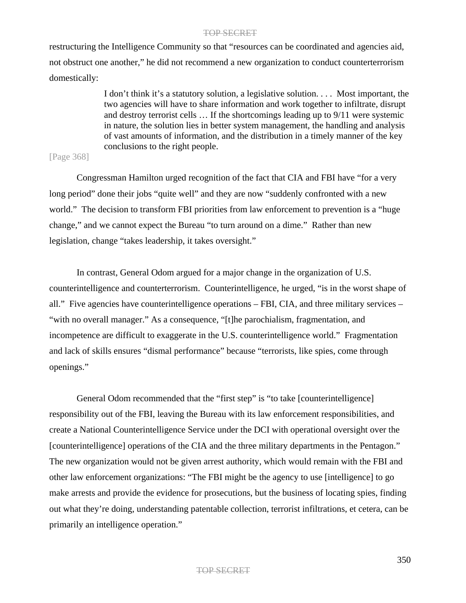restructuring the Intelligence Community so that "resources can be coordinated and agencies aid, not obstruct one another," he did not recommend a new organization to conduct counterterrorism domestically:

> I don't think it's a statutory solution, a legislative solution. . . . Most important, the two agencies will have to share information and work together to infiltrate, disrupt and destroy terrorist cells … If the shortcomings leading up to 9/11 were systemic in nature, the solution lies in better system management, the handling and analysis of vast amounts of information, and the distribution in a timely manner of the key conclusions to the right people.

## [Page 368]

Congressman Hamilton urged recognition of the fact that CIA and FBI have "for a very long period" done their jobs "quite well" and they are now "suddenly confronted with a new world." The decision to transform FBI priorities from law enforcement to prevention is a "huge change," and we cannot expect the Bureau "to turn around on a dime." Rather than new legislation, change "takes leadership, it takes oversight."

In contrast, General Odom argued for a major change in the organization of U.S. counterintelligence and counterterrorism. Counterintelligence, he urged, "is in the worst shape of all." Five agencies have counterintelligence operations – FBI, CIA, and three military services – "with no overall manager." As a consequence, "[t]he parochialism, fragmentation, and incompetence are difficult to exaggerate in the U.S. counterintelligence world." Fragmentation and lack of skills ensures "dismal performance" because "terrorists, like spies, come through openings."

General Odom recommended that the "first step" is "to take [counterintelligence] responsibility out of the FBI, leaving the Bureau with its law enforcement responsibilities, and create a National Counterintelligence Service under the DCI with operational oversight over the [counterintelligence] operations of the CIA and the three military departments in the Pentagon." The new organization would not be given arrest authority, which would remain with the FBI and other law enforcement organizations: "The FBI might be the agency to use [intelligence] to go make arrests and provide the evidence for prosecutions, but the business of locating spies, finding out what they're doing, understanding patentable collection, terrorist infiltrations, et cetera, can be primarily an intelligence operation."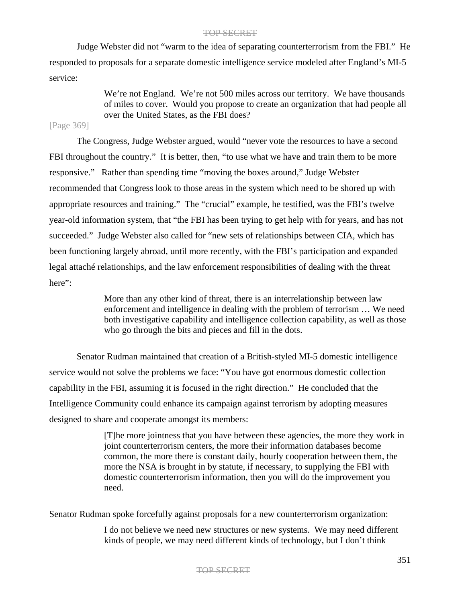Judge Webster did not "warm to the idea of separating counterterrorism from the FBI." He responded to proposals for a separate domestic intelligence service modeled after England's MI-5 service:

> We're not England. We're not 500 miles across our territory. We have thousands of miles to cover. Would you propose to create an organization that had people all over the United States, as the FBI does?

# [Page 369]

The Congress, Judge Webster argued, would "never vote the resources to have a second FBI throughout the country." It is better, then, "to use what we have and train them to be more responsive." Rather than spending time "moving the boxes around," Judge Webster recommended that Congress look to those areas in the system which need to be shored up with appropriate resources and training." The "crucial" example, he testified, was the FBI's twelve year-old information system, that "the FBI has been trying to get help with for years, and has not succeeded." Judge Webster also called for "new sets of relationships between CIA, which has been functioning largely abroad, until more recently, with the FBI's participation and expanded legal attaché relationships, and the law enforcement responsibilities of dealing with the threat here":

> More than any other kind of threat, there is an interrelationship between law enforcement and intelligence in dealing with the problem of terrorism … We need both investigative capability and intelligence collection capability, as well as those who go through the bits and pieces and fill in the dots.

Senator Rudman maintained that creation of a British-styled MI-5 domestic intelligence service would not solve the problems we face: "You have got enormous domestic collection capability in the FBI, assuming it is focused in the right direction." He concluded that the Intelligence Community could enhance its campaign against terrorism by adopting measures designed to share and cooperate amongst its members:

> [T]he more jointness that you have between these agencies, the more they work in joint counterterrorism centers, the more their information databases become common, the more there is constant daily, hourly cooperation between them, the more the NSA is brought in by statute, if necessary, to supplying the FBI with domestic counterterrorism information, then you will do the improvement you need.

Senator Rudman spoke forcefully against proposals for a new counterterrorism organization:

I do not believe we need new structures or new systems. We may need different kinds of people, we may need different kinds of technology, but I don't think

#### TOP SECRET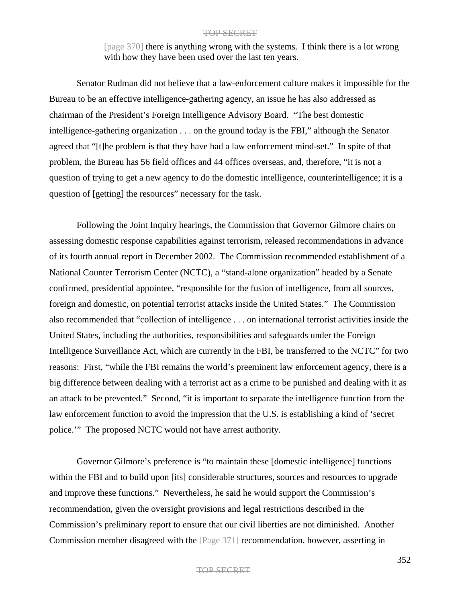[page 370] there is anything wrong with the systems. I think there is a lot wrong with how they have been used over the last ten years.

Senator Rudman did not believe that a law-enforcement culture makes it impossible for the Bureau to be an effective intelligence-gathering agency, an issue he has also addressed as chairman of the President's Foreign Intelligence Advisory Board. "The best domestic intelligence-gathering organization . . . on the ground today is the FBI," although the Senator agreed that "[t]he problem is that they have had a law enforcement mind-set." In spite of that problem, the Bureau has 56 field offices and 44 offices overseas, and, therefore, "it is not a question of trying to get a new agency to do the domestic intelligence, counterintelligence; it is a question of [getting] the resources" necessary for the task.

Following the Joint Inquiry hearings, the Commission that Governor Gilmore chairs on assessing domestic response capabilities against terrorism, released recommendations in advance of its fourth annual report in December 2002. The Commission recommended establishment of a National Counter Terrorism Center (NCTC), a "stand-alone organization" headed by a Senate confirmed, presidential appointee, "responsible for the fusion of intelligence, from all sources, foreign and domestic, on potential terrorist attacks inside the United States." The Commission also recommended that "collection of intelligence . . . on international terrorist activities inside the United States, including the authorities, responsibilities and safeguards under the Foreign Intelligence Surveillance Act, which are currently in the FBI, be transferred to the NCTC" for two reasons: First, "while the FBI remains the world's preeminent law enforcement agency, there is a big difference between dealing with a terrorist act as a crime to be punished and dealing with it as an attack to be prevented." Second, "it is important to separate the intelligence function from the law enforcement function to avoid the impression that the U.S. is establishing a kind of 'secret police.'" The proposed NCTC would not have arrest authority.

Governor Gilmore's preference is "to maintain these [domestic intelligence] functions within the FBI and to build upon [its] considerable structures, sources and resources to upgrade and improve these functions." Nevertheless, he said he would support the Commission's recommendation, given the oversight provisions and legal restrictions described in the Commission's preliminary report to ensure that our civil liberties are not diminished. Another Commission member disagreed with the [Page 371] recommendation, however, asserting in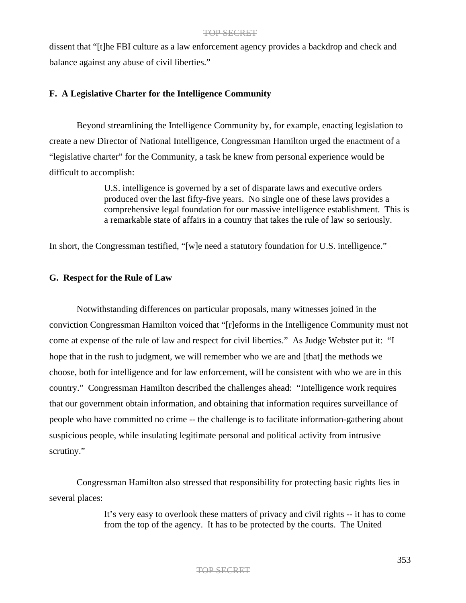dissent that "[t]he FBI culture as a law enforcement agency provides a backdrop and check and balance against any abuse of civil liberties."

## **F. A Legislative Charter for the Intelligence Community**

Beyond streamlining the Intelligence Community by, for example, enacting legislation to create a new Director of National Intelligence, Congressman Hamilton urged the enactment of a "legislative charter" for the Community, a task he knew from personal experience would be difficult to accomplish:

> U.S. intelligence is governed by a set of disparate laws and executive orders produced over the last fifty-five years. No single one of these laws provides a comprehensive legal foundation for our massive intelligence establishment. This is a remarkable state of affairs in a country that takes the rule of law so seriously.

In short, the Congressman testified, "[w]e need a statutory foundation for U.S. intelligence."

## **G. Respect for the Rule of Law**

Notwithstanding differences on particular proposals, many witnesses joined in the conviction Congressman Hamilton voiced that "[r]eforms in the Intelligence Community must not come at expense of the rule of law and respect for civil liberties." As Judge Webster put it: "I hope that in the rush to judgment, we will remember who we are and [that] the methods we choose, both for intelligence and for law enforcement, will be consistent with who we are in this country." Congressman Hamilton described the challenges ahead: "Intelligence work requires that our government obtain information, and obtaining that information requires surveillance of people who have committed no crime -- the challenge is to facilitate information-gathering about suspicious people, while insulating legitimate personal and political activity from intrusive scrutiny."

Congressman Hamilton also stressed that responsibility for protecting basic rights lies in several places:

> It's very easy to overlook these matters of privacy and civil rights -- it has to come from the top of the agency. It has to be protected by the courts. The United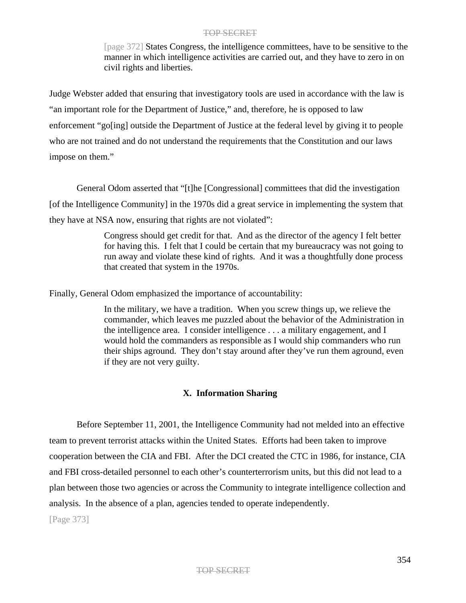[page 372] States Congress, the intelligence committees, have to be sensitive to the manner in which intelligence activities are carried out, and they have to zero in on civil rights and liberties.

Judge Webster added that ensuring that investigatory tools are used in accordance with the law is "an important role for the Department of Justice," and, therefore, he is opposed to law enforcement "go[ing] outside the Department of Justice at the federal level by giving it to people who are not trained and do not understand the requirements that the Constitution and our laws impose on them."

General Odom asserted that "[t]he [Congressional] committees that did the investigation [of the Intelligence Community] in the 1970s did a great service in implementing the system that they have at NSA now, ensuring that rights are not violated":

> Congress should get credit for that. And as the director of the agency I felt better for having this. I felt that I could be certain that my bureaucracy was not going to run away and violate these kind of rights. And it was a thoughtfully done process that created that system in the 1970s.

Finally, General Odom emphasized the importance of accountability:

In the military, we have a tradition. When you screw things up, we relieve the commander, which leaves me puzzled about the behavior of the Administration in the intelligence area. I consider intelligence . . . a military engagement, and I would hold the commanders as responsible as I would ship commanders who run their ships aground. They don't stay around after they've run them aground, even if they are not very guilty.

# **X. Information Sharing**

Before September 11, 2001, the Intelligence Community had not melded into an effective team to prevent terrorist attacks within the United States. Efforts had been taken to improve cooperation between the CIA and FBI. After the DCI created the CTC in 1986, for instance, CIA and FBI cross-detailed personnel to each other's counterterrorism units, but this did not lead to a plan between those two agencies or across the Community to integrate intelligence collection and analysis. In the absence of a plan, agencies tended to operate independently.

[Page 373]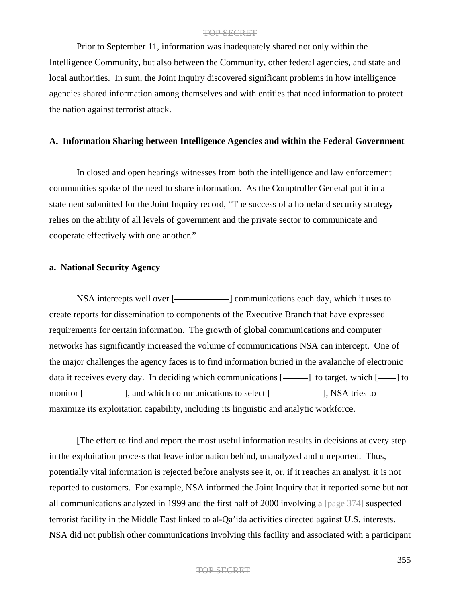Prior to September 11, information was inadequately shared not only within the Intelligence Community, but also between the Community, other federal agencies, and state and local authorities. In sum, the Joint Inquiry discovered significant problems in how intelligence agencies shared information among themselves and with entities that need information to protect the nation against terrorist attack.

## **A. Information Sharing between Intelligence Agencies and within the Federal Government**

In closed and open hearings witnesses from both the intelligence and law enforcement communities spoke of the need to share information. As the Comptroller General put it in a statement submitted for the Joint Inquiry record, "The success of a homeland security strategy relies on the ability of all levels of government and the private sector to communicate and cooperate effectively with one another."

## **a. National Security Agency**

NSA intercepts well over [-**]** communications each day, which it uses to create reports for dissemination to components of the Executive Branch that have expressed requirements for certain information. The growth of global communications and computer networks has significantly increased the volume of communications NSA can intercept. One of the major challenges the agency faces is to find information buried in the avalanche of electronic data it receives every day. In deciding which communications  $[- \quad]$  to target, which  $[- \quad]$  to monitor [- ], and which communications to select [- ], NSA tries to maximize its exploitation capability, including its linguistic and analytic workforce.

[The effort to find and report the most useful information results in decisions at every step in the exploitation process that leave information behind, unanalyzed and unreported. Thus, potentially vital information is rejected before analysts see it, or, if it reaches an analyst, it is not reported to customers. For example, NSA informed the Joint Inquiry that it reported some but not all communications analyzed in 1999 and the first half of 2000 involving a [page 374] suspected terrorist facility in the Middle East linked to al-Qa'ida activities directed against U.S. interests. NSA did not publish other communications involving this facility and associated with a participant

## TOP SECRET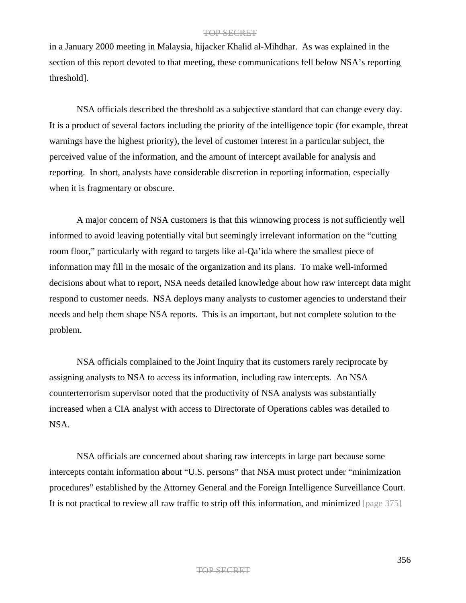in a January 2000 meeting in Malaysia, hijacker Khalid al-Mihdhar. As was explained in the section of this report devoted to that meeting, these communications fell below NSA's reporting threshold].

NSA officials described the threshold as a subjective standard that can change every day. It is a product of several factors including the priority of the intelligence topic (for example, threat warnings have the highest priority), the level of customer interest in a particular subject, the perceived value of the information, and the amount of intercept available for analysis and reporting. In short, analysts have considerable discretion in reporting information, especially when it is fragmentary or obscure.

A major concern of NSA customers is that this winnowing process is not sufficiently well informed to avoid leaving potentially vital but seemingly irrelevant information on the "cutting room floor," particularly with regard to targets like al-Qa'ida where the smallest piece of information may fill in the mosaic of the organization and its plans. To make well-informed decisions about what to report, NSA needs detailed knowledge about how raw intercept data might respond to customer needs. NSA deploys many analysts to customer agencies to understand their needs and help them shape NSA reports. This is an important, but not complete solution to the problem.

NSA officials complained to the Joint Inquiry that its customers rarely reciprocate by assigning analysts to NSA to access its information, including raw intercepts. An NSA counterterrorism supervisor noted that the productivity of NSA analysts was substantially increased when a CIA analyst with access to Directorate of Operations cables was detailed to NSA.

NSA officials are concerned about sharing raw intercepts in large part because some intercepts contain information about "U.S. persons" that NSA must protect under "minimization procedures" established by the Attorney General and the Foreign Intelligence Surveillance Court. It is not practical to review all raw traffic to strip off this information, and minimized [page 375]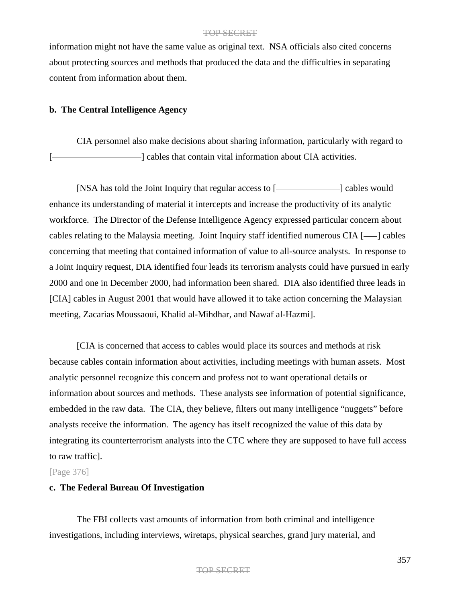information might not have the same value as original text. NSA officials also cited concerns about protecting sources and methods that produced the data and the difficulties in separating content from information about them.

# **b. The Central Intelligence Agency**

CIA personnel also make decisions about sharing information, particularly with regard to  $-$ ] cables that contain vital information about CIA activities.

[NSA has told the Joint Inquiry that regular access to [**wirele**] cables would enhance its understanding of material it intercepts and increase the productivity of its analytic workforce. The Director of the Defense Intelligence Agency expressed particular concern about cables relating to the Malaysia meeting. Joint Inquiry staff identified numerous  $CIA$  [ $\longrightarrow$ ] cables concerning that meeting that contained information of value to all-source analysts. In response to a Joint Inquiry request, DIA identified four leads its terrorism analysts could have pursued in early 2000 and one in December 2000, had information been shared. DIA also identified three leads in [CIA] cables in August 2001 that would have allowed it to take action concerning the Malaysian meeting, Zacarias Moussaoui, Khalid al-Mihdhar, and Nawaf al-Hazmi].

[CIA is concerned that access to cables would place its sources and methods at risk because cables contain information about activities, including meetings with human assets. Most analytic personnel recognize this concern and profess not to want operational details or information about sources and methods. These analysts see information of potential significance, embedded in the raw data. The CIA, they believe, filters out many intelligence "nuggets" before analysts receive the information. The agency has itself recognized the value of this data by integrating its counterterrorism analysts into the CTC where they are supposed to have full access to raw traffic].

### [Page 376]

## **c. The Federal Bureau Of Investigation**

The FBI collects vast amounts of information from both criminal and intelligence investigations, including interviews, wiretaps, physical searches, grand jury material, and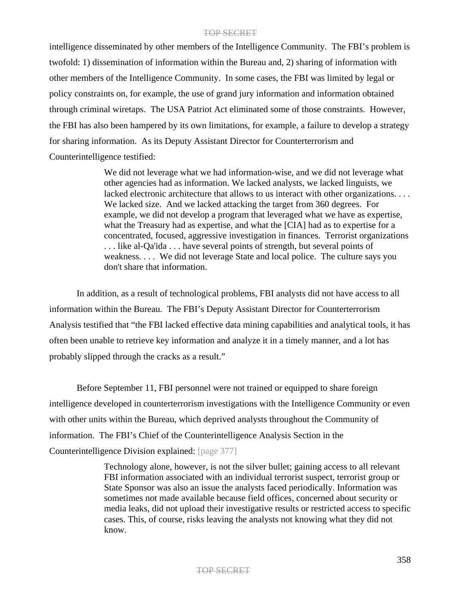intelligence disseminated by other members of the Intelligence Community. The FBI's problem is twofold: 1) dissemination of information within the Bureau and, 2) sharing of information with other members of the Intelligence Community. In some cases, the FBI was limited by legal or policy constraints on, for example, the use of grand jury information and information obtained through criminal wiretaps. The USA Patriot Act eliminated some of those constraints. However, the FBI has also been hampered by its own limitations, for example, a failure to develop a strategy for sharing information. As its Deputy Assistant Director for Counterterrorism and Counterintelligence testified:

> We did not leverage what we had information-wise, and we did not leverage what other agencies had as information. We lacked analysts, we lacked linguists, we lacked electronic architecture that allows to us interact with other organizations. . . . We lacked size. And we lacked attacking the target from 360 degrees. For example, we did not develop a program that leveraged what we have as expertise, what the Treasury had as expertise, and what the [CIA] had as to expertise for a concentrated, focused, aggressive investigation in finances. Terrorist organizations . . . like al-Qa'ida . . . have several points of strength, but several points of weakness. . . . We did not leverage State and local police. The culture says you don't share that information.

In addition, as a result of technological problems, FBI analysts did not have access to all information within the Bureau. The FBI's Deputy Assistant Director for Counterterrorism Analysis testified that "the FBI lacked effective data mining capabilities and analytical tools, it has often been unable to retrieve key information and analyze it in a timely manner, and a lot has probably slipped through the cracks as a result."

Before September 11, FBI personnel were not trained or equipped to share foreign intelligence developed in counterterrorism investigations with the Intelligence Community or even with other units within the Bureau, which deprived analysts throughout the Community of information. The FBI's Chief of the Counterintelligence Analysis Section in the Counterintelligence Division explained: [page 377]

> Technology alone, however, is not the silver bullet; gaining access to all relevant FBI information associated with an individual terrorist suspect, terrorist group or State Sponsor was also an issue the analysts faced periodically. Information was sometimes not made available because field offices, concerned about security or media leaks, did not upload their investigative results or restricted access to specific cases. This, of course, risks leaving the analysts not knowing what they did not know.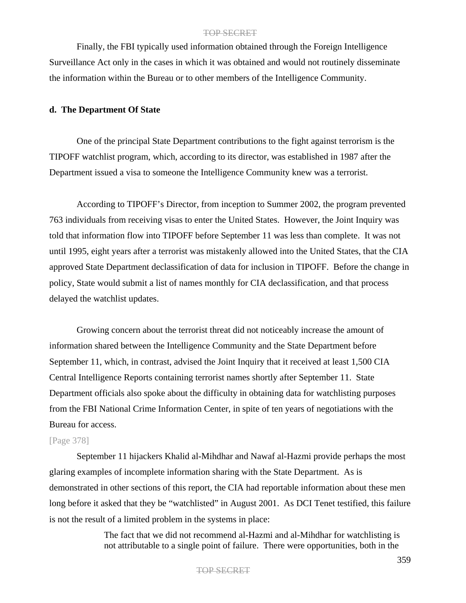Finally, the FBI typically used information obtained through the Foreign Intelligence Surveillance Act only in the cases in which it was obtained and would not routinely disseminate the information within the Bureau or to other members of the Intelligence Community.

### **d. The Department Of State**

One of the principal State Department contributions to the fight against terrorism is the TIPOFF watchlist program, which, according to its director, was established in 1987 after the Department issued a visa to someone the Intelligence Community knew was a terrorist.

According to TIPOFF's Director, from inception to Summer 2002, the program prevented 763 individuals from receiving visas to enter the United States. However, the Joint Inquiry was told that information flow into TIPOFF before September 11 was less than complete. It was not until 1995, eight years after a terrorist was mistakenly allowed into the United States, that the CIA approved State Department declassification of data for inclusion in TIPOFF. Before the change in policy, State would submit a list of names monthly for CIA declassification, and that process delayed the watchlist updates.

Growing concern about the terrorist threat did not noticeably increase the amount of information shared between the Intelligence Community and the State Department before September 11, which, in contrast, advised the Joint Inquiry that it received at least 1,500 CIA Central Intelligence Reports containing terrorist names shortly after September 11. State Department officials also spoke about the difficulty in obtaining data for watchlisting purposes from the FBI National Crime Information Center, in spite of ten years of negotiations with the Bureau for access.

# [Page 378]

September 11 hijackers Khalid al-Mihdhar and Nawaf al-Hazmi provide perhaps the most glaring examples of incomplete information sharing with the State Department. As is demonstrated in other sections of this report, the CIA had reportable information about these men long before it asked that they be "watchlisted" in August 2001. As DCI Tenet testified, this failure is not the result of a limited problem in the systems in place:

> The fact that we did not recommend al-Hazmi and al-Mihdhar for watchlisting is not attributable to a single point of failure. There were opportunities, both in the

### TOP SECRET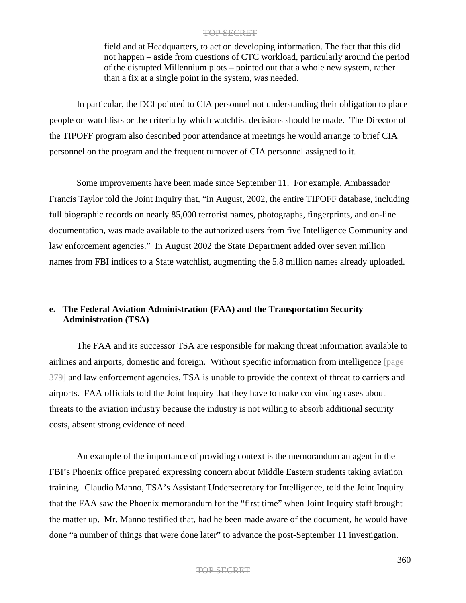field and at Headquarters, to act on developing information. The fact that this did not happen – aside from questions of CTC workload, particularly around the period of the disrupted Millennium plots – pointed out that a whole new system, rather than a fix at a single point in the system, was needed.

In particular, the DCI pointed to CIA personnel not understanding their obligation to place people on watchlists or the criteria by which watchlist decisions should be made. The Director of the TIPOFF program also described poor attendance at meetings he would arrange to brief CIA personnel on the program and the frequent turnover of CIA personnel assigned to it.

Some improvements have been made since September 11. For example, Ambassador Francis Taylor told the Joint Inquiry that, "in August, 2002, the entire TIPOFF database, including full biographic records on nearly 85,000 terrorist names, photographs, fingerprints, and on-line documentation, was made available to the authorized users from five Intelligence Community and law enforcement agencies." In August 2002 the State Department added over seven million names from FBI indices to a State watchlist, augmenting the 5.8 million names already uploaded.

# **e. The Federal Aviation Administration (FAA) and the Transportation Security Administration (TSA)**

The FAA and its successor TSA are responsible for making threat information available to airlines and airports, domestic and foreign. Without specific information from intelligence [page 379] and law enforcement agencies, TSA is unable to provide the context of threat to carriers and airports. FAA officials told the Joint Inquiry that they have to make convincing cases about threats to the aviation industry because the industry is not willing to absorb additional security costs, absent strong evidence of need.

An example of the importance of providing context is the memorandum an agent in the FBI's Phoenix office prepared expressing concern about Middle Eastern students taking aviation training. Claudio Manno, TSA's Assistant Undersecretary for Intelligence, told the Joint Inquiry that the FAA saw the Phoenix memorandum for the "first time" when Joint Inquiry staff brought the matter up. Mr. Manno testified that, had he been made aware of the document, he would have done "a number of things that were done later" to advance the post-September 11 investigation.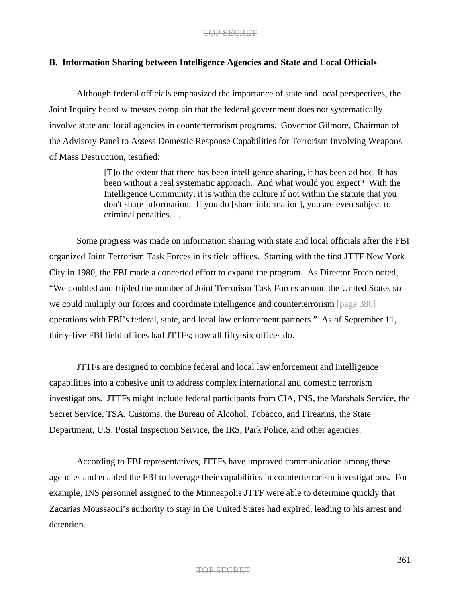# **B. Information Sharing between Intelligence Agencies and State and Local Officials**

Although federal officials emphasized the importance of state and local perspectives, the Joint Inquiry heard witnesses complain that the federal government does not systematically involve state and local agencies in counterterrorism programs. Governor Gilmore, Chairman of the Advisory Panel to Assess Domestic Response Capabilities for Terrorism Involving Weapons of Mass Destruction, testified:

> [T]o the extent that there has been intelligence sharing, it has been ad hoc. It has been without a real systematic approach. And what would you expect? With the Intelligence Community, it is within the culture if not within the statute that you don't share information. If you do [share information], you are even subject to criminal penalties. . . .

Some progress was made on information sharing with state and local officials after the FBI organized Joint Terrorism Task Forces in its field offices. Starting with the first JTTF New York City in 1980, the FBI made a concerted effort to expand the program. As Director Freeh noted, "We doubled and tripled the number of Joint Terrorism Task Forces around the United States so we could multiply our forces and coordinate intelligence and counterterrorism [page 380] operations with FBI's federal, state, and local law enforcement partners." As of September 11, thirty-five FBI field offices had JTTFs; now all fifty-six offices do.

JTTFs are designed to combine federal and local law enforcement and intelligence capabilities into a cohesive unit to address complex international and domestic terrorism investigations. JTTFs might include federal participants from CIA, INS, the Marshals Service, the Secret Service, TSA, Customs, the Bureau of Alcohol, Tobacco, and Firearms, the State Department, U.S. Postal Inspection Service, the IRS, Park Police, and other agencies.

According to FBI representatives, JTTFs have improved communication among these agencies and enabled the FBI to leverage their capabilities in counterterrorism investigations. For example, INS personnel assigned to the Minneapolis JTTF were able to determine quickly that Zacarias Moussaoui's authority to stay in the United States had expired, leading to his arrest and detention.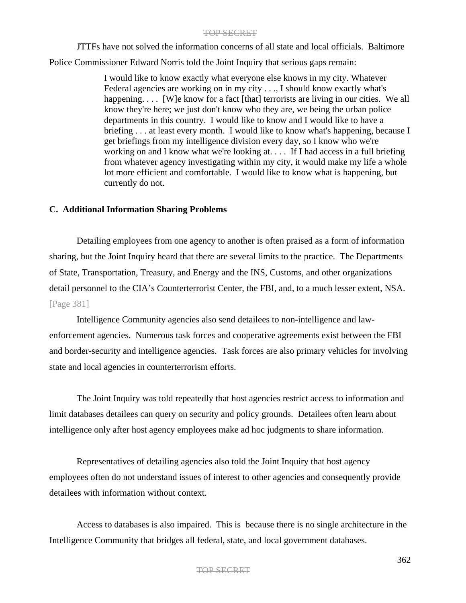JTTFs have not solved the information concerns of all state and local officials. Baltimore Police Commissioner Edward Norris told the Joint Inquiry that serious gaps remain:

> I would like to know exactly what everyone else knows in my city. Whatever Federal agencies are working on in my city . . ., I should know exactly what's happening.... [W]e know for a fact [that] terrorists are living in our cities. We all know they're here; we just don't know who they are, we being the urban police departments in this country. I would like to know and I would like to have a briefing . . . at least every month. I would like to know what's happening, because I get briefings from my intelligence division every day, so I know who we're working on and I know what we're looking at. . . . If I had access in a full briefing from whatever agency investigating within my city, it would make my life a whole lot more efficient and comfortable. I would like to know what is happening, but currently do not.

# **C. Additional Information Sharing Problems**

Detailing employees from one agency to another is often praised as a form of information sharing, but the Joint Inquiry heard that there are several limits to the practice. The Departments of State, Transportation, Treasury, and Energy and the INS, Customs, and other organizations detail personnel to the CIA's Counterterrorist Center, the FBI, and, to a much lesser extent, NSA. [Page 381]

Intelligence Community agencies also send detailees to non-intelligence and lawenforcement agencies. Numerous task forces and cooperative agreements exist between the FBI and border-security and intelligence agencies. Task forces are also primary vehicles for involving state and local agencies in counterterrorism efforts.

The Joint Inquiry was told repeatedly that host agencies restrict access to information and limit databases detailees can query on security and policy grounds. Detailees often learn about intelligence only after host agency employees make ad hoc judgments to share information.

Representatives of detailing agencies also told the Joint Inquiry that host agency employees often do not understand issues of interest to other agencies and consequently provide detailees with information without context.

Access to databases is also impaired. This is because there is no single architecture in the Intelligence Community that bridges all federal, state, and local government databases.

# TOP SECRET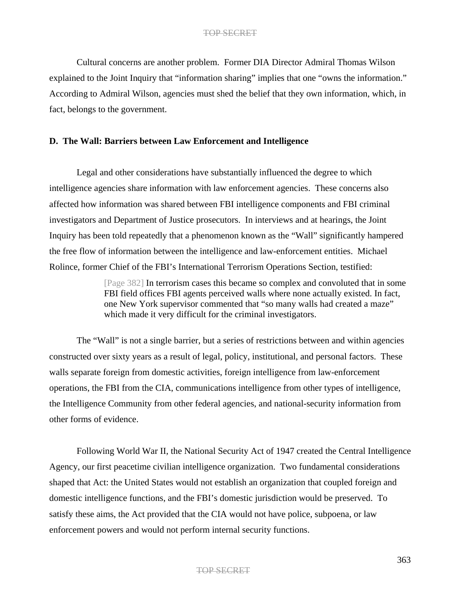Cultural concerns are another problem. Former DIA Director Admiral Thomas Wilson explained to the Joint Inquiry that "information sharing" implies that one "owns the information." According to Admiral Wilson, agencies must shed the belief that they own information, which, in fact, belongs to the government.

### **D. The Wall: Barriers between Law Enforcement and Intelligence**

Legal and other considerations have substantially influenced the degree to which intelligence agencies share information with law enforcement agencies. These concerns also affected how information was shared between FBI intelligence components and FBI criminal investigators and Department of Justice prosecutors. In interviews and at hearings, the Joint Inquiry has been told repeatedly that a phenomenon known as the "Wall" significantly hampered the free flow of information between the intelligence and law-enforcement entities. Michael Rolince, former Chief of the FBI's International Terrorism Operations Section, testified:

> [Page 382] In terrorism cases this became so complex and convoluted that in some FBI field offices FBI agents perceived walls where none actually existed. In fact, one New York supervisor commented that "so many walls had created a maze" which made it very difficult for the criminal investigators.

The "Wall" is not a single barrier, but a series of restrictions between and within agencies constructed over sixty years as a result of legal, policy, institutional, and personal factors. These walls separate foreign from domestic activities, foreign intelligence from law-enforcement operations, the FBI from the CIA, communications intelligence from other types of intelligence, the Intelligence Community from other federal agencies, and national-security information from other forms of evidence.

Following World War II, the National Security Act of 1947 created the Central Intelligence Agency, our first peacetime civilian intelligence organization. Two fundamental considerations shaped that Act: the United States would not establish an organization that coupled foreign and domestic intelligence functions, and the FBI's domestic jurisdiction would be preserved. To satisfy these aims, the Act provided that the CIA would not have police, subpoena, or law enforcement powers and would not perform internal security functions.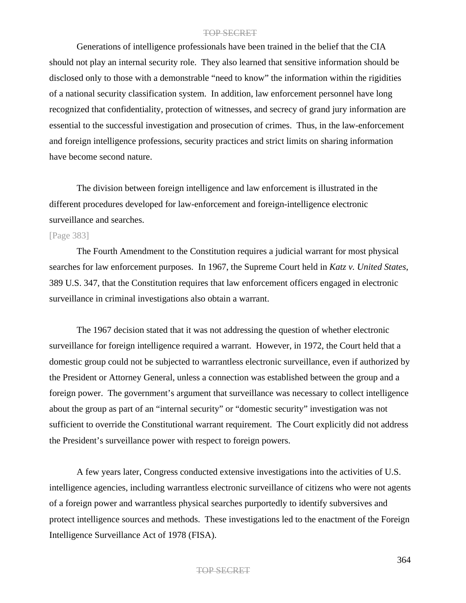Generations of intelligence professionals have been trained in the belief that the CIA should not play an internal security role. They also learned that sensitive information should be disclosed only to those with a demonstrable "need to know" the information within the rigidities of a national security classification system. In addition, law enforcement personnel have long recognized that confidentiality, protection of witnesses, and secrecy of grand jury information are essential to the successful investigation and prosecution of crimes. Thus, in the law-enforcement and foreign intelligence professions, security practices and strict limits on sharing information have become second nature.

The division between foreign intelligence and law enforcement is illustrated in the different procedures developed for law-enforcement and foreign-intelligence electronic surveillance and searches.

# [Page 383]

The Fourth Amendment to the Constitution requires a judicial warrant for most physical searches for law enforcement purposes. In 1967, the Supreme Court held in *Katz v. United States*, 389 U.S. 347, that the Constitution requires that law enforcement officers engaged in electronic surveillance in criminal investigations also obtain a warrant.

The 1967 decision stated that it was not addressing the question of whether electronic surveillance for foreign intelligence required a warrant. However, in 1972, the Court held that a domestic group could not be subjected to warrantless electronic surveillance, even if authorized by the President or Attorney General, unless a connection was established between the group and a foreign power. The government's argument that surveillance was necessary to collect intelligence about the group as part of an "internal security" or "domestic security" investigation was not sufficient to override the Constitutional warrant requirement. The Court explicitly did not address the President's surveillance power with respect to foreign powers.

A few years later, Congress conducted extensive investigations into the activities of U.S. intelligence agencies, including warrantless electronic surveillance of citizens who were not agents of a foreign power and warrantless physical searches purportedly to identify subversives and protect intelligence sources and methods. These investigations led to the enactment of the Foreign Intelligence Surveillance Act of 1978 (FISA).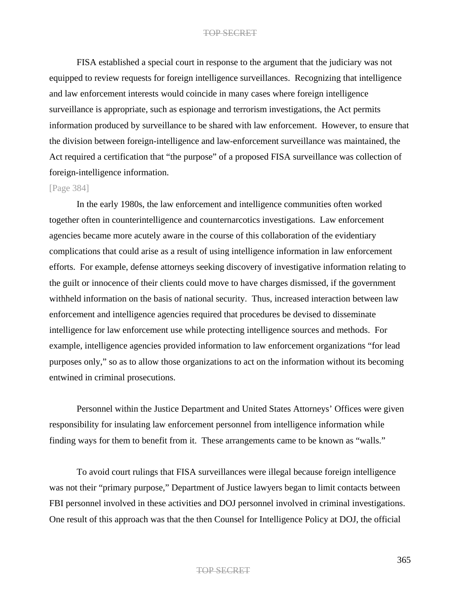FISA established a special court in response to the argument that the judiciary was not equipped to review requests for foreign intelligence surveillances. Recognizing that intelligence and law enforcement interests would coincide in many cases where foreign intelligence surveillance is appropriate, such as espionage and terrorism investigations, the Act permits information produced by surveillance to be shared with law enforcement. However, to ensure that the division between foreign-intelligence and law-enforcement surveillance was maintained, the Act required a certification that "the purpose" of a proposed FISA surveillance was collection of foreign-intelligence information.

### [Page 384]

In the early 1980s, the law enforcement and intelligence communities often worked together often in counterintelligence and counternarcotics investigations. Law enforcement agencies became more acutely aware in the course of this collaboration of the evidentiary complications that could arise as a result of using intelligence information in law enforcement efforts. For example, defense attorneys seeking discovery of investigative information relating to the guilt or innocence of their clients could move to have charges dismissed, if the government withheld information on the basis of national security. Thus, increased interaction between law enforcement and intelligence agencies required that procedures be devised to disseminate intelligence for law enforcement use while protecting intelligence sources and methods. For example, intelligence agencies provided information to law enforcement organizations "for lead purposes only," so as to allow those organizations to act on the information without its becoming entwined in criminal prosecutions.

Personnel within the Justice Department and United States Attorneys' Offices were given responsibility for insulating law enforcement personnel from intelligence information while finding ways for them to benefit from it. These arrangements came to be known as "walls."

To avoid court rulings that FISA surveillances were illegal because foreign intelligence was not their "primary purpose," Department of Justice lawyers began to limit contacts between FBI personnel involved in these activities and DOJ personnel involved in criminal investigations. One result of this approach was that the then Counsel for Intelligence Policy at DOJ, the official

#### TOP SECRET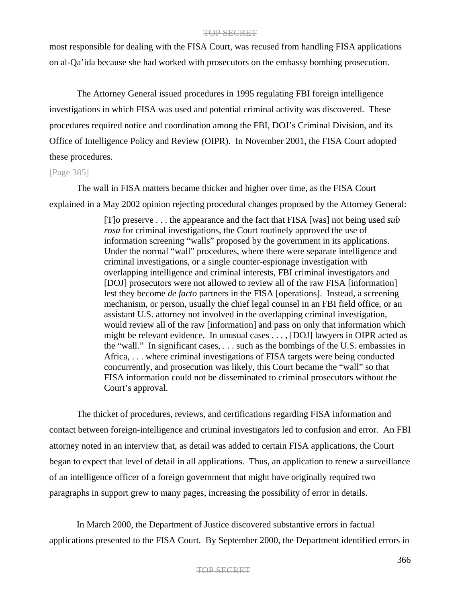most responsible for dealing with the FISA Court, was recused from handling FISA applications on al-Qa'ida because she had worked with prosecutors on the embassy bombing prosecution.

The Attorney General issued procedures in 1995 regulating FBI foreign intelligence investigations in which FISA was used and potential criminal activity was discovered. These procedures required notice and coordination among the FBI, DOJ's Criminal Division, and its Office of Intelligence Policy and Review (OIPR). In November 2001, the FISA Court adopted these procedures.

### [Page 385]

The wall in FISA matters became thicker and higher over time, as the FISA Court explained in a May 2002 opinion rejecting procedural changes proposed by the Attorney General:

> [T]o preserve . . . the appearance and the fact that FISA [was] not being used *sub rosa* for criminal investigations, the Court routinely approved the use of information screening "walls" proposed by the government in its applications. Under the normal "wall" procedures, where there were separate intelligence and criminal investigations, or a single counter-espionage investigation with overlapping intelligence and criminal interests, FBI criminal investigators and [DOJ] prosecutors were not allowed to review all of the raw FISA [information] lest they become *de facto* partners in the FISA [operations]. Instead, a screening mechanism, or person, usually the chief legal counsel in an FBI field office, or an assistant U.S. attorney not involved in the overlapping criminal investigation, would review all of the raw [information] and pass on only that information which might be relevant evidence. In unusual cases . . . , [DOJ] lawyers in OIPR acted as the "wall." In significant cases, . . . such as the bombings of the U.S. embassies in Africa, . . . where criminal investigations of FISA targets were being conducted concurrently, and prosecution was likely, this Court became the "wall" so that FISA information could not be disseminated to criminal prosecutors without the Court's approval.

The thicket of procedures, reviews, and certifications regarding FISA information and contact between foreign-intelligence and criminal investigators led to confusion and error. An FBI attorney noted in an interview that, as detail was added to certain FISA applications, the Court began to expect that level of detail in all applications. Thus, an application to renew a surveillance of an intelligence officer of a foreign government that might have originally required two paragraphs in support grew to many pages, increasing the possibility of error in details.

In March 2000, the Department of Justice discovered substantive errors in factual applications presented to the FISA Court. By September 2000, the Department identified errors in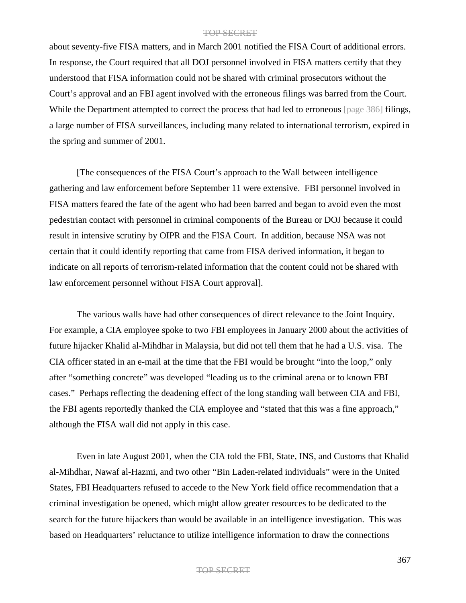about seventy-five FISA matters, and in March 2001 notified the FISA Court of additional errors. In response, the Court required that all DOJ personnel involved in FISA matters certify that they understood that FISA information could not be shared with criminal prosecutors without the Court's approval and an FBI agent involved with the erroneous filings was barred from the Court. While the Department attempted to correct the process that had led to erroneous [page 386] filings, a large number of FISA surveillances, including many related to international terrorism, expired in the spring and summer of 2001.

[The consequences of the FISA Court's approach to the Wall between intelligence gathering and law enforcement before September 11 were extensive. FBI personnel involved in FISA matters feared the fate of the agent who had been barred and began to avoid even the most pedestrian contact with personnel in criminal components of the Bureau or DOJ because it could result in intensive scrutiny by OIPR and the FISA Court. In addition, because NSA was not certain that it could identify reporting that came from FISA derived information, it began to indicate on all reports of terrorism-related information that the content could not be shared with law enforcement personnel without FISA Court approval].

The various walls have had other consequences of direct relevance to the Joint Inquiry. For example, a CIA employee spoke to two FBI employees in January 2000 about the activities of future hijacker Khalid al-Mihdhar in Malaysia, but did not tell them that he had a U.S. visa. The CIA officer stated in an e-mail at the time that the FBI would be brought "into the loop," only after "something concrete" was developed "leading us to the criminal arena or to known FBI cases." Perhaps reflecting the deadening effect of the long standing wall between CIA and FBI, the FBI agents reportedly thanked the CIA employee and "stated that this was a fine approach," although the FISA wall did not apply in this case.

Even in late August 2001, when the CIA told the FBI, State, INS, and Customs that Khalid al-Mihdhar, Nawaf al-Hazmi, and two other "Bin Laden-related individuals" were in the United States, FBI Headquarters refused to accede to the New York field office recommendation that a criminal investigation be opened, which might allow greater resources to be dedicated to the search for the future hijackers than would be available in an intelligence investigation. This was based on Headquarters' reluctance to utilize intelligence information to draw the connections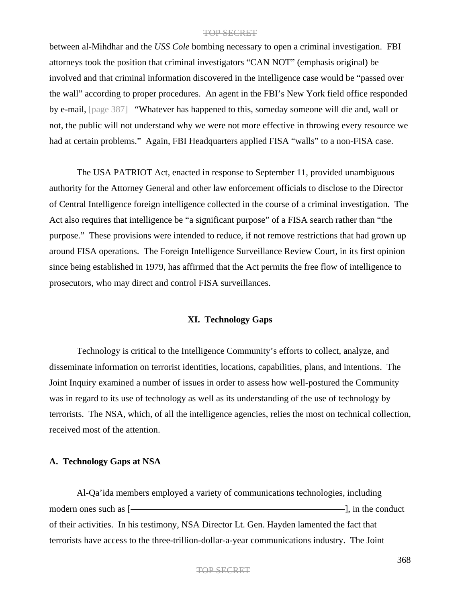between al-Mihdhar and the *USS Cole* bombing necessary to open a criminal investigation. FBI attorneys took the position that criminal investigators "CAN NOT" (emphasis original) be involved and that criminal information discovered in the intelligence case would be "passed over the wall" according to proper procedures. An agent in the FBI's New York field office responded by e-mail, [page 387] "Whatever has happened to this, someday someone will die and, wall or not, the public will not understand why we were not more effective in throwing every resource we had at certain problems." Again, FBI Headquarters applied FISA "walls" to a non-FISA case.

The USA PATRIOT Act, enacted in response to September 11, provided unambiguous authority for the Attorney General and other law enforcement officials to disclose to the Director of Central Intelligence foreign intelligence collected in the course of a criminal investigation. The Act also requires that intelligence be "a significant purpose" of a FISA search rather than "the purpose." These provisions were intended to reduce, if not remove restrictions that had grown up around FISA operations. The Foreign Intelligence Surveillance Review Court, in its first opinion since being established in 1979, has affirmed that the Act permits the free flow of intelligence to prosecutors, who may direct and control FISA surveillances.

### **XI. Technology Gaps**

Technology is critical to the Intelligence Community's efforts to collect, analyze, and disseminate information on terrorist identities, locations, capabilities, plans, and intentions. The Joint Inquiry examined a number of issues in order to assess how well-postured the Community was in regard to its use of technology as well as its understanding of the use of technology by terrorists. The NSA, which, of all the intelligence agencies, relies the most on technical collection, received most of the attention.

# **A. Technology Gaps at NSA**

Al-Qa'ida members employed a variety of communications technologies, including modern ones such as [ ], in the conduct of their activities. In his testimony, NSA Director Lt. Gen. Hayden lamented the fact that terrorists have access to the three-trillion-dollar-a-year communications industry. The Joint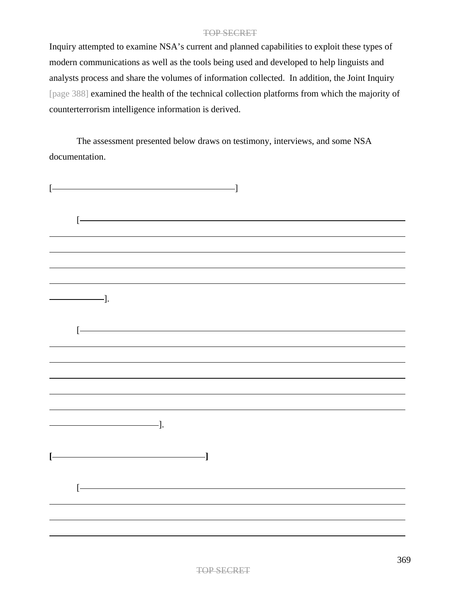Inquiry attempted to examine NSA's current and planned capabilities to exploit these types of modern communications as well as the tools being used and developed to help linguists and analysts process and share the volumes of information collected. In addition, the Joint Inquiry [page 388] examined the health of the technical collection platforms from which the majority of counterterrorism intelligence information is derived.

The assessment presented below draws on testimony, interviews, and some NSA documentation.

| $\frac{1}{\sqrt{1-\frac{1}{2}}}\frac{1}{\sqrt{1-\frac{1}{2}}}\frac{1}{\sqrt{1-\frac{1}{2}}}\frac{1}{\sqrt{1-\frac{1}{2}}}\frac{1}{\sqrt{1-\frac{1}{2}}}\frac{1}{\sqrt{1-\frac{1}{2}}}\frac{1}{\sqrt{1-\frac{1}{2}}}\frac{1}{\sqrt{1-\frac{1}{2}}}\frac{1}{\sqrt{1-\frac{1}{2}}}\frac{1}{\sqrt{1-\frac{1}{2}}}\frac{1}{\sqrt{1-\frac{1}{2}}}\frac{1}{\sqrt{1-\frac{1}{2}}}\frac{1}{\sqrt{1-\frac{1}{2}}}\frac{1}{\sqrt{1-\frac{$ |                            |  |  |
|---------------------------------------------------------------------------------------------------------------------------------------------------------------------------------------------------------------------------------------------------------------------------------------------------------------------------------------------------------------------------------------------------------------------------------|----------------------------|--|--|
|                                                                                                                                                                                                                                                                                                                                                                                                                                 |                            |  |  |
|                                                                                                                                                                                                                                                                                                                                                                                                                                 |                            |  |  |
|                                                                                                                                                                                                                                                                                                                                                                                                                                 |                            |  |  |
|                                                                                                                                                                                                                                                                                                                                                                                                                                 |                            |  |  |
|                                                                                                                                                                                                                                                                                                                                                                                                                                 |                            |  |  |
|                                                                                                                                                                                                                                                                                                                                                                                                                                 |                            |  |  |
|                                                                                                                                                                                                                                                                                                                                                                                                                                 | $\overline{\phantom{a}}$ . |  |  |
|                                                                                                                                                                                                                                                                                                                                                                                                                                 |                            |  |  |
|                                                                                                                                                                                                                                                                                                                                                                                                                                 |                            |  |  |
|                                                                                                                                                                                                                                                                                                                                                                                                                                 |                            |  |  |
|                                                                                                                                                                                                                                                                                                                                                                                                                                 |                            |  |  |
|                                                                                                                                                                                                                                                                                                                                                                                                                                 |                            |  |  |
|                                                                                                                                                                                                                                                                                                                                                                                                                                 |                            |  |  |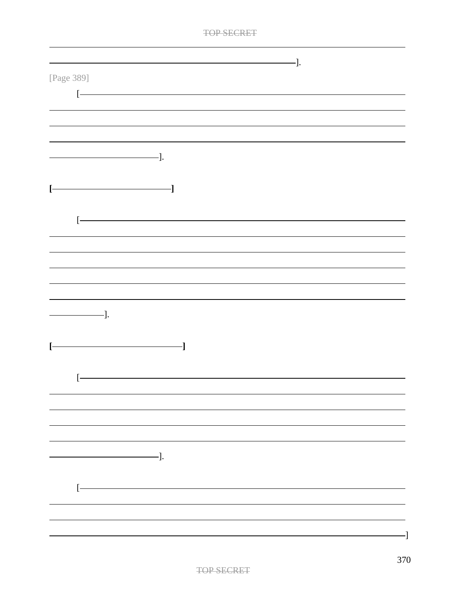|                                                                                                                                                                                                                                                                                                                                                                                                                                               | ·]. |
|-----------------------------------------------------------------------------------------------------------------------------------------------------------------------------------------------------------------------------------------------------------------------------------------------------------------------------------------------------------------------------------------------------------------------------------------------|-----|
| [Page 389]                                                                                                                                                                                                                                                                                                                                                                                                                                    |     |
| $\left[ -\right]$                                                                                                                                                                                                                                                                                                                                                                                                                             |     |
|                                                                                                                                                                                                                                                                                                                                                                                                                                               |     |
|                                                                                                                                                                                                                                                                                                                                                                                                                                               |     |
| $\frac{1}{\sqrt{1-\frac{1}{2}}}\cdot$                                                                                                                                                                                                                                                                                                                                                                                                         |     |
|                                                                                                                                                                                                                                                                                                                                                                                                                                               |     |
| $\overline{\phantom{iiiiiiiiiiiiiii}}$<br>Ŀ                                                                                                                                                                                                                                                                                                                                                                                                   |     |
|                                                                                                                                                                                                                                                                                                                                                                                                                                               |     |
| ŀ                                                                                                                                                                                                                                                                                                                                                                                                                                             |     |
|                                                                                                                                                                                                                                                                                                                                                                                                                                               |     |
|                                                                                                                                                                                                                                                                                                                                                                                                                                               |     |
|                                                                                                                                                                                                                                                                                                                                                                                                                                               |     |
|                                                                                                                                                                                                                                                                                                                                                                                                                                               |     |
| $\frac{1}{\sqrt{1-\frac{1}{2}}}\cdot\frac{1}{\sqrt{1-\frac{1}{2}}}\cdot\frac{1}{\sqrt{1-\frac{1}{2}}}\cdot\frac{1}{\sqrt{1-\frac{1}{2}}}\cdot\frac{1}{\sqrt{1-\frac{1}{2}}}\cdot\frac{1}{\sqrt{1-\frac{1}{2}}}\cdot\frac{1}{\sqrt{1-\frac{1}{2}}}\cdot\frac{1}{\sqrt{1-\frac{1}{2}}}\cdot\frac{1}{\sqrt{1-\frac{1}{2}}}\cdot\frac{1}{\sqrt{1-\frac{1}{2}}}\cdot\frac{1}{\sqrt{1-\frac{1}{2}}}\cdot\frac{1}{\sqrt{1-\frac{1}{2}}}\cdot\frac{1$ |     |
| Ŀ                                                                                                                                                                                                                                                                                                                                                                                                                                             |     |
|                                                                                                                                                                                                                                                                                                                                                                                                                                               |     |
|                                                                                                                                                                                                                                                                                                                                                                                                                                               |     |
|                                                                                                                                                                                                                                                                                                                                                                                                                                               |     |
|                                                                                                                                                                                                                                                                                                                                                                                                                                               |     |
|                                                                                                                                                                                                                                                                                                                                                                                                                                               |     |
| $\qquad \qquad \qquad -].$                                                                                                                                                                                                                                                                                                                                                                                                                    |     |
|                                                                                                                                                                                                                                                                                                                                                                                                                                               |     |
| ŀ                                                                                                                                                                                                                                                                                                                                                                                                                                             |     |
|                                                                                                                                                                                                                                                                                                                                                                                                                                               |     |
|                                                                                                                                                                                                                                                                                                                                                                                                                                               |     |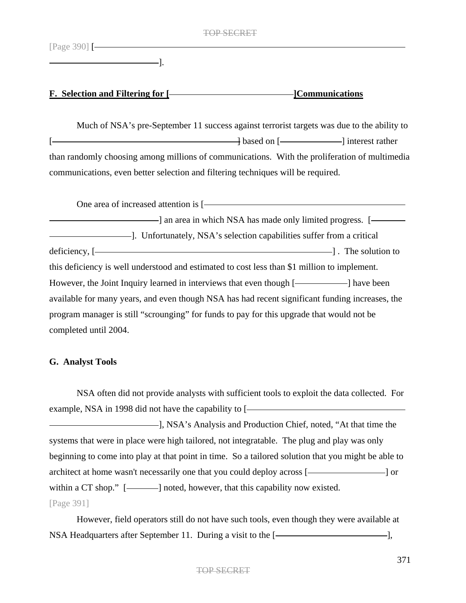[Page 390] [

].

# **F. Selection and Filtering for [** [ [ ] [ ] [ ] [ ] [ **Communications**

Much of NSA's pre-September 11 success against terrorist targets was due to the ability to [  $\qquad \qquad$  based on [  $\qquad \qquad$  ] interest rather than randomly choosing among millions of communications. With the proliferation of multimedia communications, even better selection and filtering techniques will be required.

One area of increased attention is [ ] an area in which NSA has made only limited progress. [ ]. Unfortunately, NSA's selection capabilities suffer from a critical  $\text{deficiency}, \left[ \begin{array}{ccc} - & \text{deficiency}, \end{array} \right]$ . The solution to this deficiency is well understood and estimated to cost less than \$1 million to implement. However, the Joint Inquiry learned in interviews that even though [-**window**] have been available for many years, and even though NSA has had recent significant funding increases, the program manager is still "scrounging" for funds to pay for this upgrade that would not be completed until 2004.

# **G. Analyst Tools**

NSA often did not provide analysts with sufficient tools to exploit the data collected. For example, NSA in 1998 did not have the capability to [**will construct that** ], NSA's Analysis and Production Chief, noted, "At that time the systems that were in place were high tailored, not integratable. The plug and play was only beginning to come into play at that point in time. So a tailored solution that you might be able to architect at home wasn't necessarily one that you could deploy across [- and a local or  $\sim$  ] or

within a CT shop." [-contract ] noted, however, that this capability now existed.

# [Page 391]

However, field operators still do not have such tools, even though they were available at NSA Headquarters after September 11. During a visit to the [-**window and all partners** after September 11.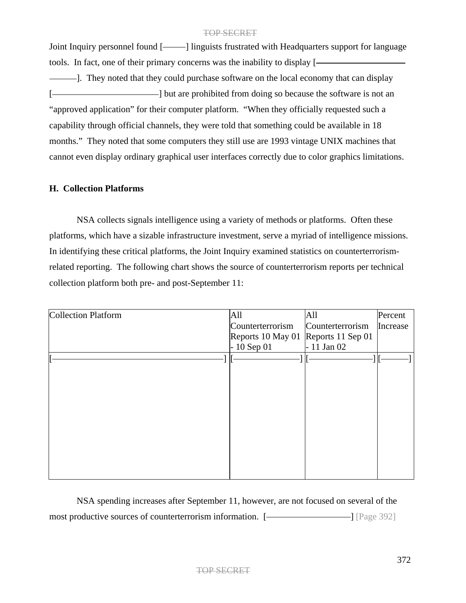Joint Inquiry personnel found [ ] linguists frustrated with Headquarters support for language tools. In fact, one of their primary concerns was the inability to display [

--]. They noted that they could purchase software on the local economy that can display [-  $\blacksquare$  ] but are prohibited from doing so because the software is not an "approved application" for their computer platform. "When they officially requested such a capability through official channels, they were told that something could be available in 18 months." They noted that some computers they still use are 1993 vintage UNIX machines that cannot even display ordinary graphical user interfaces correctly due to color graphics limitations.

# **H. Collection Platforms**

NSA collects signals intelligence using a variety of methods or platforms. Often these platforms, which have a sizable infrastructure investment, serve a myriad of intelligence missions. In identifying these critical platforms, the Joint Inquiry examined statistics on counterterrorismrelated reporting. The following chart shows the source of counterterrorism reports per technical collection platform both pre- and post-September 11:

| <b>Collection Platform</b> | All                                 | All              | Percent  |
|----------------------------|-------------------------------------|------------------|----------|
|                            | Counterterrorism                    | Counterterrorism | Increase |
|                            | Reports 10 May 01 Reports 11 Sep 01 |                  |          |
|                            | $-10$ Sep 01                        | $-11$ Jan 02     |          |
|                            |                                     |                  |          |
|                            |                                     |                  |          |
|                            |                                     |                  |          |
|                            |                                     |                  |          |
|                            |                                     |                  |          |
|                            |                                     |                  |          |
|                            |                                     |                  |          |
|                            |                                     |                  |          |
|                            |                                     |                  |          |
|                            |                                     |                  |          |
|                            |                                     |                  |          |

NSA spending increases after September 11, however, are not focused on several of the most productive sources of counterterrorism information. [- [Page 392]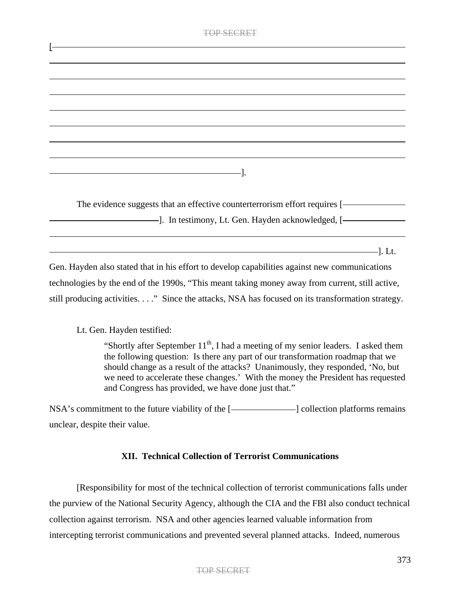| <b>TOP SECRET</b>                                                                                                                                                                                                                                                                                                    |
|----------------------------------------------------------------------------------------------------------------------------------------------------------------------------------------------------------------------------------------------------------------------------------------------------------------------|
|                                                                                                                                                                                                                                                                                                                      |
|                                                                                                                                                                                                                                                                                                                      |
|                                                                                                                                                                                                                                                                                                                      |
|                                                                                                                                                                                                                                                                                                                      |
|                                                                                                                                                                                                                                                                                                                      |
|                                                                                                                                                                                                                                                                                                                      |
|                                                                                                                                                                                                                                                                                                                      |
|                                                                                                                                                                                                                                                                                                                      |
| The evidence suggests that an effective counterterrorism effort requires [-                                                                                                                                                                                                                                          |
|                                                                                                                                                                                                                                                                                                                      |
| $\sim$ 1. Lt.<br>Gen. Hayden also stated that in his effort to develop capabilities against new communications<br>technologies by the end of the 1990s, "This meant taking money away from current, still active,<br>still producing activities." Since the attacks, NSA has focused on its transformation strategy. |

# Lt. Gen. Hayden testified:

"Shortly after September  $11<sup>th</sup>$ , I had a meeting of my senior leaders. I asked them the following question: Is there any part of our transformation roadmap that we should change as a result of the attacks? Unanimously, they responded, 'No, but we need to accelerate these changes.' With the money the President has requested and Congress has provided, we have done just that."

 $NSA's$  commitment to the future viability of the  $[$   $]$   $]$   $\Box$   $]$   $]$   $\Box$   $]$   $\Box$   $]$   $\Box$   $]$   $\Box$   $]$   $\Box$   $]$   $\Box$   $]$   $\Box$   $]$   $\Box$   $]$   $\Box$   $]$   $\Box$   $]$   $\Box$   $]$   $\Box$   $]$   $\Box$   $]$   $\Box$   $]$   $\Box$   $]$   $\Box$   $]$   $\Box$ unclear, despite their value.

# **XII. Technical Collection of Terrorist Communications**

[Responsibility for most of the technical collection of terrorist communications falls under the purview of the National Security Agency, although the CIA and the FBI also conduct technical collection against terrorism. NSA and other agencies learned valuable information from intercepting terrorist communications and prevented several planned attacks. Indeed, numerous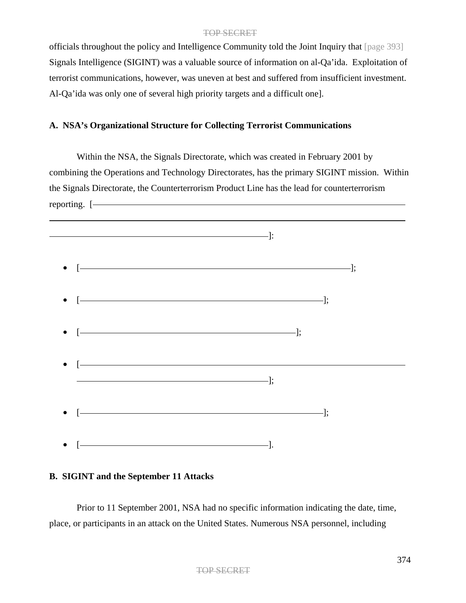officials throughout the policy and Intelligence Community told the Joint Inquiry that [page 393] Signals Intelligence (SIGINT) was a valuable source of information on al-Qa'ida. Exploitation of terrorist communications, however, was uneven at best and suffered from insufficient investment. Al-Qa'ida was only one of several high priority targets and a difficult one].

# **A. NSA's Organizational Structure for Collecting Terrorist Communications**

Within the NSA, the Signals Directorate, which was created in February 2001 by combining the Operations and Technology Directorates, has the primary SIGINT mission. Within the Signals Directorate, the Counterterrorism Product Line has the lead for counterterrorism reporting. [



# **B. SIGINT and the September 11 Attacks**

Prior to 11 September 2001, NSA had no specific information indicating the date, time, place, or participants in an attack on the United States. Numerous NSA personnel, including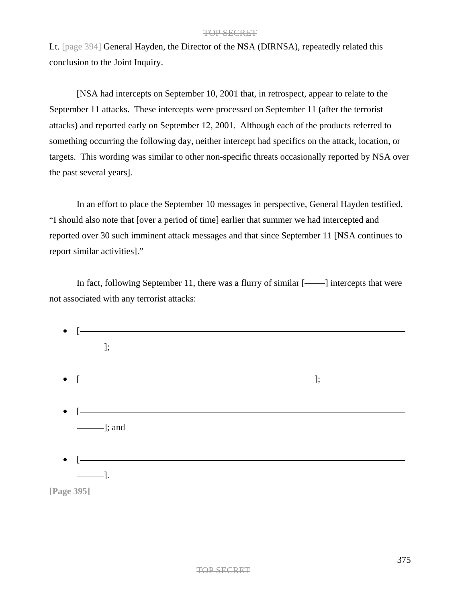Lt. [page 394] General Hayden, the Director of the NSA (DIRNSA), repeatedly related this conclusion to the Joint Inquiry.

[NSA had intercepts on September 10, 2001 that, in retrospect, appear to relate to the September 11 attacks. These intercepts were processed on September 11 (after the terrorist attacks) and reported early on September 12, 2001. Although each of the products referred to something occurring the following day, neither intercept had specifics on the attack, location, or targets. This wording was similar to other non-specific threats occasionally reported by NSA over the past several years].

In an effort to place the September 10 messages in perspective, General Hayden testified, "I should also note that [over a period of time] earlier that summer we had intercepted and reported over 30 such imminent attack messages and that since September 11 [NSA continues to report similar activities]."

In fact, following September 11, there was a flurry of similar [-intercepts that were not associated with any terrorist attacks:

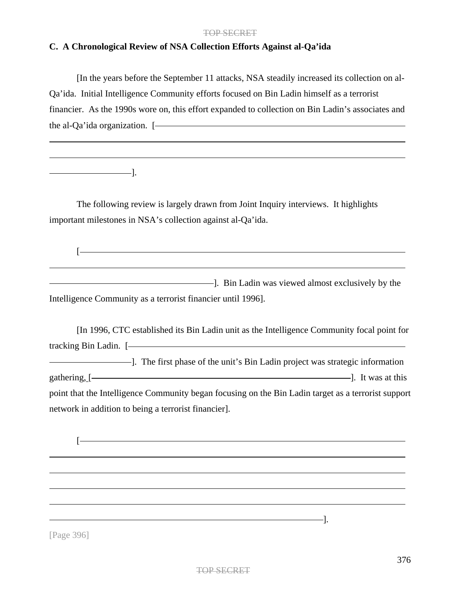# **C. A Chronological Review of NSA Collection Efforts Against al-Qa'ida**

[In the years before the September 11 attacks, NSA steadily increased its collection on al-Qa'ida. Initial Intelligence Community efforts focused on Bin Ladin himself as a terrorist financier. As the 1990s wore on, this effort expanded to collection on Bin Ladin's associates and the al-Qa'ida organization. [

 $\overline{\phantom{a}}$ .

 $\sqrt{2}$ 

The following review is largely drawn from Joint Inquiry interviews. It highlights important milestones in NSA's collection against al-Qa'ida.

**Example 2** and 2 and 2 and 2 and 2 and 2 and 2 and 2 and 2 and 2 and 2 and 2 and 2 and 2 and 2 and 2 and 2 and 2 and 2 and 2 and 2 and 2 and 2 and 2 and 2 and 2 and 2 and 2 and 2 and 2 and 2 and 2 and 2 and 2 and 2 and 2 Intelligence Community as a terrorist financier until 1996].

[In 1996, CTC established its Bin Ladin unit as the Intelligence Community focal point for tracking Bin Ladin. [ I. The first phase of the unit's Bin Ladin project was strategic information gathering, [ ]. It was at this point that the Intelligence Community began focusing on the Bin Ladin target as a terrorist support network in addition to being a terrorist financier].

[Page 396]

 $[-]$ 

 $-$ ].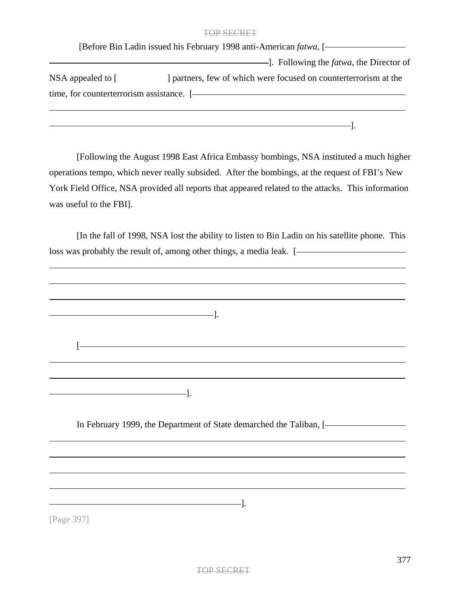|                                           | [Before Bin Ladin issued his February 1998 anti-American <i>fatwa</i> , [- |
|-------------------------------------------|----------------------------------------------------------------------------|
|                                           | ---]. Following the <i>fatwa</i> , the Director of                         |
| NSA appealed to $\lceil$                  | I partners, few of which were focused on counterterrorism at the           |
| time, for counterterrorism assistance. [- |                                                                            |
|                                           |                                                                            |

[Following the August 1998 East Africa Embassy bombings, NSA instituted a much higher operations tempo, which never really subsided. After the bombings, at the request of FBI's New York Field Office, NSA provided all reports that appeared related to the attacks. This information was useful to the FBI].

[In the fall of 1998, NSA lost the ability to listen to Bin Ladin on his satellite phone. This loss was probably the result of, among other things, a media leak. [



[Page 397]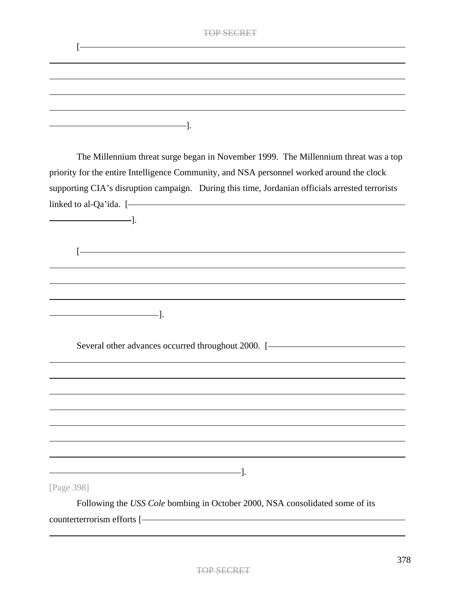|  | <b>TOP SECRET</b> |
|--|-------------------|
|  |                   |
|  |                   |
|  |                   |
|  |                   |
|  |                   |

The Millennium threat surge began in November 1999. The Millennium threat was a top priority for the entire Intelligence Community, and NSA personnel worked around the clock supporting CIA's disruption campaign. During this time, Jordanian officials arrested terrorists linked to al-Qa'ida. [ ].  $\sqrt{2}$ ]. Several other advances occurred throughout 2000. [- The contract of the set of the set of the set of the set of the set of the set of the set of the set of the set of the set of the set of the set of the set of the set of  $-$ ]. [Page 398]

Following the *USS Cole* bombing in October 2000, NSA consolidated some of its counterterrorism efforts [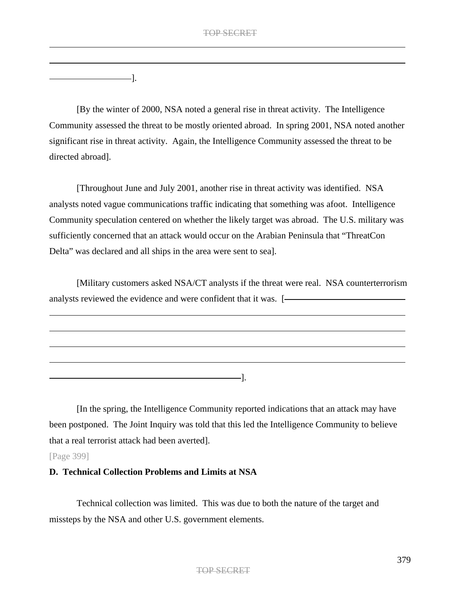].

[By the winter of 2000, NSA noted a general rise in threat activity. The Intelligence Community assessed the threat to be mostly oriented abroad. In spring 2001, NSA noted another significant rise in threat activity. Again, the Intelligence Community assessed the threat to be directed abroad].

[Throughout June and July 2001, another rise in threat activity was identified. NSA analysts noted vague communications traffic indicating that something was afoot. Intelligence Community speculation centered on whether the likely target was abroad. The U.S. military was sufficiently concerned that an attack would occur on the Arabian Peninsula that "ThreatCon Delta" was declared and all ships in the area were sent to sea].

[Military customers asked NSA/CT analysts if the threat were real. NSA counterterrorism analysts reviewed the evidence and were confident that it was. [- **Confident** that it was.  $\frac{1}{1-\frac{1}{\sqrt{1-\frac{1}{\sqrt{1-\frac{1}{\sqrt{1-\frac{1}{\sqrt{1-\frac{1}{\sqrt{1-\frac{1}{\sqrt{1-\frac{1}{\sqrt{1-\frac{1}{\sqrt{1-\frac{1}{\sqrt{1-\frac{1}{\sqrt{1-\frac{1}{\sqrt{1-\frac{1}{\sqrt{1-\frac{1}{\sqrt{1-\frac{1}{\sqrt$ 

[In the spring, the Intelligence Community reported indications that an attack may have

].

been postponed. The Joint Inquiry was told that this led the Intelligence Community to believe that a real terrorist attack had been averted].

[Page 399]

# **D. Technical Collection Problems and Limits at NSA**

Technical collection was limited. This was due to both the nature of the target and missteps by the NSA and other U.S. government elements.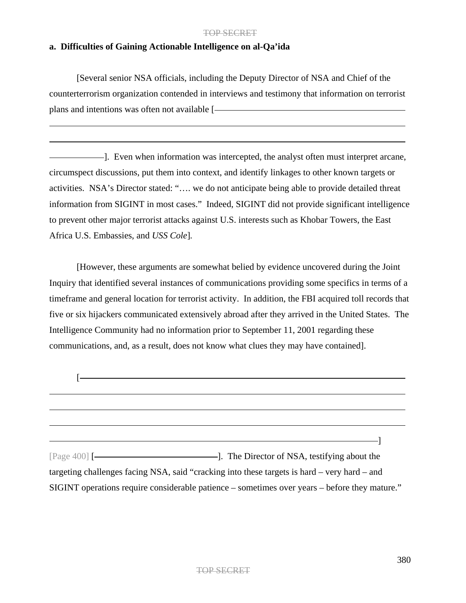# **a. Difficulties of Gaining Actionable Intelligence on al-Qa'ida**

[Several senior NSA officials, including the Deputy Director of NSA and Chief of the counterterrorism organization contended in interviews and testimony that information on terrorist plans and intentions was often not available [

]. Even when information was intercepted, the analyst often must interpret arcane, circumspect discussions, put them into context, and identify linkages to other known targets or activities. NSA's Director stated: "…. we do not anticipate being able to provide detailed threat information from SIGINT in most cases." Indeed, SIGINT did not provide significant intelligence to prevent other major terrorist attacks against U.S. interests such as Khobar Towers, the East Africa U.S. Embassies, and *USS Cole*]*.*

[However, these arguments are somewhat belied by evidence uncovered during the Joint Inquiry that identified several instances of communications providing some specifics in terms of a timeframe and general location for terrorist activity. In addition, the FBI acquired toll records that five or six hijackers communicated extensively abroad after they arrived in the United States. The Intelligence Community had no information prior to September 11, 2001 regarding these communications, and, as a result, does not know what clues they may have contained].

| targeting challenges facing NSA, said "cracking into these targets is hard – very hard – and  |
|-----------------------------------------------------------------------------------------------|
| SIGINT operations require considerable patience – sometimes over years – before they mature." |
|                                                                                               |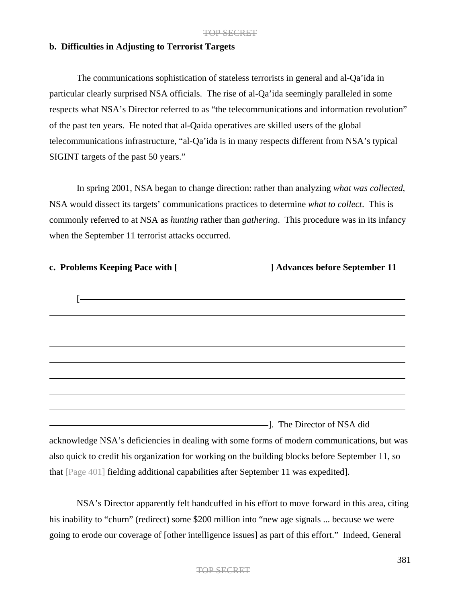### **b. Difficulties in Adjusting to Terrorist Targets**

The communications sophistication of stateless terrorists in general and al-Qa'ida in particular clearly surprised NSA officials. The rise of al-Qa'ida seemingly paralleled in some respects what NSA's Director referred to as "the telecommunications and information revolution" of the past ten years. He noted that al-Qaida operatives are skilled users of the global telecommunications infrastructure, "al-Qa'ida is in many respects different from NSA's typical SIGINT targets of the past 50 years."

In spring 2001, NSA began to change direction: rather than analyzing *what was collected*, NSA would dissect its targets' communications practices to determine *what to collect*. This is commonly referred to at NSA as *hunting* rather than *gathering*. This procedure was in its infancy when the September 11 terrorist attacks occurred.

| c. Problems Keeping Pace with [- <b>The Contract Contract Contract Contract Contract Contract Contract Contract Contract Contract Contract Contract Contract Contract Contract Contract Contract Contract Contract Contract Contr</b> |                                                                                                                     |
|---------------------------------------------------------------------------------------------------------------------------------------------------------------------------------------------------------------------------------------|---------------------------------------------------------------------------------------------------------------------|
|                                                                                                                                                                                                                                       | <u> 2002 - Jan Samuel Barbara, margaret e popularista e popularista e popularista e popularista e popularista e</u> |
|                                                                                                                                                                                                                                       |                                                                                                                     |
|                                                                                                                                                                                                                                       |                                                                                                                     |
|                                                                                                                                                                                                                                       |                                                                                                                     |
|                                                                                                                                                                                                                                       |                                                                                                                     |
|                                                                                                                                                                                                                                       |                                                                                                                     |
|                                                                                                                                                                                                                                       |                                                                                                                     |
| and The Director of NSA did                                                                                                                                                                                                           |                                                                                                                     |
|                                                                                                                                                                                                                                       | acknowledge NSA's deficiencies in dealing with some forms of modern communications, but was                         |
| also quick to credit his organization for working on the building blocks before September 11, so                                                                                                                                      |                                                                                                                     |

NSA's Director apparently felt handcuffed in his effort to move forward in this area, citing his inability to "churn" (redirect) some \$200 million into "new age signals ... because we were going to erode our coverage of [other intelligence issues] as part of this effort." Indeed, General

that [Page 401] fielding additional capabilities after September 11 was expedited].

# TOP SECRET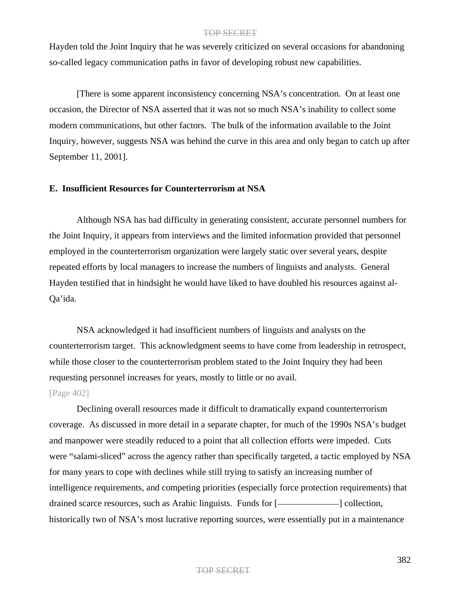Hayden told the Joint Inquiry that he was severely criticized on several occasions for abandoning so-called legacy communication paths in favor of developing robust new capabilities.

[There is some apparent inconsistency concerning NSA's concentration. On at least one occasion, the Director of NSA asserted that it was not so much NSA's inability to collect some modern communications, but other factors. The bulk of the information available to the Joint Inquiry, however, suggests NSA was behind the curve in this area and only began to catch up after September 11, 2001].

# **E. Insufficient Resources for Counterterrorism at NSA**

Although NSA has had difficulty in generating consistent, accurate personnel numbers for the Joint Inquiry, it appears from interviews and the limited information provided that personnel employed in the counterterrorism organization were largely static over several years, despite repeated efforts by local managers to increase the numbers of linguists and analysts. General Hayden testified that in hindsight he would have liked to have doubled his resources against al-Qa'ida.

NSA acknowledged it had insufficient numbers of linguists and analysts on the counterterrorism target. This acknowledgment seems to have come from leadership in retrospect, while those closer to the counterterrorism problem stated to the Joint Inquiry they had been requesting personnel increases for years, mostly to little or no avail.

### [Page 402]

Declining overall resources made it difficult to dramatically expand counterterrorism coverage. As discussed in more detail in a separate chapter, for much of the 1990s NSA's budget and manpower were steadily reduced to a point that all collection efforts were impeded. Cuts were "salami-sliced" across the agency rather than specifically targeted, a tactic employed by NSA for many years to cope with declines while still trying to satisfy an increasing number of intelligence requirements, and competing priorities (especially force protection requirements) that drained scarce resources, such as Arabic linguists. Funds for [*i* [*i* collection, historically two of NSA's most lucrative reporting sources, were essentially put in a maintenance

#### TOP SECRET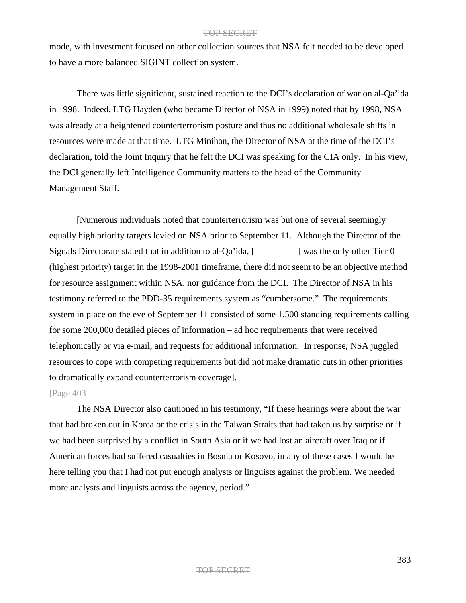mode, with investment focused on other collection sources that NSA felt needed to be developed to have a more balanced SIGINT collection system.

There was little significant, sustained reaction to the DCI's declaration of war on al-Qa'ida in 1998. Indeed, LTG Hayden (who became Director of NSA in 1999) noted that by 1998, NSA was already at a heightened counterterrorism posture and thus no additional wholesale shifts in resources were made at that time. LTG Minihan, the Director of NSA at the time of the DCI's declaration, told the Joint Inquiry that he felt the DCI was speaking for the CIA only. In his view, the DCI generally left Intelligence Community matters to the head of the Community Management Staff.

[Numerous individuals noted that counterterrorism was but one of several seemingly equally high priority targets levied on NSA prior to September 11. Although the Director of the Signals Directorate stated that in addition to al-Qa'ida,  $[$  was the only other Tier 0 (highest priority) target in the 1998-2001 timeframe, there did not seem to be an objective method for resource assignment within NSA, nor guidance from the DCI. The Director of NSA in his testimony referred to the PDD-35 requirements system as "cumbersome." The requirements system in place on the eve of September 11 consisted of some 1,500 standing requirements calling for some 200,000 detailed pieces of information – ad hoc requirements that were received telephonically or via e-mail, and requests for additional information. In response, NSA juggled resources to cope with competing requirements but did not make dramatic cuts in other priorities to dramatically expand counterterrorism coverage].

[Page 403]

The NSA Director also cautioned in his testimony, "If these hearings were about the war that had broken out in Korea or the crisis in the Taiwan Straits that had taken us by surprise or if we had been surprised by a conflict in South Asia or if we had lost an aircraft over Iraq or if American forces had suffered casualties in Bosnia or Kosovo, in any of these cases I would be here telling you that I had not put enough analysts or linguists against the problem. We needed more analysts and linguists across the agency, period."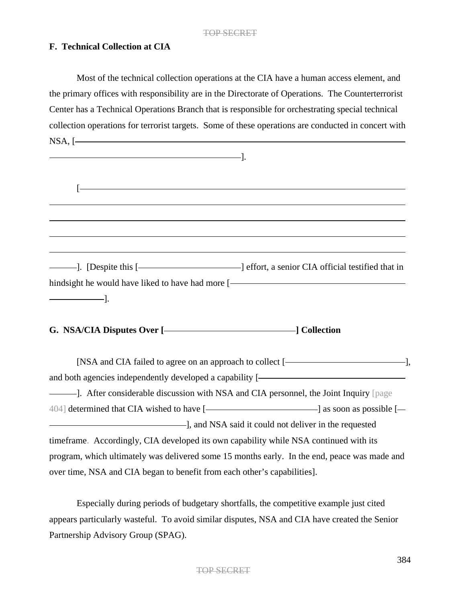# **F. Technical Collection at CIA**

Most of the technical collection operations at the CIA have a human access element, and the primary offices with responsibility are in the Directorate of Operations. The Counterterrorist Center has a Technical Operations Branch that is responsible for orchestrating special technical collection operations for terrorist targets. Some of these operations are conducted in concert with NSA, [ ].

| hindsight he would have liked to have had more [- |  |
|---------------------------------------------------|--|
|                                                   |  |

G. NSA/CIA Disputes Over [*\_\_\_\_\_\_\_\_\_\_\_\_\_\_\_\_\_\_\_\_\_\_\_\_\_\_\_\_\_\_\_\_***] Collection** 

[NSA and CIA failed to agree on an approach to collect [ ], and both agencies independently developed a capability [ ]. After considerable discussion with NSA and CIA personnel, the Joint Inquiry [page  $404$ ] determined that CIA wished to have [ $\sim$  | as soon as possible [ $\sim$ ] ], and NSA said it could not deliver in the requested timeframe. Accordingly, CIA developed its own capability while NSA continued with its program, which ultimately was delivered some 15 months early. In the end, peace was made and over time, NSA and CIA began to benefit from each other's capabilities].

Especially during periods of budgetary shortfalls, the competitive example just cited appears particularly wasteful. To avoid similar disputes, NSA and CIA have created the Senior Partnership Advisory Group (SPAG).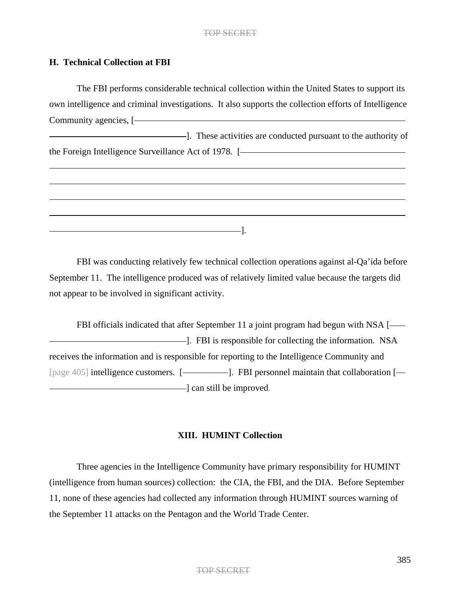# **H. Technical Collection at FBI**

The FBI performs considerable technical collection within the United States to support its own intelligence and criminal investigations. It also supports the collection efforts of Intelligence Community agencies, [

**Example 2**. These activities are conducted pursuant to the authority of the Foreign Intelligence Surveillance Act of 1978. [

FBI was conducting relatively few technical collection operations against al-Qa'ida before September 11. The intelligence produced was of relatively limited value because the targets did not appear to be involved in significant activity.

 $-1.$ 

FBI officials indicated that after September 11 a joint program had begun with NSA [-]. FBI is responsible for collecting the information. NSA receives the information and is responsible for reporting to the Intelligence Community and [page 405] intelligence customers. [-**].** FBI personnel maintain that collaboration [- $\Box$  can still be improved.

# **XIII. HUMINT Collection**

Three agencies in the Intelligence Community have primary responsibility for HUMINT (intelligence from human sources) collection: the CIA, the FBI, and the DIA. Before September 11, none of these agencies had collected any information through HUMINT sources warning of the September 11 attacks on the Pentagon and the World Trade Center.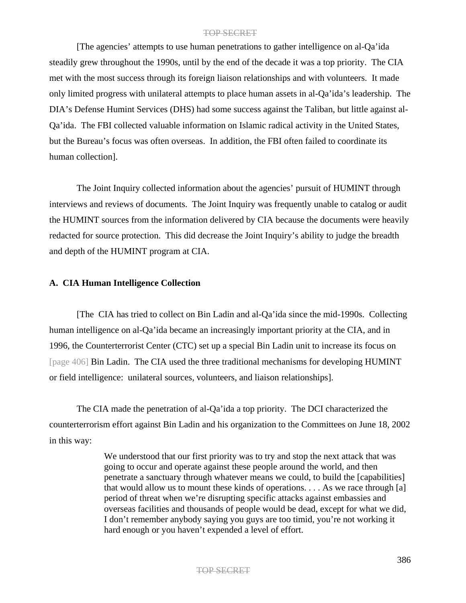[The agencies' attempts to use human penetrations to gather intelligence on al-Qa'ida steadily grew throughout the 1990s, until by the end of the decade it was a top priority. The CIA met with the most success through its foreign liaison relationships and with volunteers. It made only limited progress with unilateral attempts to place human assets in al-Qa'ida's leadership. The DIA's Defense Humint Services (DHS) had some success against the Taliban, but little against al-Qa'ida. The FBI collected valuable information on Islamic radical activity in the United States, but the Bureau's focus was often overseas. In addition, the FBI often failed to coordinate its human collection].

The Joint Inquiry collected information about the agencies' pursuit of HUMINT through interviews and reviews of documents. The Joint Inquiry was frequently unable to catalog or audit the HUMINT sources from the information delivered by CIA because the documents were heavily redacted for source protection. This did decrease the Joint Inquiry's ability to judge the breadth and depth of the HUMINT program at CIA.

### **A. CIA Human Intelligence Collection**

[The CIA has tried to collect on Bin Ladin and al-Qa'ida since the mid-1990s. Collecting human intelligence on al-Qa'ida became an increasingly important priority at the CIA, and in 1996, the Counterterrorist Center (CTC) set up a special Bin Ladin unit to increase its focus on [page 406] Bin Ladin. The CIA used the three traditional mechanisms for developing HUMINT or field intelligence: unilateral sources, volunteers, and liaison relationships].

The CIA made the penetration of al-Qa'ida a top priority. The DCI characterized the counterterrorism effort against Bin Ladin and his organization to the Committees on June 18, 2002 in this way:

> We understood that our first priority was to try and stop the next attack that was going to occur and operate against these people around the world, and then penetrate a sanctuary through whatever means we could, to build the [capabilities] that would allow us to mount these kinds of operations. . . . As we race through [a] period of threat when we're disrupting specific attacks against embassies and overseas facilities and thousands of people would be dead, except for what we did, I don't remember anybody saying you guys are too timid, you're not working it hard enough or you haven't expended a level of effort.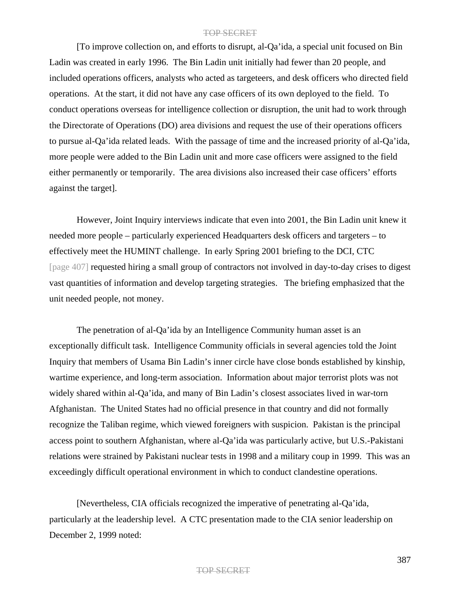[To improve collection on, and efforts to disrupt, al-Qa'ida, a special unit focused on Bin Ladin was created in early 1996. The Bin Ladin unit initially had fewer than 20 people, and included operations officers, analysts who acted as targeteers, and desk officers who directed field operations. At the start, it did not have any case officers of its own deployed to the field. To conduct operations overseas for intelligence collection or disruption, the unit had to work through the Directorate of Operations (DO) area divisions and request the use of their operations officers to pursue al-Qa'ida related leads. With the passage of time and the increased priority of al-Qa'ida, more people were added to the Bin Ladin unit and more case officers were assigned to the field either permanently or temporarily. The area divisions also increased their case officers' efforts against the target].

However, Joint Inquiry interviews indicate that even into 2001, the Bin Ladin unit knew it needed more people – particularly experienced Headquarters desk officers and targeters – to effectively meet the HUMINT challenge. In early Spring 2001 briefing to the DCI, CTC [page 407] requested hiring a small group of contractors not involved in day-to-day crises to digest vast quantities of information and develop targeting strategies. The briefing emphasized that the unit needed people, not money.

The penetration of al-Qa'ida by an Intelligence Community human asset is an exceptionally difficult task. Intelligence Community officials in several agencies told the Joint Inquiry that members of Usama Bin Ladin's inner circle have close bonds established by kinship, wartime experience, and long-term association. Information about major terrorist plots was not widely shared within al-Qa'ida, and many of Bin Ladin's closest associates lived in war-torn Afghanistan. The United States had no official presence in that country and did not formally recognize the Taliban regime, which viewed foreigners with suspicion. Pakistan is the principal access point to southern Afghanistan, where al-Qa'ida was particularly active, but U.S.-Pakistani relations were strained by Pakistani nuclear tests in 1998 and a military coup in 1999. This was an exceedingly difficult operational environment in which to conduct clandestine operations.

[Nevertheless, CIA officials recognized the imperative of penetrating al-Qa'ida, particularly at the leadership level. A CTC presentation made to the CIA senior leadership on December 2, 1999 noted: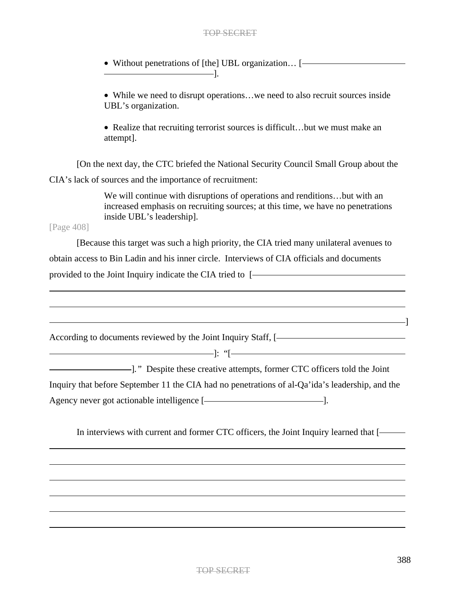• Without penetrations of [the] UBL organization… [ ].

• While we need to disrupt operations...we need to also recruit sources inside UBL's organization.

• Realize that recruiting terrorist sources is difficult...but we must make an attempt].

[On the next day, the CTC briefed the National Security Council Small Group about the CIA's lack of sources and the importance of recruitment:

> We will continue with disruptions of operations and renditions…but with an increased emphasis on recruiting sources; at this time, we have no penetrations inside UBL's leadership].

[Page 408]

[Because this target was such a high priority, the CIA tried many unilateral avenues to obtain access to Bin Ladin and his inner circle. Interviews of CIA officials and documents provided to the Joint Inquiry indicate the CIA tried to [- The Matter of the UA tried to  $\sim$  1000  $\mu$ 

| According to documents reviewed by the Joint Inquiry Staff, [-                                  |
|-------------------------------------------------------------------------------------------------|
|                                                                                                 |
|                                                                                                 |
| Inquiry that before September 11 the CIA had no penetrations of al-Qa'ida's leadership, and the |
| Agency never got actionable intelligence [-                                                     |
|                                                                                                 |

In interviews with current and former CTC officers, the Joint Inquiry learned that [-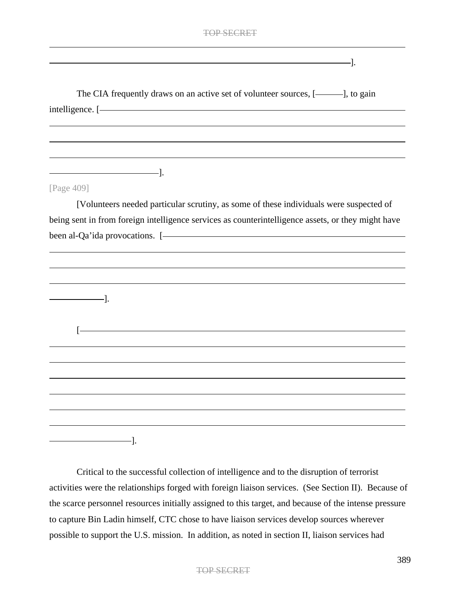The CIA frequently draws on an active set of volunteer sources, [-1, to gain

 $-$ ].

| intelligence. [- The contract of the contract of the contract of the contract of the contract of the contract of the contract of the contract of the contract of the contract of the contract of the contract of the contract  |
|--------------------------------------------------------------------------------------------------------------------------------------------------------------------------------------------------------------------------------|
|                                                                                                                                                                                                                                |
|                                                                                                                                                                                                                                |
|                                                                                                                                                                                                                                |
|                                                                                                                                                                                                                                |
|                                                                                                                                                                                                                                |
| [Page 409]                                                                                                                                                                                                                     |
| [Volunteers needed particular scrutiny, as some of these individuals were suspected of                                                                                                                                         |
| being sent in from foreign intelligence services as counterintelligence assets, or they might have                                                                                                                             |
| been al-Qa'ida provocations. [- The contract of the contract of the contract of the contract of the contract of the contract of the contract of the contract of the contract of the contract of the contract of the contract o |
|                                                                                                                                                                                                                                |
|                                                                                                                                                                                                                                |
|                                                                                                                                                                                                                                |
| $\qquad \qquad \qquad$                                                                                                                                                                                                         |
|                                                                                                                                                                                                                                |
|                                                                                                                                                                                                                                |
| $\lceil - \rceil$                                                                                                                                                                                                              |
|                                                                                                                                                                                                                                |
|                                                                                                                                                                                                                                |
|                                                                                                                                                                                                                                |
|                                                                                                                                                                                                                                |
|                                                                                                                                                                                                                                |
|                                                                                                                                                                                                                                |
| -].                                                                                                                                                                                                                            |
|                                                                                                                                                                                                                                |
| Critical to the successful collection of intelligence and to the disruption of terrorist                                                                                                                                       |
|                                                                                                                                                                                                                                |

activities were the relationships forged with foreign liaison services. (See Section II). Because of the scarce personnel resources initially assigned to this target, and because of the intense pressure to capture Bin Ladin himself, CTC chose to have liaison services develop sources wherever possible to support the U.S. mission. In addition, as noted in section II, liaison services had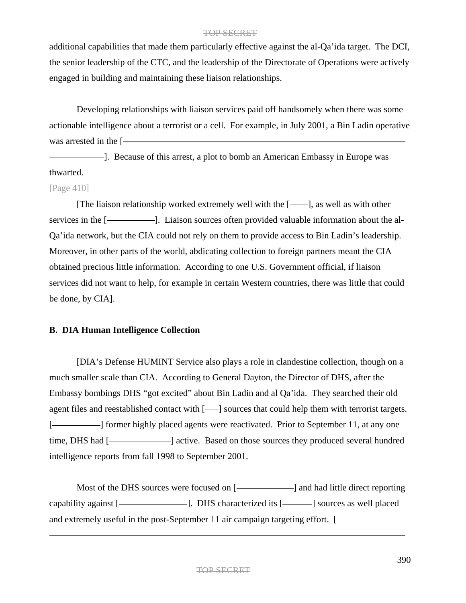additional capabilities that made them particularly effective against the al-Qa'ida target. The DCI, the senior leadership of the CTC, and the leadership of the Directorate of Operations were actively engaged in building and maintaining these liaison relationships.

Developing relationships with liaison services paid off handsomely when there was some actionable intelligence about a terrorist or a cell. For example, in July 2001, a Bin Ladin operative was arrested in the [

]. Because of this arrest, a plot to bomb an American Embassy in Europe was thwarted.

### [Page 410]

[The liaison relationship worked extremely well with the  $[$ ——], as well as with other services in the [-Consequently 2011]. Liaison sources often provided valuable information about the al-Qa'ida network, but the CIA could not rely on them to provide access to Bin Ladin's leadership. Moreover, in other parts of the world, abdicating collection to foreign partners meant the CIA obtained precious little information*.* According to one U.S. Government official, if liaison services did not want to help, for example in certain Western countries, there was little that could be done, by CIA].

# **B. DIA Human Intelligence Collection**

[DIA's Defense HUMINT Service also plays a role in clandestine collection, though on a much smaller scale than CIA. According to General Dayton, the Director of DHS, after the Embassy bombings DHS "got excited" about Bin Ladin and al Qa'ida. They searched their old agent files and reestablished contact with  $[-]$  sources that could help them with terrorist targets. [-**]** former highly placed agents were reactivated. Prior to September 11, at any one time, DHS had [- active. Based on those sources they produced several hundred intelligence reports from fall 1998 to September 2001.

Most of the DHS sources were focused on [-**]** and had little direct reporting capability against [- [2015]. DHS characterized its [- 2016] sources as well placed and extremely useful in the post-September 11 air campaign targeting effort. [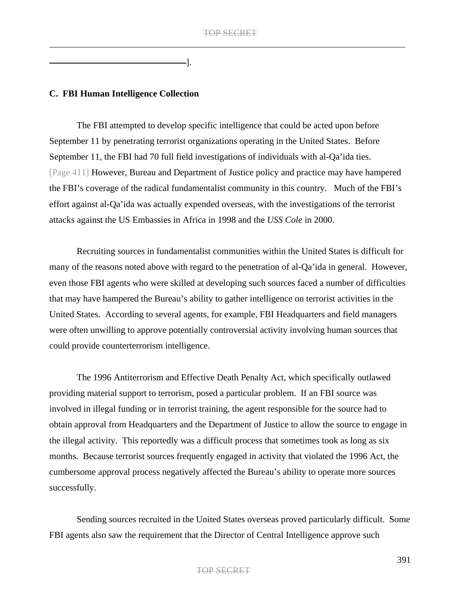].

# **C. FBI Human Intelligence Collection**

The FBI attempted to develop specific intelligence that could be acted upon before September 11 by penetrating terrorist organizations operating in the United States. Before September 11, the FBI had 70 full field investigations of individuals with al-Qa'ida ties. [Page 411] However, Bureau and Department of Justice policy and practice may have hampered the FBI's coverage of the radical fundamentalist community in this country. Much of the FBI's effort against al-Qa'ida was actually expended overseas, with the investigations of the terrorist attacks against the US Embassies in Africa in 1998 and the *USS Cole* in 2000.

Recruiting sources in fundamentalist communities within the United States is difficult for many of the reasons noted above with regard to the penetration of al-Qa'ida in general. However, even those FBI agents who were skilled at developing such sources faced a number of difficulties that may have hampered the Bureau's ability to gather intelligence on terrorist activities in the United States. According to several agents, for example, FBI Headquarters and field managers were often unwilling to approve potentially controversial activity involving human sources that could provide counterterrorism intelligence.

The 1996 Antiterrorism and Effective Death Penalty Act, which specifically outlawed providing material support to terrorism, posed a particular problem. If an FBI source was involved in illegal funding or in terrorist training, the agent responsible for the source had to obtain approval from Headquarters and the Department of Justice to allow the source to engage in the illegal activity. This reportedly was a difficult process that sometimes took as long as six months. Because terrorist sources frequently engaged in activity that violated the 1996 Act, the cumbersome approval process negatively affected the Bureau's ability to operate more sources successfully.

Sending sources recruited in the United States overseas proved particularly difficult. Some FBI agents also saw the requirement that the Director of Central Intelligence approve such

### TOP SECRET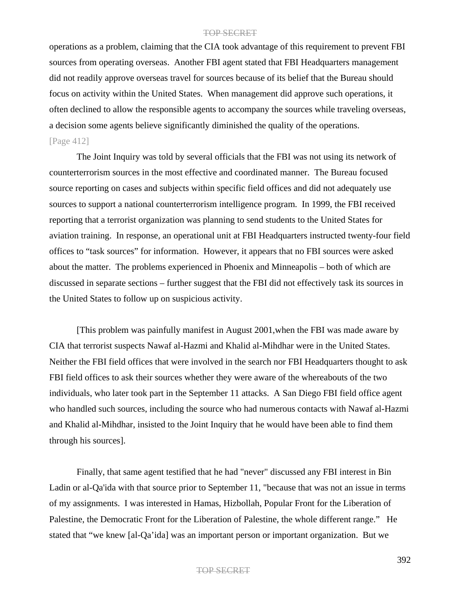operations as a problem, claiming that the CIA took advantage of this requirement to prevent FBI sources from operating overseas. Another FBI agent stated that FBI Headquarters management did not readily approve overseas travel for sources because of its belief that the Bureau should focus on activity within the United States. When management did approve such operations, it often declined to allow the responsible agents to accompany the sources while traveling overseas, a decision some agents believe significantly diminished the quality of the operations. [Page 412]

The Joint Inquiry was told by several officials that the FBI was not using its network of counterterrorism sources in the most effective and coordinated manner. The Bureau focused source reporting on cases and subjects within specific field offices and did not adequately use sources to support a national counterterrorism intelligence program. In 1999, the FBI received reporting that a terrorist organization was planning to send students to the United States for aviation training. In response, an operational unit at FBI Headquarters instructed twenty-four field offices to "task sources" for information. However, it appears that no FBI sources were asked about the matter. The problems experienced in Phoenix and Minneapolis – both of which are discussed in separate sections – further suggest that the FBI did not effectively task its sources in the United States to follow up on suspicious activity.

[This problem was painfully manifest in August 2001,when the FBI was made aware by CIA that terrorist suspects Nawaf al-Hazmi and Khalid al-Mihdhar were in the United States. Neither the FBI field offices that were involved in the search nor FBI Headquarters thought to ask FBI field offices to ask their sources whether they were aware of the whereabouts of the two individuals, who later took part in the September 11 attacks. A San Diego FBI field office agent who handled such sources, including the source who had numerous contacts with Nawaf al-Hazmi and Khalid al-Mihdhar, insisted to the Joint Inquiry that he would have been able to find them through his sources].

Finally, that same agent testified that he had "never" discussed any FBI interest in Bin Ladin or al-Qa'ida with that source prior to September 11, "because that was not an issue in terms of my assignments. I was interested in Hamas, Hizbollah, Popular Front for the Liberation of Palestine, the Democratic Front for the Liberation of Palestine, the whole different range." He stated that "we knew [al-Qa'ida] was an important person or important organization. But we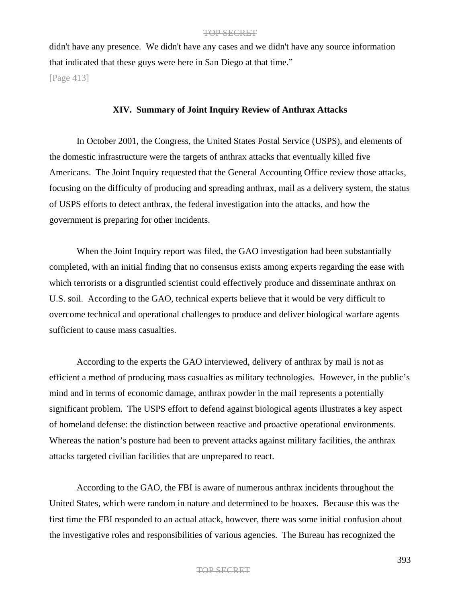didn't have any presence. We didn't have any cases and we didn't have any source information that indicated that these guys were here in San Diego at that time."

[Page 413]

### **XIV. Summary of Joint Inquiry Review of Anthrax Attacks**

In October 2001, the Congress, the United States Postal Service (USPS), and elements of the domestic infrastructure were the targets of anthrax attacks that eventually killed five Americans. The Joint Inquiry requested that the General Accounting Office review those attacks, focusing on the difficulty of producing and spreading anthrax, mail as a delivery system, the status of USPS efforts to detect anthrax, the federal investigation into the attacks, and how the government is preparing for other incidents.

When the Joint Inquiry report was filed, the GAO investigation had been substantially completed, with an initial finding that no consensus exists among experts regarding the ease with which terrorists or a disgruntled scientist could effectively produce and disseminate anthrax on U.S. soil. According to the GAO, technical experts believe that it would be very difficult to overcome technical and operational challenges to produce and deliver biological warfare agents sufficient to cause mass casualties.

According to the experts the GAO interviewed, delivery of anthrax by mail is not as efficient a method of producing mass casualties as military technologies. However, in the public's mind and in terms of economic damage, anthrax powder in the mail represents a potentially significant problem. The USPS effort to defend against biological agents illustrates a key aspect of homeland defense: the distinction between reactive and proactive operational environments. Whereas the nation's posture had been to prevent attacks against military facilities, the anthrax attacks targeted civilian facilities that are unprepared to react.

According to the GAO, the FBI is aware of numerous anthrax incidents throughout the United States, which were random in nature and determined to be hoaxes. Because this was the first time the FBI responded to an actual attack, however, there was some initial confusion about the investigative roles and responsibilities of various agencies. The Bureau has recognized the